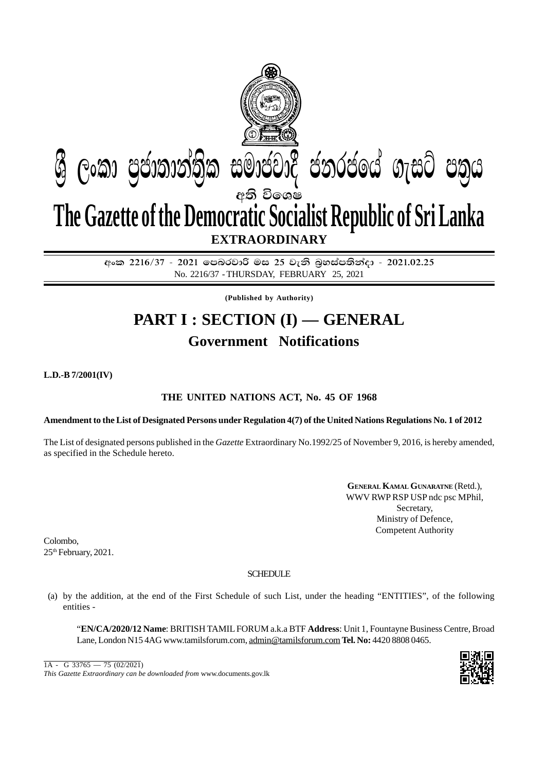

අංක 2216/37 - 2021 **ලපබරවාරි මස 25 වැනි බූහස්පතින්දා - 2021.02.2**5 No. 2216/37 - THURSDAY, FEBRUARY 25, 2021

**(Published by Authority)**

## **PART I : SECTION (I) — GENERAL Government Notifications**

**L.D.-B 7/2001(IV)**

## **THE UNITED NATIONS ACT, No. 45 OF 1968**

## **Amendment to the List of Designated Persons under Regulation 4(7) of the United Nations Regulations No. 1 of 2012**

The List of designated persons published in the *Gazette* Extraordinary No.1992/25 of November 9, 2016, is hereby amended, as specified in the Schedule hereto.

> **GENERAL KAMAL GUNARATNE** (Retd.), WWV RWP RSP USP ndc psc MPhil, Secretary, Ministry of Defence, Competent Authority

Colombo, 25<sup>th</sup> February, 2021.

## **SCHEDULE**

(a) by the addition, at the end of the First Schedule of such List, under the heading "ENTITIES", of the following entities -

"**EN/CA/2020/12 Name**: BRITISH TAMIL FORUM a.k.a BTF **Address**: Unit 1, Fountayne Business Centre, Broad Lane, London N15 4AG www.tamilsforum.com, admin@tamilsforum.com **Tel. No:** 4420 8808 0465.

*This Gazette Extraordinary can be downloaded from* www.documents.gov.lk  $1A - G$  33765 — 75 (02/2021)

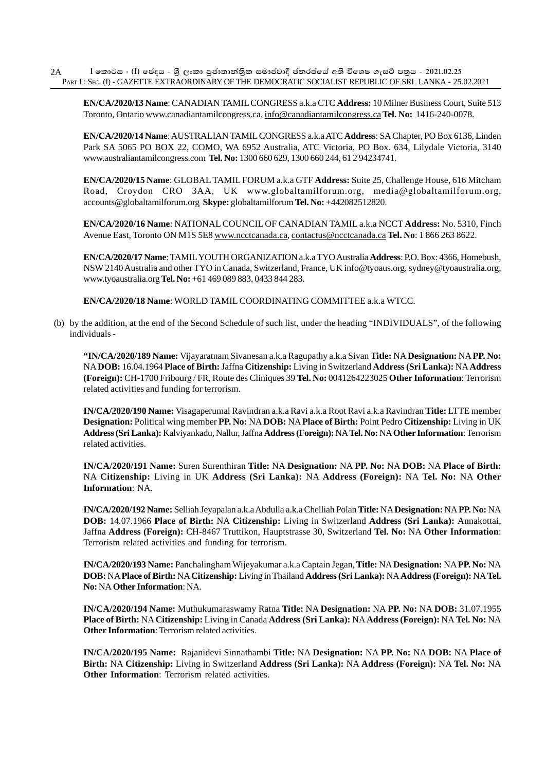**EN/CA/2020/13 Name**: CANADIAN TAMIL CONGRESS a.k.a CTC **Address:** 10 Milner Business Court, Suite 513 Toronto, Ontario www.canadiantamilcongress.ca, info@canadiantamilcongress.ca **Tel. No:** 1416-240-0078.

**EN/CA/2020/14 Name**: AUSTRALIAN TAMIL CONGRESS a.k.a ATC **Address**: SA Chapter, PO Box 6136, Linden Park SA 5065 PO BOX 22, COMO, WA 6952 Australia, ATC Victoria, PO Box. 634, Lilydale Victoria, 3140 www.australiantamilcongress.com **Tel. No:** 1300 660 629, 1300 660 244, 61 2 94234741.

**EN/CA/2020/15 Name**: GLOBAL TAMIL FORUM a.k.a GTF **Address:** Suite 25, Challenge House, 616 Mitcham Road, Croydon CRO 3AA, UK www.globaltamilforum.org, media@globaltamilforum.org, accounts@globaltamilforum.org **Skype:** globaltamilforum **Tel. No:** +442082512820.

**EN/CA/2020/16 Name**: NATIONAL COUNCIL OF CANADIAN TAMIL a.k.a NCCT **Address:** No. 5310, Finch Avenue East, Toronto ON M1S 5E8 www.ncctcanada.ca*,* contactus@ncctcanada.ca **Tel. No**: 1 866 263 8622.

**EN/CA/2020/17 Name**: TAMIL YOUTH ORGANIZATION a.k.a TYO Australia **Address**: P.O. Box: 4366, Homebush, NSW 2140 Australia and other TYO in Canada, Switzerland, France, UK info@tyoaus.org, sydney@tyoaustralia.org, www.tyoaustralia.org **Tel. No:** +61 469 089 883, 0433 844 283.

**EN/CA/2020/18 Name**: WORLD TAMIL COORDINATING COMMITTEE a.k.a WTCC.

(b) by the addition, at the end of the Second Schedule of such list, under the heading "INDIVIDUALS", of the following individuals -

**"IN/CA/2020/189 Name:** Vijayaratnam Sivanesan a.k.a Ragupathy a.k.a Sivan **Title:** NA **Designation:** NA **PP. No:** NA **DOB:** 16.04.1964 **Place of Birth:** Jaffna **Citizenship:** Living in Switzerland **Address (Sri Lanka):** NA **Address (Foreign):** CH-1700 Fribourg / FR, Route des Cliniques 39 **Tel. No:** 0041264223025 **Other Information**: Terrorism related activities and funding for terrorism.

**IN/CA/2020/190 Name:** Visagaperumal Ravindran a.k.a Ravi a.k.a Root Ravi a.k.a Ravindran **Title:** LTTE member **Designation:** Political wing member **PP. No:** NA **DOB:** NA **Place of Birth:** Point Pedro **Citizenship:** Living in UK **Address (Sri Lanka):** Kalviyankadu, Nallur, Jaffna **Address (Foreign):** NA **Tel. No:** NA **Other Information**: Terrorism related activities.

**IN/CA/2020/191 Name:** Suren Surenthiran **Title:** NA **Designation:** NA **PP. No:** NA **DOB:** NA **Place of Birth:** NA **Citizenship:** Living in UK **Address (Sri Lanka):** NA **Address (Foreign):** NA **Tel. No:** NA **Other Information**: NA.

**IN/CA/2020/192 Name:** Selliah Jeyapalan a.k.a Abdulla a.k.a Chelliah Polan **Title:** NA **Designation:** NA **PP. No:** NA **DOB:** 14.07.1966 **Place of Birth:** NA **Citizenship:** Living in Switzerland **Address (Sri Lanka):** Annakottai, Jaffna **Address (Foreign):** CH-8467 Truttikon, Hauptstrasse 30, Switzerland **Tel. No:** NA **Other Information**: Terrorism related activities and funding for terrorism.

**IN/CA/2020/193 Name:** Panchalingham Wijeyakumar a.k.a Captain Jegan, **Title:** NA **Designation:** NA **PP. No:** NA **DOB:** NA **Place of Birth:** NA **Citizenship:** Living in Thailand **Address (Sri Lanka):** NA **Address (Foreign):** NA **Tel. No:** NA **Other Information**: NA.

**IN/CA/2020/194 Name:** Muthukumaraswamy Ratna **Title:** NA **Designation:** NA **PP. No:** NA **DOB:** 31.07.1955 **Place of Birth:** NA **Citizenship:** Living in Canada **Address (Sri Lanka):** NA **Address (Foreign):** NA **Tel. No:** NA **Other Information:** Terrorism related activities.

**IN/CA/2020/195 Name:** Rajanidevi Sinnathambi **Title:** NA **Designation:** NA **PP. No:** NA **DOB:** NA **Place of Birth:** NA **Citizenship:** Living in Switzerland **Address (Sri Lanka):** NA **Address (Foreign):** NA **Tel. No:** NA **Other Information:** Terrorism related activities.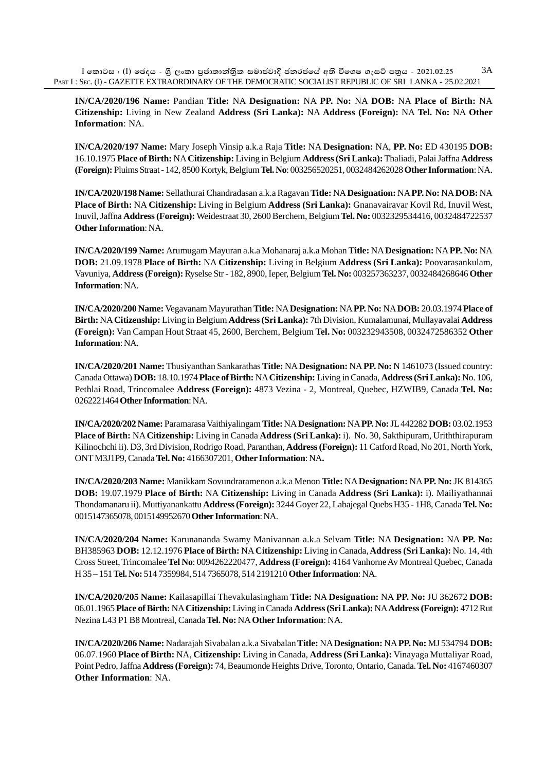**IN/CA/2020/196 Name:** Pandian **Title:** NA **Designation:** NA **PP. No:** NA **DOB:** NA **Place of Birth:** NA **Citizenship:** Living in New Zealand **Address (Sri Lanka):** NA **Address (Foreign):** NA **Tel. No:** NA **Other Information**: NA.

**IN/CA/2020/197 Name:** Mary Joseph Vinsip a.k.a Raja **Title:** NA **Designation:** NA, **PP. No:** ED 430195 **DOB:** 16.10.1975 **Place of Birth:** NA **Citizenship:** Living in Belgium **Address (Sri Lanka):** Thaliadi, Palai Jaffna **Address (Foreign):** Pluims Straat - 142, 8500 Kortyk, Belgium **Tel. No**: 003256520251, 0032484262028 **Other Information**: NA.

**IN/CA/2020/198 Name:** Sellathurai Chandradasan a.k.a Ragavan **Title:** NA **Designation:** NA **PP. No:** NA **DOB:** NA **Place of Birth:** NA **Citizenship:** Living in Belgium **Address (Sri Lanka):** Gnanavairavar Kovil Rd, Inuvil West, Inuvil, Jaffna **Address (Foreign):** Weidestraat 30, 2600 Berchem, Belgium **Tel. No:** 0032329534416, 0032484722537 **Other Information**: NA.

**IN/CA/2020/199 Name:** Arumugam Mayuran a.k.a Mohanaraj a.k.a Mohan **Title:** NA **Designation:** NA **PP. No:** NA **DOB:** 21.09.1978 **Place of Birth:** NA **Citizenship:** Living in Belgium **Address (Sri Lanka):** Poovarasankulam, Vavuniya, **Address (Foreign):** Ryselse Str - 182, 8900, Ieper, Belgium **Tel. No:** 003257363237, 0032484268646 **Other Information**: NA.

**IN/CA/2020/200 Name:** Vegavanam Mayurathan **Title:** NA **Designation:** NA **PP. No:** NA **DOB:** 20.03.1974 **Place of Birth:** NA **Citizenship:** Living in Belgium **Address (Sri Lanka):** 7th Division, Kumalamunai, Mullayavalai **Address (Foreign):** Van Campan Hout Straat 45, 2600, Berchem, Belgium **Tel. No:** 003232943508, 0032472586352 **Other Information**: NA.

**IN/CA/2020/201 Name:** Thusiyanthan Sankarathas **Title:** NA **Designation:** NA **PP. No:** N 1461073 (Issued country: Canada Ottawa) **DOB:** 18.10.1974 **Place of Birth:** NA **Citizenship:** Living in Canada, **Address (Sri Lanka):** No. 106, Pethlai Road, Trincomalee **Address (Foreign):** 4873 Vezina - 2, Montreal, Quebec, HZWIB9, Canada **Tel. No:** 0262221464 **Other Information**: NA.

**IN/CA/2020/202 Name:** Paramarasa Vaithiyalingam **Title:** NA **Designation:** NA **PP. No:** JL 442282 **DOB:** 03.02.1953 **Place of Birth:** NA **Citizenship:** Living in Canada **Address (Sri Lanka):** i). No. 30, Sakthipuram, Uriththirapuram Kilinochchi ii). D3, 3rd Division, Rodrigo Road, Paranthan, **Address (Foreign):** 11 Catford Road, No 201, North York, ONT M3J1P9, Canada **Tel. No:** 4166307201, **Other Information**: NA**.**

**IN/CA/2020/203 Name:** Manikkam Sovundraramenon a.k.a Menon **Title:** NA **Designation:** NA **PP. No:** JK 814365 **DOB:** 19.07.1979 **Place of Birth:** NA **Citizenship:** Living in Canada **Address (Sri Lanka):** i). Mailiyathannai Thondamanaru ii). Muttiyanankattu **Address (Foreign):** 3244 Goyer 22, Labajegal Quebs H35 - 1H8, Canada **Tel. No:** 0015147365078, 0015149952670 **Other Information**: NA.

**IN/CA/2020/204 Name:** Karunananda Swamy Manivannan a.k.a Selvam **Title:** NA **Designation:** NA **PP. No:** BH385963 **DOB:** 12.12.1976 **Place of Birth:** NA **Citizenship:** Living in Canada, **Address (Sri Lanka):** No. 14, 4th Cross Street, Trincomalee **Tel No**: 0094262220477, **Address (Foreign):** 4164 Vanhorne Av Montreal Quebec, Canada H 35 – 151 **Tel. No:** 514 7359984, 514 7365078, 514 2191210 **Other Information**: NA.

**IN/CA/2020/205 Name:** Kailasapillai Thevakulasingham **Title:** NA **Designation:** NA **PP. No:** JU 362672 **DOB:** 06.01.1965 **Place of Birth:** NA **Citizenship:** Living in Canada **Address (Sri Lanka):** NA **Address (Foreign):** 4712 Rut Nezina L43 P1 B8 Montreal, Canada **Tel. No:** NA **Other Information**: NA.

**IN/CA/2020/206 Name:** Nadarajah Sivabalan a.k.a Sivabalan **Title:** NA **Designation:** NA **PP. No:** MJ 534794 **DOB:** 06.07.1960 **Place of Birth:** NA, **Citizenship:** Living in Canada, **Address (Sri Lanka):** Vinayaga Muttaliyar Road, Point Pedro, Jaffna **Address (Foreign):** 74, Beaumonde Heights Drive, Toronto, Ontario, Canada. **Tel. No:** 4167460307 **Other Information**: NA.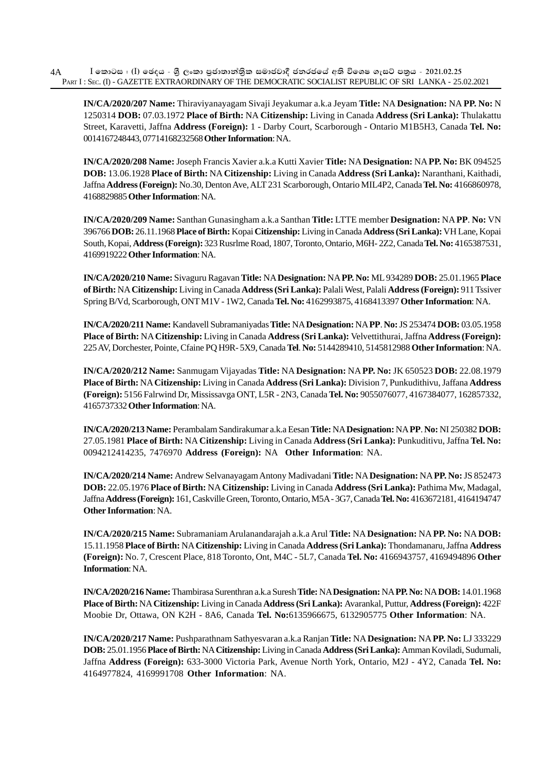**IN/CA/2020/207 Name:** Thiraviyanayagam Sivaji Jeyakumar a.k.a Jeyam **Title:** NA **Designation:** NA **PP. No:** N 1250314 **DOB:** 07.03.1972 **Place of Birth:** NA **Citizenship:** Living in Canada **Address (Sri Lanka):** Thulakattu Street, Karavetti, Jaffna **Address (Foreign):** 1 - Darby Court, Scarborough - Ontario M1B5H3, Canada **Tel. No:** 0014167248443, 07714168232568 **Other Information**: NA.

**IN/CA/2020/208 Name:** Joseph Francis Xavier a.k.a Kutti Xavier **Title:** NA **Designation:** NA **PP. No:** BK 094525 **DOB:** 13.06.1928 **Place of Birth:** NA **Citizenship:** Living in Canada **Address (Sri Lanka):** Naranthani, Kaithadi, Jaffna **Address (Foreign):** No.30, Denton Ave, ALT 231 Scarborough, Ontario MIL4P2, Canada **Tel. No:** 4166860978, 4168829885 **Other Information**: NA.

**IN/CA/2020/209 Name:** Santhan Gunasingham a.k.a Santhan **Title:** LTTE member **Designation:** NA **PP**. **No:** VN 396766 **DOB:** 26.11.1968 **Place of Birth:** Kopai **Citizenship:** Living in Canada **Address (Sri Lanka):** VH Lane, Kopai South, Kopai, **Address (Foreign):** 323 Rusrlme Road, 1807, Toronto, Ontario, M6H- 2Z2, Canada **Tel. No:** 4165387531, 4169919222 **Other Information**: NA.

**IN/CA/2020/210 Name:** Sivaguru Ragavan **Title:** NA **Designation:** NA **PP. No:** ML 934289 **DOB:** 25.01.1965 **Place of Birth:** NA **Citizenship:** Living in Canada **Address (Sri Lanka):** Palali West, Palali **Address (Foreign):** 911 Tssiver Spring B/Vd, Scarborough, ONT M1V - 1W2, Canada **Tel. No:** 4162993875, 4168413397 **Other Information**: NA.

**IN/CA/2020/211 Name:** Kandavell Subramaniyadas **Title:** NA **Designation:** NA **PP**. **No:** JS 253474 **DOB:** 03.05.1958 **Place of Birth:** NA **Citizenship:** Living in Canada **Address (Sri Lanka):** Velvettithurai, Jaffna **Address (Foreign):** 225 AV, Dorchester, Pointe, Cfaine PQ H9R- 5X9, Canada **Tel**. **No:** 5144289410, 5145812988 **Other Information**: NA.

**IN/CA/2020/212 Name:** Sanmugam Vijayadas **Title:** NA **Designation:** NA **PP. No:** JK 650523 **DOB:** 22.08.1979 **Place of Birth:** NA **Citizenship:** Living in Canada **Address (Sri Lanka):** Division 7, Punkudithivu, Jaffana **Address (Foreign):** 5156 Falrwind Dr, Mississavga ONT, L5R - 2N3, Canada **Tel. No:** 9055076077, 4167384077, 162857332, 4165737332 **Other Information**: NA.

**IN/CA/2020/213 Name:** Perambalam Sandirakumar a.k.a Eesan **Title:** NA **Designation:** NA **PP**. **No:** NI 250382 **DOB:** 27.05.1981 **Place of Birth:** NA **Citizenship:** Living in Canada **Address (Sri Lanka):** Punkuditivu, Jaffna **Tel. No:** 0094212414235, 7476970 **Address (Foreign):** NA **Other Information**: NA.

**IN/CA/2020/214 Name:** Andrew Selvanayagam Antony Madivadani **Title:** NA **Designation:** NA **PP. No:** JS 852473 **DOB:** 22.05.1976 **Place of Birth:** NA **Citizenship:** Living in Canada **Address (Sri Lanka):** Pathima Mw, Madagal, Jaffna **Address (Foreign):** 161, Caskville Green, Toronto, Ontario, M5A - 3G7, Canada **Tel. No:** 4163672181, 4164194747 **Other Information**: NA.

**IN/CA/2020/215 Name:** Subramaniam Arulanandarajah a.k.a Arul **Title:** NA **Designation:** NA **PP. No:** NA **DOB:** 15.11.1958 **Place of Birth:** NA **Citizenship:** Living in Canada **Address (Sri Lanka):** Thondamanaru, Jaffna **Address (Foreign):** No. 7, Crescent Place, 818 Toronto, Ont, M4C - 5L7, Canada **Tel. No:** 4166943757, 4169494896 **Other Information**: NA.

**IN/CA/2020/216 Name:** Thambirasa Surenthran a.k.a Suresh **Title:** NA **Designation:** NA **PP. No:** NA **DOB:** 14.01.1968 **Place of Birth:** NA **Citizenship:** Living in Canada **Address (Sri Lanka):** Avarankal, Puttur, **Address (Foreign):** 422F Moobie Dr, Ottawa, ON K2H - 8A6, Canada **Tel. No:**6135966675, 6132905775 **Other Information**: NA.

**IN/CA/2020/217 Name:** Pushparathnam Sathyesvaran a.k.a Ranjan **Title:** NA **Designation:** NA **PP. No:** LJ 333229 **DOB:** 25.01.1956 **Place of Birth:** NA **Citizenship:** Living in Canada **Address (Sri Lanka):** Amman Koviladi, Sudumali, Jaffna **Address (Foreign):** 633-3000 Victoria Park, Avenue North York, Ontario, M2J - 4Y2, Canada **Tel. No:** 4164977824, 4169991708 **Other Information**: NA.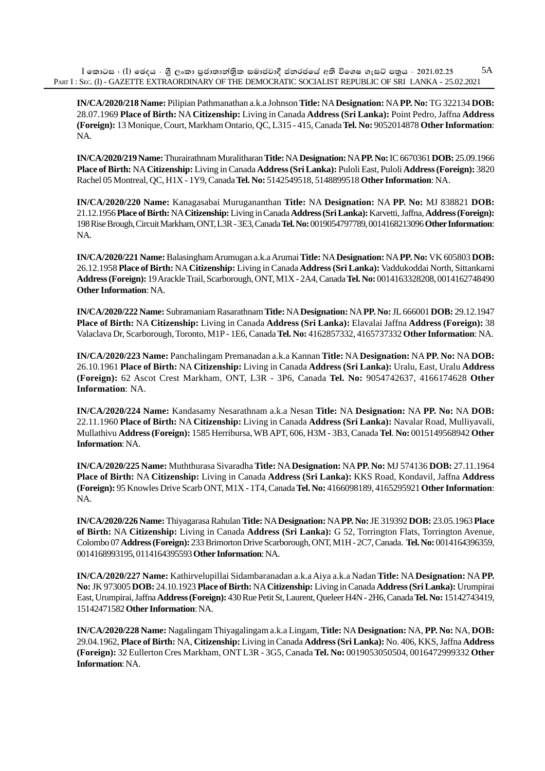$I$  කොටස : (I) ඡෙදය - ශීූ ලංකා පුජාතාන්තික සමාජවාදී ජනරජයේ අති විශෙෂ ගැසට් පතුය - 2021.02.25 PART I : SEC. (I) - GAZETTE EXTRAORDINARY OF THE DEMOCRATIC SOCIALIST REPUBLIC OF SRI LANKA - 25.02.2021 5A

**IN/CA/2020/218 Name:** Pilipian Pathmanathan a.k.a Johnson **Title:** NA **Designation:** NA **PP. No:** TG 322134 **DOB:** 28.07.1969 **Place of Birth:** NA **Citizenship:** Living in Canada **Address (Sri Lanka):** Point Pedro, Jaffna **Address (Foreign):** 13 Monique, Court, Markham Ontario, QC, L315 - 415, Canada **Tel. No:** 9052014878 **Other Information**: NA.

**IN/CA/2020/219 Name:** Thurairathnam Muralitharan **Title:** NA **Designation:** NA **PP. No:** IC 6670361 **DOB:** 25.09.1966 **Place of Birth:** NA **Citizenship:** Living in Canada **Address (Sri Lanka):** Puloli East, Puloli **Address (Foreign):** 3820 Rachel 05 Montreal, QC, H1X - 1Y9, Canada **Tel. No:** 5142549518, 5148899518 **Other Information**: NA.

**IN/CA/2020/220 Name:** Kanagasabai Murugananthan **Title:** NA **Designation:** NA **PP. No:** MJ 838821 **DOB:** 21.12.1956 **Place of Birth:** NA **Citizenship:** Living in Canada **Address (Sri Lanka):** Karvetti, Jaffna, **Address (Foreign):** 198 Rise Brough, Circuit Markham, ONT, L3R - 3E3, Canada **Tel. No:** 0019054797789, 0014168213096 **Other Information**: NA.

**IN/CA/2020/221 Name:** Balasingham Arumugan a.k.a Arumai **Title:** NA **Designation:** NA **PP. No:** VK 605803 **DOB:** 26.12.1958 **Place of Birth:** NA **Citizenship:** Living in Canada **Address (Sri Lanka):** Vaddukoddai North, Sittankarni **Address (Foreign):** 19 Arackle Trail, Scarborough, ONT, M1X - 2A4, Canada **Tel. No:** 0014163328208, 0014162748490 **Other Information**: NA.

**IN/CA/2020/222 Name:** Subramaniam Rasarathnam **Title:** NA **Designation:** NA **PP. No:** JL 666001 **DOB:** 29.12.1947 **Place of Birth:** NA **Citizenship:** Living in Canada **Address (Sri Lanka):** Elavalai Jaffna **Address (Foreign):** 38 Valaclava Dr, Scarborough, Toronto, M1P - 1E6, Canada **Tel. No:** 4162857332, 4165737332 **Other Information**: NA.

**IN/CA/2020/223 Name:** Panchalingam Premanadan a.k.a Kannan **Title:** NA **Designation:** NA **PP. No:** NA **DOB:** 26.10.1961 **Place of Birth:** NA **Citizenship:** Living in Canada **Address (Sri Lanka):** Uralu, East, Uralu **Address (Foreign):** 62 Ascot Crest Markham, ONT, L3R - 3P6, Canada **Tel. No:** 9054742637, 4166174628 **Other Information**: NA.

**IN/CA/2020/224 Name:** Kandasamy Nesarathnam a.k.a Nesan **Title:** NA **Designation:** NA **PP. No:** NA **DOB:** 22.11.1960 **Place of Birth:** NA **Citizenship:** Living in Canada **Address (Sri Lanka):** Navalar Road, Mulliyavali, Mullathivu **Address (Foreign):** 1585 Herribursa, WB APT, 606, H3M - 3B3, Canada **Tel**. **No:** 0015149568942 **Other Information**: NA.

**IN/CA/2020/225 Name:** Muththurasa Sivaradha **Title:** NA **Designation:** NA **PP. No:** MJ 574136 **DOB:** 27.11.1964 **Place of Birth:** NA **Citizenship:** Living in Canada **Address (Sri Lanka):** KKS Road, Kondavil, Jaffna **Address (Foreign):** 95 Knowles Drive Scarb ONT, M1X - 1T4, Canada **Tel. No:** 4166098189, 4165295921 **Other Information**: NA.

**IN/CA/2020/226 Name:** Thiyagarasa Rahulan **Title:** NA **Designation:** NA **PP. No:** JE 319392 **DOB:** 23.05.1963 **Place of Birth:** NA **Citizenship:** Living in Canada **Address (Sri Lanka):** G 52, Torrington Flats, Torrington Avenue, Colombo 07 **Address (Foreign):** 233 Brimorton Drive Scarborough, ONT, M1H - 2C7, Canada. **Tel. No:** 0014164396359, 0014168993195, 0114164395593 **Other Information**: NA.

**IN/CA/2020/227 Name:** Kathirvelupillai Sidambaranadan a.k.a Aiya a.k.a Nadan **Title:** NA **Designation:** NA **PP. No:** JK 973005 **DOB:** 24.10.1923 **Place of Birth:** NA **Citizenship:** Living in Canada **Address (Sri Lanka):** Urumpirai East, Urumpirai, Jaffna **Address (Foreign):** 430 Rue Petit St, Laurent, Queleer H4N - 2H6, Canada **Tel. No:** 15142743419, 15142471582 **Other Information**: NA.

**IN/CA/2020/228 Name:** Nagalingam Thiyagalingam a.k.a Lingam, **Title:** NA **Designation:** NA, **PP. No:** NA, **DOB:** 29.04.1962, **Place of Birth:** NA, **Citizenship:** Living in Canada **Address (Sri Lanka):** No. 406, KKS, Jaffna **Address (Foreign):** 32 Eullerton Cres Markham, ONT L3R - 3G5, Canada **Tel. No:** 0019053050504, 0016472999332 **Other Information**: NA.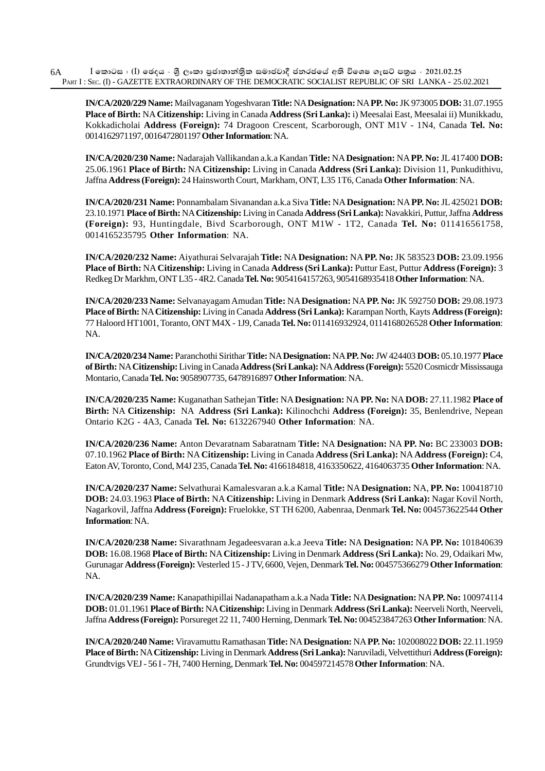**IN/CA/2020/229 Name:** Mailvaganam Yogeshvaran **Title:** NA **Designation:** NA **PP. No:** JK 973005 **DOB:** 31.07.1955 **Place of Birth:** NA **Citizenship:** Living in Canada **Address (Sri Lanka):** i) Meesalai East, Meesalai ii) Munikkadu, Kokkadicholai **Address (Foreign):** 74 Dragoon Crescent, Scarborough, ONT M1V - 1N4, Canada **Tel. No:** 0014162971197, 0016472801197 **Other Information**: NA.

**IN/CA/2020/230 Name:** Nadarajah Vallikandan a.k.a Kandan **Title:** NA **Designation:** NA **PP. No:** JL 417400 **DOB:** 25.06.1961 **Place of Birth:** NA **Citizenship:** Living in Canada **Address (Sri Lanka):** Division 11, Punkudithivu, Jaffna **Address (Foreign):** 24 Hainsworth Court, Markham, ONT, L35 1T6, Canada **Other Information**: NA.

**IN/CA/2020/231 Name:** Ponnambalam Sivanandan a.k.a Siva **Title:** NA **Designation:** NA **PP. No:** JL 425021 **DOB:** 23.10.1971 **Place of Birth:** NA **Citizenship:** Living in Canada **Address (Sri Lanka):** Navakkiri, Puttur, Jaffna **Address (Foreign):** 93, Huntingdale, Bivd Scarborough, ONT M1W - 1T2, Canada **Tel. No:** 011416561758, 0014165235795 **Other Information**: NA.

**IN/CA/2020/232 Name:** Aiyathurai Selvarajah **Title:** NA **Designation:** NA **PP. No:** JK 583523 **DOB:** 23.09.1956 **Place of Birth:** NA **Citizenship:** Living in Canada **Address (Sri Lanka):** Puttur East, Puttur **Address (Foreign):** 3 Redkeg Dr Markhm, ONT L35 - 4R2. Canada **Tel. No:** 9054164157263, 9054168935418 **Other Information**: NA.

**IN/CA/2020/233 Name:** Selvanayagam Amudan **Title:** NA **Designation:** NA **PP. No:** JK 592750 **DOB:** 29.08.1973 **Place of Birth:** NA **Citizenship:** Living in Canada **Address (Sri Lanka):** Karampan North, Kayts **Address (Foreign):** 77 Haloord HT1001, Toranto, ONT M4X - 1J9, Canada **Tel. No:** 011416932924, 0114168026528 **Other Information**: NA.

**IN/CA/2020/234 Name:** Paranchothi Sirithar **Title:** NA **Designation:** NA **PP. No:** JW 424403 **DOB:** 05.10.1977 **Place of Birth:** NA **Citizenship:** Living in Canada **Address (Sri Lanka):** NA **Address (Foreign):** 5520 Cosmicdr Mississauga Montario, Canada **Tel. No:** 9058907735, 6478916897 **Other Information**: NA.

**IN/CA/2020/235 Name:** Kuganathan Sathejan **Title:** NA **Designation:** NA **PP. No:** NA **DOB:** 27.11.1982 **Place of Birth:** NA **Citizenship:** NA **Address (Sri Lanka):** Kilinochchi **Address (Foreign):** 35, Benlendrive, Nepean Ontario K2G - 4A3, Canada **Tel. No:** 6132267940 **Other Information**: NA.

**IN/CA/2020/236 Name:** Anton Devaratnam Sabaratnam **Title:** NA **Designation:** NA **PP. No:** BC 233003 **DOB:** 07.10.1962 **Place of Birth:** NA **Citizenship:** Living in Canada **Address (Sri Lanka):** NA **Address (Foreign):** C4, Eaton AV, Toronto, Cond, M4J 235, Canada **Tel. No:** 4166184818, 4163350622, 4164063735 **Other Information**: NA.

**IN/CA/2020/237 Name:** Selvathurai Kamalesvaran a.k.a Kamal **Title:** NA **Designation:** NA, **PP. No:** 100418710 **DOB:** 24.03.1963 **Place of Birth:** NA **Citizenship:** Living in Denmark **Address (Sri Lanka):** Nagar Kovil North, Nagarkovil, Jaffna **Address (Foreign):** Fruelokke, ST TH 6200, Aabenraa, Denmark **Tel. No:** 004573622544 **Other Information**: NA.

**IN/CA/2020/238 Name:** Sivarathnam Jegadeesvaran a.k.a Jeeva **Title:** NA **Designation:** NA **PP. No:** 101840639 **DOB:** 16.08.1968 **Place of Birth:** NA **Citizenship:** Living in Denmark **Address (Sri Lanka):** No. 29, Odaikari Mw, Gurunagar **Address (Foreign):** Vesterled 15 - J TV, 6600, Vejen, Denmark **Tel. No:** 004575366279 **Other Information**: NA.

**IN/CA/2020/239 Name:** Kanapathipillai Nadanapatham a.k.a Nada **Title:** NA **Designation:** NA **PP. No:** 100974114 **DOB:** 01.01.1961 **Place of Birth:** NA **Citizenship:** Living in Denmark **Address (Sri Lanka):** Neerveli North, Neerveli, Jaffna **Address (Foreign):** Porsureget 22 11, 7400 Herning, Denmark **Tel. No:** 004523847263 **Other Information**: NA.

**IN/CA/2020/240 Name:** Viravamuttu Ramathasan **Title:** NA **Designation:** NA **PP. No:** 102008022 **DOB:** 22.11.1959 **Place of Birth:** NA **Citizenship:** Living in Denmark **Address (Sri Lanka):** Naruviladi, Velvettithuri **Address (Foreign):** Grundtvigs VEJ - 56 I - 7H, 7400 Herning, Denmark **Tel. No:** 004597214578 **Other Information**: NA.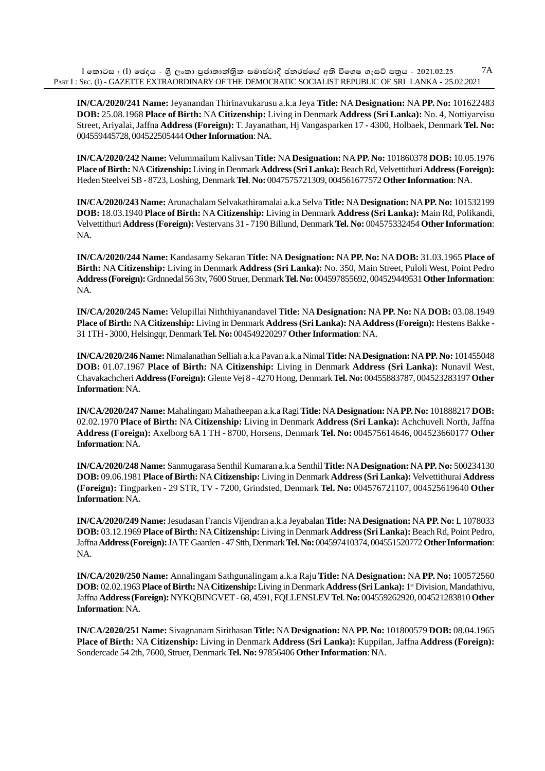**IN/CA/2020/241 Name:** Jeyanandan Thirinavukarusu a.k.a Jeya **Title:** NA **Designation:** NA **PP. No:** 101622483 **DOB:** 25.08.1968 **Place of Birth:** NA **Citizenship:** Living in Denmark **Address (Sri Lanka):** No. 4, Nottiyarvisu Street, Ariyalai, Jaffna **Address (Foreign):** T. Jayanathan, Hj Vangasparken 17 - 4300, Holbaek, Denmark **Tel. No:** 004559445728, 004522505444 **Other Information**: NA.

**IN/CA/2020/242 Name:** Velummailum Kalivsan **Title:** NA **Designation:** NA **PP. No:** 101860378 **DOB:** 10.05.1976 **Place of Birth:** NA **Citizenship:** Living in Denmark **Address (Sri Lanka):** Beach Rd, Velvettithuri **Address (Foreign):** Heden Steelvei SB - 8723, Loshing, Denmark **Tel**. **No:** 0047575721309, 004561677572 **Other Information**: NA.

**IN/CA/2020/243 Name:** Arunachalam Selvakathiramalai a.k.a Selva **Title:** NA **Designation:** NA **PP. No:** 101532199 **DOB:** 18.03.1940 **Place of Birth:** NA **Citizenship:** Living in Denmark **Address (Sri Lanka):** Main Rd, Polikandi, Velvettithuri **Address (Foreign):** Vestervans 31 - 7190 Billund, Denmark **Tel. No:** 004575332454 **Other Information**: NA.

**IN/CA/2020/244 Name:** Kandasamy Sekaran **Title:** NA **Designation:** NA **PP. No:** NA **DOB:** 31.03.1965 **Place of Birth:** NA **Citizenship:** Living in Denmark **Address (Sri Lanka):** No. 350, Main Street, Puloli West, Point Pedro **Address (Foreign):** Grdnnedal 56 3tv, 7600 Struer, Denmark **Tel. No:** 004597855692, 004529449531 **Other Information**: NA.

**IN/CA/2020/245 Name:** Velupillai Niththiyanandavel **Title:** NA **Designation:** NA **PP. No:** NA **DOB:** 03.08.1949 **Place of Birth:** NA **Citizenship:** Living in Denmark **Address (Sri Lanka):** NA **Address (Foreign):** Hestens Bakke - 31 1TH - 3000, Helsingqr, Denmark **Tel. No:** 004549220297 **Other Information**: NA.

**IN/CA/2020/246 Name:** Nimalanathan Selliah a.k.a Pavan a.k.a Nimal **Title:** NA **Designation:** NA **PP. No:** 101455048 **DOB:** 01.07.1967 **Place of Birth:** NA **Citizenship:** Living in Denmark **Address (Sri Lanka):** Nunavil West, Chavakachcheri **Address (Foreign):** Glente Vej 8 - 4270 Hong, Denmark **Tel. No:** 00455883787, 004523283197 **Other Information**: NA.

**IN/CA/2020/247 Name:** Mahalingam Mahatheepan a.k.a Ragi **Title:** NA **Designation:** NA **PP. No:** 101888217 **DOB:** 02.02.1970 **Place of Birth:** NA **Citizenship:** Living in Denmark **Address (Sri Lanka):** Achchuveli North, Jaffna **Address (Foreign):** Axelborg 6A 1 TH - 8700, Horsens, Denmark **Tel. No:** 004575614646, 004523660177 **Other Information**: NA.

**IN/CA/2020/248 Name:** Sanmugarasa Senthil Kumaran a.k.a Senthil **Title:** NA **Designation:** NA **PP. No:** 500234130 **DOB:** 09.06.1981 **Place of Birth:** NA **Citizenship:** Living in Denmark **Address (Sri Lanka):** Velvettithurai **Address (Foreign):** Tingparken - 29 STR, TV - 7200, Grindsted, Denmark **Tel. No:** 004576721107, 004525619640 **Other Information**: NA.

**IN/CA/2020/249 Name:** Jesudasan Francis Vijendran a.k.a Jeyabalan **Title:** NA **Designation:** NA **PP. No:** L 1078033 **DOB:** 03.12.1969 **Place of Birth:** NA **Citizenship:** Living in Denmark **Address (Sri Lanka):** Beach Rd, Point Pedro, Jaffna **Address (Foreign):** JA TE Gaarden - 47 Stth, Denmark **Tel. No:** 004597410374, 004551520772 **Other Information**: NA.

**IN/CA/2020/250 Name:** Annalingam Sathgunalingam a.k.a Raju **Title:** NA **Designation:** NA **PP. No:** 100572560 **DOB:** 02.02.1963 **Place of Birth:** NA **Citizenship:** Living in Denmark **Address (Sri Lanka):** 1st Division, Mandathivu, Jaffna **Address (Foreign):** NYKQBINGVET - 68, 4591, FQLLENSLEV **Tel**. **No:** 004559262920, 004521283810 **Other Information**: NA.

**IN/CA/2020/251 Name:** Sivagnanam Sirithasan **Title:** NA **Designation:** NA **PP. No:** 101800579 **DOB:** 08.04.1965 **Place of Birth:** NA **Citizenship:** Living in Denmark **Address (Sri Lanka):** Kuppilan, Jaffna **Address (Foreign):** Sondercade 54 2th, 7600, Struer, Denmark **Tel. No:** 97856406 **Other Information**: NA.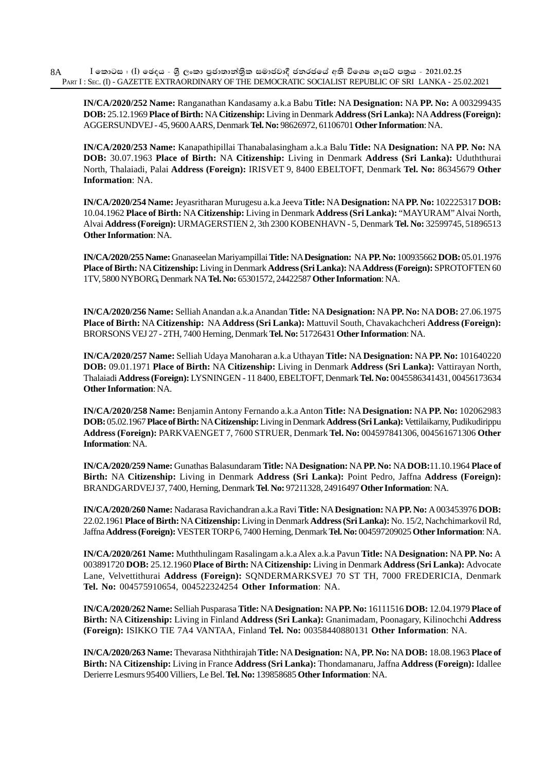**IN/CA/2020/252 Name:** Ranganathan Kandasamy a.k.a Babu **Title:** NA **Designation:** NA **PP. No:** A 003299435 **DOB:** 25.12.1969 **Place of Birth:** NA **Citizenship:** Living in Denmark **Address (Sri Lanka):** NA **Address (Foreign):** AGGERSUNDVEJ - 45, 9600 AARS, Denmark **Tel. No:** 98626972, 61106701 **Other Information**: NA.

**IN/CA/2020/253 Name:** Kanapathipillai Thanabalasingham a.k.a Balu **Title:** NA **Designation:** NA **PP. No:** NA **DOB:** 30.07.1963 **Place of Birth:** NA **Citizenship:** Living in Denmark **Address (Sri Lanka):** Uduththurai North, Thalaiadi, Palai **Address (Foreign):** IRISVET 9, 8400 EBELTOFT, Denmark **Tel. No:** 86345679 **Other Information**: NA.

**IN/CA/2020/254 Name:** Jeyasritharan Murugesu a.k.a Jeeva **Title:** NA **Designation:** NA **PP. No:** 102225317 **DOB:** 10.04.1962 **Place of Birth:** NA **Citizenship:** Living in Denmark **Address (Sri Lanka):** "MAYURAM" Alvai North, Alvai **Address (Foreign):** URMAGERSTIEN 2, 3th 2300 KOBENHAVN - 5, Denmark **Tel. No:** 32599745, 51896513 **Other Information**: NA.

**IN/CA/2020/255 Name:** Gnanaseelan Mariyampillai **Title:** NA **Designation:** NA **PP. No:** 100935662 **DOB:** 05.01.1976 **Place of Birth:** NA **Citizenship:** Living in Denmark **Address (Sri Lanka):** NA **Address (Foreign):** SPROTOFTEN 60 1TV, 5800 NYBORG, Denmark NA **Tel. No:** 65301572, 24422587 **Other Information**: NA.

**IN/CA/2020/256 Name:** Selliah Anandan a.k.a Anandan **Title:** NA **Designation:** NA **PP. No:** NA **DOB:** 27.06.1975 **Place of Birth:** NA **Citizenship:** NA **Address (Sri Lanka):** Mattuvil South, Chavakachcheri **Address (Foreign):** BRORSONS VEJ 27 - 2TH, 7400 Herning, Denmark **Tel. No:** 51726431 **Other Information**: NA.

**IN/CA/2020/257 Name:** Selliah Udaya Manoharan a.k.a Uthayan **Title:** NA **Designation:** NA **PP. No:** 101640220 **DOB:** 09.01.1971 **Place of Birth:** NA **Citizenship:** Living in Denmark **Address (Sri Lanka):** Vattirayan North, Thalaiadi **Address (Foreign):** LYSNINGEN - 11 8400, EBELTOFT, Denmark **Tel. No:** 0045586341431, 00456173634 **Other Information**: NA.

**IN/CA/2020/258 Name:** Benjamin Antony Fernando a.k.a Anton **Title:** NA **Designation:** NA **PP. No:** 102062983 **DOB:** 05.02.1967 **Place of Birth:** NA **Citizenship:** Living in Denmark **Address (Sri Lanka):** Vettilaikarny, Pudikudirippu **Address (Foreign):** PARKVAENGET 7, 7600 STRUER, Denmark **Tel. No:** 004597841306, 004561671306 **Other Information**: NA.

**IN/CA/2020/259 Name:** Gunathas Balasundaram **Title:** NA **Designation:** NA **PP. No:** NA **DOB:**11.10.1964 **Place of Birth:** NA **Citizenship:** Living in Denmark **Address (Sri Lanka):** Point Pedro, Jaffna **Address (Foreign):** BRANDGARDVEJ 37, 7400, Herning, Denmark **Tel**. **No:** 97211328, 24916497 **Other Information**: NA.

**IN/CA/2020/260 Name:** Nadarasa Ravichandran a.k.a Ravi **Title:** NA **Designation:** NA **PP. No:** A 003453976 **DOB:** 22.02.1961 **Place of Birth:** NA **Citizenship:** Living in Denmark **Address (Sri Lanka):** No. 15/2, Nachchimarkovil Rd, Jaffna **Address (Foreign):** VESTER TORP 6, 7400 Herning, Denmark **Tel. No:** 004597209025 **Other Information**: NA.

**IN/CA/2020/261 Name:** Muththulingam Rasalingam a.k.a Alex a.k.a Pavun **Title:** NA **Designation:** NA **PP. No:** A 003891720 **DOB:** 25.12.1960 **Place of Birth:** NA **Citizenship:** Living in Denmark **Address (Sri Lanka):** Advocate Lane, Velvettithurai **Address (Foreign):** SQNDERMARKSVEJ 70 ST TH, 7000 FREDERICIA, Denmark **Tel. No:** 004575910654, 004522324254 **Other Information**: NA.

**IN/CA/2020/262 Name:** Selliah Pusparasa **Title:** NA **Designation:** NA **PP. No:** 16111516 **DOB:** 12.04.1979 **Place of Birth:** NA **Citizenship:** Living in Finland **Address (Sri Lanka):** Gnanimadam, Poonagary, Kilinochchi **Address (Foreign):** ISIKKO TIE 7A4 VANTAA, Finland **Tel. No:** 00358440880131 **Other Information**: NA.

**IN/CA/2020/263 Name:** Thevarasa Niththirajah **Title:** NA **Designation:** NA, **PP. No:** NA **DOB:** 18.08.1963 **Place of Birth:** NA **Citizenship:** Living in France **Address (Sri Lanka):** Thondamanaru, Jaffna **Address (Foreign):** Idallee Derierre Lesmurs 95400 Villiers, Le Bel. **Tel. No:** 139858685 **Other Information**: NA.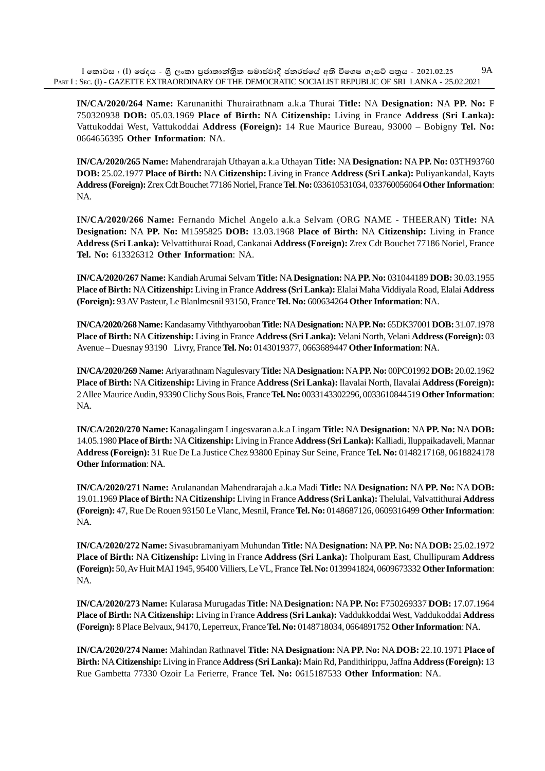**IN/CA/2020/264 Name:** Karunanithi Thurairathnam a.k.a Thurai **Title:** NA **Designation:** NA **PP. No:** F 750320938 **DOB:** 05.03.1969 **Place of Birth:** NA **Citizenship:** Living in France **Address (Sri Lanka):** Vattukoddai West, Vattukoddai **Address (Foreign):** 14 Rue Maurice Bureau, 93000 – Bobigny **Tel. No:** 0664656395 **Other Information**: NA.

**IN/CA/2020/265 Name:** Mahendrarajah Uthayan a.k.a Uthayan **Title:** NA **Designation:** NA **PP. No:** 03TH93760 **DOB:** 25.02.1977 **Place of Birth:** NA **Citizenship:** Living in France **Address (Sri Lanka):** Puliyankandal, Kayts **Address (Foreign):** Zrex Cdt Bouchet 77186 Noriel, France **Tel**. **No:** 033610531034, 033760056064 **Other Information**: NA.

**IN/CA/2020/266 Name:** Fernando Michel Angelo a.k.a Selvam (ORG NAME - THEERAN) **Title:** NA **Designation:** NA **PP. No:** M1595825 **DOB:** 13.03.1968 **Place of Birth:** NA **Citizenship:** Living in France **Address (Sri Lanka):** Velvattithurai Road, Cankanai **Address (Foreign):** Zrex Cdt Bouchet 77186 Noriel, France **Tel. No:** 613326312 **Other Information**: NA.

**IN/CA/2020/267 Name:** Kandiah Arumai Selvam **Title:** NA **Designation:** NA **PP. No:** 031044189 **DOB:** 30.03.1955 **Place of Birth:** NA **Citizenship:** Living in France **Address (Sri Lanka):** Elalai Maha Viddiyala Road, Elalai **Address (Foreign):** 93 AV Pasteur, Le Blanlmesnil 93150, France **Tel. No:** 600634264 **Other Information**: NA.

**IN/CA/2020/268 Name:** Kandasamy Viththyarooban **Title:** NA **Designation:** NA **PP. No:** 65DK37001 **DOB:** 31.07.1978 **Place of Birth:** NA **Citizenship:** Living in France **Address (Sri Lanka):** Velani North, Velani **Address (Foreign):** 03 Avenue – Duesnay 93190 Livry, France **Tel. No:** 0143019377, 0663689447 **Other Information**: NA.

**IN/CA/2020/269 Name:** Ariyarathnam Nagulesvary **Title:** NA **Designation:** NA **PP. No:** 00PC01992 **DOB:** 20.02.1962 **Place of Birth:** NA **Citizenship:** Living in France **Address (Sri Lanka):** Ilavalai North, Ilavalai **Address (Foreign):** 2 Allee Maurice Audin, 93390 Clichy Sous Bois, France **Tel. No:** 0033143302296, 0033610844519 **Other Information**: NA.

**IN/CA/2020/270 Name:** Kanagalingam Lingesvaran a.k.a Lingam **Title:** NA **Designation:** NA **PP. No:** NA **DOB:** 14.05.1980 **Place of Birth:** NA **Citizenship:** Living in France **Address (Sri Lanka):** Kalliadi, Iluppaikadaveli, Mannar **Address (Foreign):** 31 Rue De La Justice Chez 93800 Epinay Sur Seine, France **Tel. No:** 0148217168, 0618824178 **Other Information**: NA.

**IN/CA/2020/271 Name:** Arulanandan Mahendrarajah a.k.a Madi **Title:** NA **Designation:** NA **PP. No:** NA **DOB:** 19.01.1969 **Place of Birth:** NA **Citizenship:** Living in France **Address (Sri Lanka):** Thelulai, Valvattithurai **Address (Foreign):** 47, Rue De Rouen 93150 Le Vlanc, Mesnil, France **Tel. No:** 0148687126, 0609316499 **Other Information**: NA.

**IN/CA/2020/272 Name:** Sivasubramaniyam Muhundan **Title:** NA **Designation:** NA **PP. No:** NA **DOB:** 25.02.1972 **Place of Birth:** NA **Citizenship:** Living in France **Address (Sri Lanka):** Tholpuram East, Chullipuram **Address (Foreign):** 50, Av Huit MAI 1945, 95400 Villiers, Le VL, France **Tel. No:** 0139941824, 0609673332 **Other Information**: NA.

**IN/CA/2020/273 Name:** Kularasa Murugadas **Title:** NA **Designation:** NA **PP. No:** F750269337 **DOB:** 17.07.1964 **Place of Birth:** NA **Citizenship:** Living in France **Address (Sri Lanka):** Vaddukkoddai West, Vaddukoddai **Address (Foreign):** 8 Place Belvaux, 94170, Leperreux, France **Tel. No:** 0148718034, 0664891752 **Other Information**: NA.

**IN/CA/2020/274 Name:** Mahindan Rathnavel **Title:** NA **Designation:** NA **PP. No:** NA **DOB:** 22.10.1971 **Place of Birth:** NA **Citizenship:** Living in France **Address (Sri Lanka):** Main Rd, Pandithirippu, Jaffna **Address (Foreign):** 13 Rue Gambetta 77330 Ozoir La Ferierre, France **Tel. No:** 0615187533 **Other Information**: NA.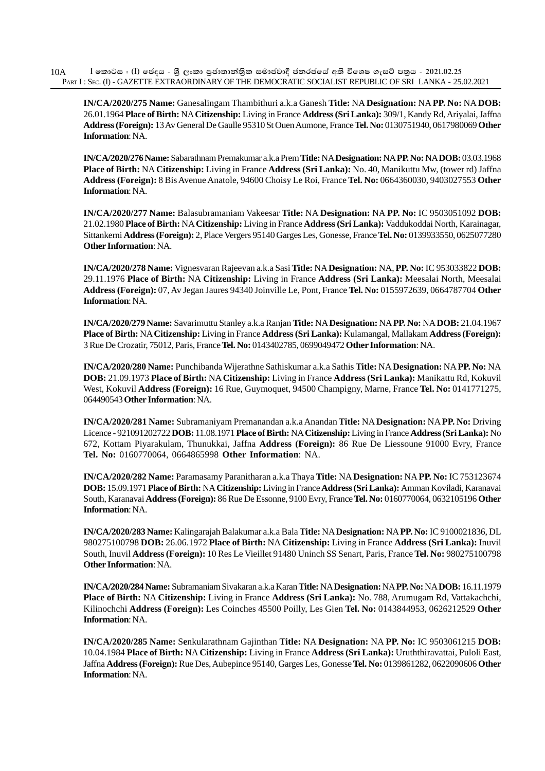$I$  කොටස : (I) ඡෙදය - ශීූ ලංකා පුජාතාන්තික සමාජවාදී ජනරජයේ අති විශෙෂ ගැසට් පතුය - 2021.02.25 PART I : SEC. (I) - GAZETTE EXTRAORDINARY OF THE DEMOCRATIC SOCIALIST REPUBLIC OF SRI LANKA - 25.02.2021 10A

**IN/CA/2020/275 Name:** Ganesalingam Thambithuri a.k.a Ganesh **Title:** NA **Designation:** NA **PP. No:** NA **DOB:** 26.01.1964 **Place of Birth:** NA **Citizenship:** Living in France **Address (Sri Lanka):** 309/1, Kandy Rd, Ariyalai, Jaffna **Address (Foreign):** 13 Av General De Gaulle 95310 St Ouen Aumone, France **Tel. No:** 0130751940, 0617980069 **Other Information**: NA.

**IN/CA/2020/276 Name:** Sabarathnam Premakumar a.k.a Prem **Title:** NA **Designation:** NA **PP. No:** NA **DOB:** 03.03.1968 **Place of Birth:** NA **Citizenship:** Living in France **Address (Sri Lanka):** No. 40, Manikuttu Mw, (tower rd) Jaffna **Address (Foreign):** 8 Bis Avenue Anatole, 94600 Choisy Le Roi, France **Tel. No:** 0664360030, 9403027553 **Other Information**: NA.

**IN/CA/2020/277 Name:** Balasubramaniam Vakeesar **Title:** NA **Designation:** NA **PP. No:** IC 9503051092 **DOB:** 21.02.1980 **Place of Birth:** NA **Citizenship:** Living in France **Address (Sri Lanka):** Vaddukoddai North, Karainagar, Sittankerni **Address (Foreign):** 2, Place Vergers 95140 Garges Les, Gonesse, France **Tel. No:** 0139933550, 0625077280 **Other Information**: NA.

**IN/CA/2020/278 Name:** Vignesvaran Rajeevan a.k.a Sasi **Title:** NA **Designation:** NA, **PP. No:** IC 953033822 **DOB:** 29.11.1976 **Place of Birth:** NA **Citizenship:** Living in France **Address (Sri Lanka):** Meesalai North, Meesalai **Address (Foreign):** 07, Av Jegan Jaures 94340 Joinville Le, Pont, France **Tel. No:** 0155972639, 0664787704 **Other Information**: NA.

**IN/CA/2020/279 Name:** Savarimuttu Stanley a.k.a Ranjan **Title:** NA **Designation:** NA **PP. No:** NA **DOB:** 21.04.1967 **Place of Birth:** NA **Citizenship:** Living in France **Address (Sri Lanka):** Kulamangal, Mallakam **Address (Foreign):** 3 Rue De Crozatir, 75012, Paris, France **Tel. No:** 0143402785, 0699049472 **Other Information**: NA.

**IN/CA/2020/280 Name:** Punchibanda Wijerathne Sathiskumar a.k.a Sathis **Title:** NA **Designation:** NA **PP. No:** NA **DOB:** 21.09.1973 **Place of Birth:** NA **Citizenship:** Living in France **Address (Sri Lanka):** Manikattu Rd, Kokuvil West, Kokuvil **Address (Foreign):** 16 Rue, Guymoquet, 94500 Champigny, Marne, France **Tel. No:** 0141771275, 064490543 **Other Information**: NA.

**IN/CA/2020/281 Name:** Subramaniyam Premanandan a.k.a Anandan **Title:** NA **Designation:** NA **PP. No:** Driving Licence - 921091202722 **DOB:** 11.08.1971 **Place of Birth:** NA **Citizenship:** Living in France **Address (Sri Lanka):** No 672, Kottam Piyarakulam, Thunukkai, Jaffna **Address (Foreign):** 86 Rue De Liessoune 91000 Evry, France **Tel. No:** 0160770064, 0664865998 **Other Information**: NA.

**IN/CA/2020/282 Name:** Paramasamy Paranitharan a.k.a Thaya **Title:** NA **Designation:** NA **PP. No:** IC 753123674 **DOB:** 15.09.1971 **Place of Birth:** NA **Citizenship:** Living in France **Address (Sri Lanka):** Amman Koviladi, Karanavai South, Karanavai **Address (Foreign):** 86 Rue De Essonne, 9100 Evry, France **Tel. No:** 0160770064, 0632105196 **Other Information**: NA.

**IN/CA/2020/283 Name:** Kalingarajah Balakumar a.k.a Bala **Title:** NA **Designation:** NA **PP. No:** IC 9100021836, DL 980275100798 **DOB:** 26.06.1972 **Place of Birth:** NA **Citizenship:** Living in France **Address (Sri Lanka):** Inuvil South, Inuvil **Address (Foreign):** 10 Res Le Vieillet 91480 Uninch SS Senart, Paris, France **Tel. No:** 980275100798 **Other Information**: NA.

**IN/CA/2020/284 Name:** Subramaniam Sivakaran a.k.a Karan **Title:** NA **Designation:** NA **PP. No:** NA **DOB:** 16.11.1979 **Place of Birth:** NA **Citizenship:** Living in France **Address (Sri Lanka):** No. 788, Arumugam Rd, Vattakachchi, Kilinochchi **Address (Foreign):** Les Coinches 45500 Poilly, Les Gien **Tel. No:** 0143844953, 0626212529 **Other Information**: NA.

**IN/CA/2020/285 Name:** S**e**nkularathnam Gajinthan **Title:** NA **Designation:** NA **PP. No:** IC 9503061215 **DOB:** 10.04.1984 **Place of Birth:** NA **Citizenship:** Living in France **Address (Sri Lanka):** Uruththiravattai, Puloli East, Jaffna **Address (Foreign):** Rue Des, Aubepince 95140, Garges Les, Gonesse **Tel. No:** 0139861282, 0622090606 **Other Information**: NA.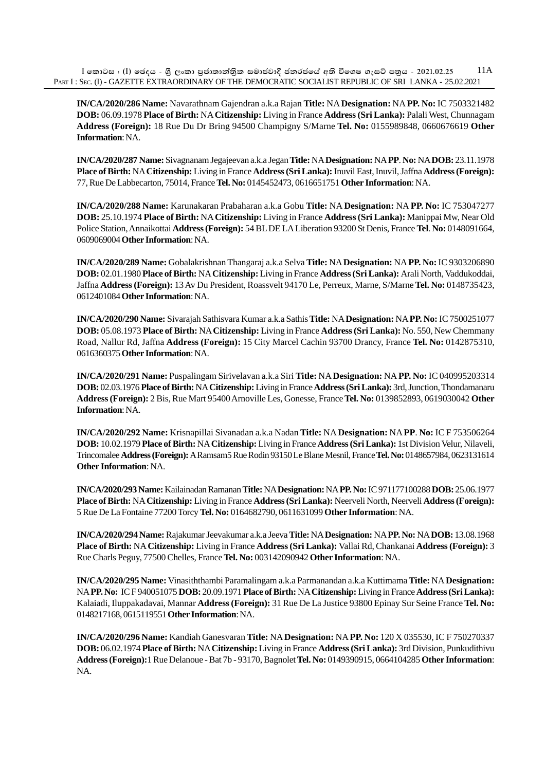$I$  කොටස : (I) ඡෙදය - ශීූ ලංකා පුජාතාන්තික සමාජවාදී ජනරජයේ අති විශෙෂ ගැසට් පතුය - 2021.02.25 PART I : SEC. (I) - GAZETTE EXTRAORDINARY OF THE DEMOCRATIC SOCIALIST REPUBLIC OF SRI LANKA - 25.02.2021 11A

**IN/CA/2020/286 Name:** Navarathnam Gajendran a.k.a Rajan **Title:** NA **Designation:** NA **PP. No:** IC 7503321482 **DOB:** 06.09.1978 **Place of Birth:** NA **Citizenship:** Living in France **Address (Sri Lanka):** Palali West, Chunnagam **Address (Foreign):** 18 Rue Du Dr Bring 94500 Champigny S/Marne **Tel. No:** 0155989848, 0660676619 **Other Information**: NA.

**IN/CA/2020/287 Name:** Sivagnanam Jegajeevan a.k.a Jegan **Title:** NA **Designation:** NA **PP**. **No:** NA **DOB:** 23.11.1978 **Place of Birth:** NA **Citizenship:** Living in France **Address (Sri Lanka):** Inuvil East, Inuvil, Jaffna **Address (Foreign):** 77, Rue De Labbecarton, 75014, France **Tel. No:** 0145452473, 0616651751 **Other Information**: NA.

**IN/CA/2020/288 Name:** Karunakaran Prabaharan a.k.a Gobu **Title:** NA **Designation:** NA **PP. No:** IC 753047277 **DOB:** 25.10.1974 **Place of Birth:** NA **Citizenship:** Living in France **Address (Sri Lanka):** Manippai Mw, Near Old Police Station, Annaikottai **Address (Foreign):** 54 BL DE LA Liberation 93200 St Denis, France **Tel**. **No:** 0148091664, 0609069004 **Other Information**: NA.

**IN/CA/2020/289 Name:** Gobalakrishnan Thangaraj a.k.a Selva **Title:** NA **Designation:** NA **PP. No:** IC 9303206890 **DOB:** 02.01.1980 **Place of Birth:** NA **Citizenship:** Living in France **Address (Sri Lanka):** Arali North, Vaddukoddai, Jaffna **Address (Foreign):** 13 Av Du President, Roassvelt 94170 Le, Perreux, Marne, S/Marne **Tel. No:** 0148735423, 0612401084 **Other Information**: NA.

**IN/CA/2020/290 Name:** Sivarajah Sathisvara Kumar a.k.a Sathis **Title:** NA **Designation:** NA **PP. No:** IC 7500251077 **DOB:** 05.08.1973 **Place of Birth:** NA **Citizenship:** Living in France **Address (Sri Lanka):** No. 550, New Chemmany Road, Nallur Rd, Jaffna **Address (Foreign):** 15 City Marcel Cachin 93700 Drancy, France **Tel. No:** 0142875310, 0616360375 **Other Information**: NA.

**IN/CA/2020/291 Name:** Puspalingam Sirivelavan a.k.a Siri **Title:** NA **Designation:** NA **PP. No:** IC 040995203314 **DOB:** 02.03.1976 **Place of Birth:** NA **Citizenship:** Living in France **Address (Sri Lanka):** 3rd, Junction, Thondamanaru **Address (Foreign):** 2 Bis, Rue Mart 95400 Arnoville Les, Gonesse, France **Tel. No:** 0139852893, 0619030042 **Other Information**: NA.

**IN/CA/2020/292 Name:** Krisnapillai Sivanadan a.k.a Nadan **Title:** NA **Designation:** NA **PP**. **No:** IC F 753506264 **DOB:** 10.02.1979 **Place of Birth:** NA **Citizenship:** Living in France **Address (Sri Lanka):** 1st Division Velur, Nilaveli, Trincomalee **Address (Foreign):** A Ramsam5 Rue Rodin 93150 Le Blane Mesnil, France **Tel. No:** 0148657984, 0623131614 **Other Information**: NA.

**IN/CA/2020/293 Name:** Kailainadan Ramanan **Title:** NA **Designation:** NA **PP. No:** IC 971177100288 **DOB:** 25.06.1977 **Place of Birth:** NA **Citizenship:** Living in France **Address (Sri Lanka):** Neerveli North, Neerveli **Address (Foreign):** 5 Rue De La Fontaine 77200 Torcy **Tel. No:** 0164682790, 0611631099 **Other Information**: NA.

**IN/CA/2020/294 Name:** Rajakumar Jeevakumar a.k.a Jeeva **Title:** NA **Designation:** NA **PP. No:** NA **DOB:** 13.08.1968 **Place of Birth:** NA **Citizenship:** Living in France **Address (Sri Lanka):** Vallai Rd, Chankanai **Address (Foreign):** 3 Rue Charls Peguy, 77500 Chelles, France **Tel. No:** 003142090942 **Other Information**: NA.

**IN/CA/2020/295 Name:** Vinasiththambi Paramalingam a.k.a Parmanandan a.k.a Kuttimama **Title:** NA **Designation:** NA **PP. No:** IC F 940051075 **DOB:** 20.09.1971 **Place of Birth:** NA **Citizenship:** Living in France **Address (Sri Lanka):** Kalaiadi, Iluppakadavai, Mannar **Address (Foreign):** 31 Rue De La Justice 93800 Epinay Sur Seine France **Tel. No:** 0148217168, 0615119551 **Other Information**: NA.

**IN/CA/2020/296 Name:** Kandiah Ganesvaran **Title:** NA **Designation:** NA **PP. No:** 120 X 035530, IC F 750270337 **DOB:** 06.02.1974 **Place of Birth:** NA **Citizenship:** Living in France **Address (Sri Lanka):** 3rd Division, Punkudithivu **Address (Foreign):**1 Rue Delanoue - Bat 7b - 93170, Bagnolet **Tel. No:** 0149390915, 0664104285 **Other Information**: NA.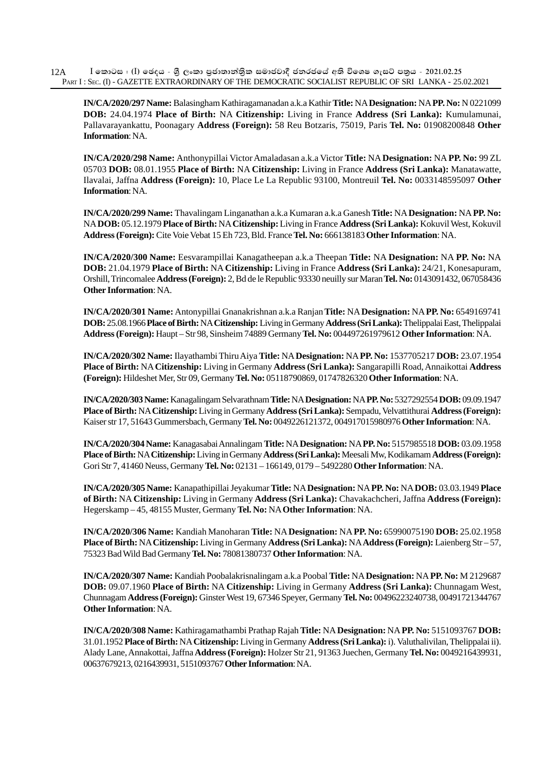**IN/CA/2020/297 Name:** Balasingham Kathiragamanadan a.k.a Kathir **Title:** NA **Designation:** NA **PP. No:** N 0221099 **DOB:** 24.04.1974 **Place of Birth:** NA **Citizenship:** Living in France **Address (Sri Lanka):** Kumulamunai, Pallavarayankattu, Poonagary **Address (Foreign):** 58 Reu Botzaris, 75019, Paris **Tel. No:** 01908200848 **Other Information**: NA.

**IN/CA/2020/298 Name:** Anthonypillai Victor Amaladasan a.k.a Victor **Title:** NA **Designation:** NA **PP. No:** 99 ZL 05703 **DOB:** 08.01.1955 **Place of Birth:** NA **Citizenship:** Living in France **Address (Sri Lanka):** Manatawatte, Ilavalai, Jaffna **Address (Foreign):** 10, Place Le La Republic 93100, Montreuil **Tel. No:** 0033148595097 **Other Information**: NA.

**IN/CA/2020/299 Name:** Thavalingam Linganathan a.k.a Kumaran a.k.a Ganesh **Title:** NA **Designation:** NA **PP. No:** NA **DOB:** 05.12.1979 **Place of Birth:** NA **Citizenship:** Living in France **Address (Sri Lanka):** Kokuvil West, Kokuvil **Address (Foreign):** Cite Voie Vebat 15 Eh 723, Bld. France **Tel. No:** 666138183 **Other Information**: NA.

**IN/CA/2020/300 Name:** Eesvarampillai Kanagatheepan a.k.a Theepan **Title:** NA **Designation:** NA **PP. No:** NA **DOB:** 21.04.1979 **Place of Birth:** NA **Citizenship:** Living in France **Address (Sri Lanka):** 24/21, Konesapuram, Orshill, Trincomalee **Address (Foreign):** 2, Bd de le Republic 93330 neuilly sur Maran **Tel. No:** 0143091432, 067058436 **Other Information**: NA.

**IN/CA/2020/301 Name:** Antonypillai Gnanakrishnan a.k.a Ranjan **Title:** NA **Designation:** NA **PP. No:** 6549169741 **DOB:** 25.08.1966 **Place of Birth:** NA **Citizenship:** Living in Germany **Address (Sri Lanka):** Thelippalai East, Thelippalai **Address (Foreign):** Haupt – Str 98, Sinsheim 74889 Germany **Tel. No:** 004497261979612 **Other Information**: NA.

**IN/CA/2020/302 Name:** Ilayathambi Thiru Aiya **Title:** NA **Designation:** NA **PP. No:** 1537705217 **DOB:** 23.07.1954 **Place of Birth:** NA **Citizenship:** Living in Germany **Address (Sri Lanka):** Sangarapilli Road, Annaikottai **Address (Foreign):** Hildeshet Mer, Str 09, Germany **Tel. No:** 05118790869, 01747826320 **Other Information**: NA.

**IN/CA/2020/303 Name:** Kanagalingam Selvarathnam **Title:** NA **Designation:** NA **PP. No:** 5327292554 **DOB:** 09.09.1947 **Place of Birth:** NA **Citizenship:** Living in Germany **Address (Sri Lanka):** Sempadu, Velvattithurai **Address (Foreign):** Kaiser str 17, 51643 Gummersbach, Germany **Tel. No:** 0049226121372, 004917015980976 **Other Information**: NA.

**IN/CA/2020/304 Name:** Kanagasabai Annalingam **Title:** NA **Designation:** NA **PP. No:** 5157985518 **DOB:** 03.09.1958 **Place of Birth: NA Citizenship:** Living in Germany **Address (Sri Lanka):** Meesali Mw, Kodikamam **Address (Foreign):** Gori Str 7, 41460 Neuss, Germany **Tel. No:** 02131 – 166149, 0179 – 5492280 **Other Information**: NA.

**IN/CA/2020/305 Name:** Kanapathipillai Jeyakumar **Title:** NA **Designation:** NA **PP. No:** NA **DOB:** 03.03.1949 **Place of Birth:** NA **Citizenship:** Living in Germany **Address (Sri Lanka):** Chavakachcheri, Jaffna **Address (Foreign):** Hegerskamp – 45, 48155 Muster, Germany **Tel. No:** NA **Othe**r **Information**: NA.

**IN/CA/2020/306 Name:** Kandiah Manoharan **Title:** NA **Designation:** NA **PP. No:** 65990075190 **DOB:** 25.02.1958 **Place of Birth:** NA **Citizenship:** Living in Germany **Address (Sri Lanka):** NA **Address (Foreign):** Laienberg Str – 57, 75323 Bad Wild Bad Germany **Tel. No:** 78081380737 **Other Information**: NA.

**IN/CA/2020/307 Name:** Kandiah Poobalakrisnalingam a.k.a Poobal **Title:** NA **Designation:** NA **PP. No:** M 2129687 **DOB:** 09.07.1960 **Place of Birth:** NA **Citizenship:** Living in Germany **Address (Sri Lanka):** Chunnagam West, Chunnagam **Address (Foreign):** Ginster West 19, 67346 Speyer, Germany **Tel. No:** 00496223240738, 00491721344767 **Other Information**: NA.

**IN/CA/2020/308 Name:** Kathiragamathambi Prathap Rajah **Title:** NA **Designation:** NA **PP. No:** 5151093767 **DOB:** 31.01.1952 **Place of Birth:** NA **Citizenship:** Living in Germany **Address (Sri Lanka):** i). Valuthalivilan, Thelippalai ii). Alady Lane, Annakottai, Jaffna **Address (Foreign):** Holzer Str 21, 91363 Juechen, Germany **Tel. No:** 0049216439931, 00637679213, 0216439931, 5151093767 **Other Information**: NA.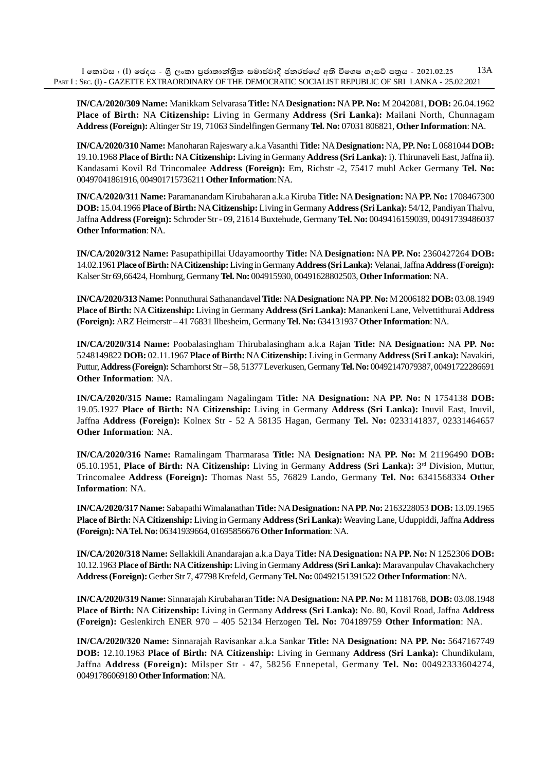**IN/CA/2020/309 Name:** Manikkam Selvarasa **Title:** NA **Designation:** NA **PP. No:** M 2042081, **DOB:** 26.04.1962 **Place of Birth:** NA **Citizenship:** Living in Germany **Address (Sri Lanka):** Mailani North, Chunnagam **Address (Foreign):** Altinger Str 19, 71063 Sindelfingen Germany **Tel. No:** 07031 806821, **Other Information**: NA.

**IN/CA/2020/310 Name:** Manoharan Rajeswary a.k.a Vasanthi **Title:** NA **Designation:** NA, **PP. No:** L 0681044 **DOB:** 19.10.1968 **Place of Birth:** NA **Citizenship:** Living in Germany **Address (Sri Lanka):** i). Thirunaveli East, Jaffna ii). Kandasami Kovil Rd Trincomalee **Address (Foreign):** Em, Richstr -2, 75417 muhl Acker Germany **Tel. No:** 00497041861916, 004901715736211 **Other Information**: NA.

**IN/CA/2020/311 Name:** Paramanandam Kirubaharan a.k.a Kiruba **Title:** NA **Designation:** NA **PP. No:** 1708467300 **DOB:** 15.04.1966 **Place of Birth:** NA **Citizenship:** Living in Germany **Address (Sri Lanka):** 54/12, Pandiyan Thalvu, Jaffna **Address (Foreign):** Schroder Str - 09, 21614 Buxtehude, Germany **Tel. No:** 0049416159039, 00491739486037 **Other Information**: NA.

**IN/CA/2020/312 Name:** Pasupathipillai Udayamoorthy **Title:** NA **Designation:** NA **PP. No:** 2360427264 **DOB:** 14.02.1961 **Place of Birth:** NA **Citizenship:** Living in Germany **Address (Sri Lanka):** Velanai, Jaffna **Address (Foreign):** Kalser Str 69,66424, Homburg, Germany **Tel. No:** 004915930, 00491628802503, **Other Information**: NA.

**IN/CA/2020/313 Name:** Ponnuthurai Sathanandavel **Title:** NA **Designation:** NA **PP**. **No:** M 2006182 **DOB:** 03.08.1949 **Place of Birth:** NA **Citizenship:** Living in Germany **Address (Sri Lanka):** Manankeni Lane, Velvettithurai **Address (Foreign):** ARZ Heimerstr – 41 76831 Ilbesheim, Germany **Tel. No:** 634131937 **Other Information**: NA.

**IN/CA/2020/314 Name:** Poobalasingham Thirubalasingham a.k.a Rajan **Title:** NA **Designation:** NA **PP. No:** 5248149822 **DOB:** 02.11.1967 **Place of Birth:** NA **Citizenship:** Living in Germany **Address (Sri Lanka):** Navakiri, Puttur, **Address (Foreign):** Scharnhorst Str – 58, 51377 Leverkusen, Germany **Tel. No:** 00492147079387, 00491722286691 **Other Information**: NA.

**IN/CA/2020/315 Name:** Ramalingam Nagalingam **Title:** NA **Designation:** NA **PP. No:** N 1754138 **DOB:** 19.05.1927 **Place of Birth:** NA **Citizenship:** Living in Germany **Address (Sri Lanka):** Inuvil East, Inuvil, Jaffna **Address (Foreign):** Kolnex Str - 52 A 58135 Hagan, Germany **Tel. No:** 0233141837, 02331464657 **Other Information**: NA.

**IN/CA/2020/316 Name:** Ramalingam Tharmarasa **Title:** NA **Designation:** NA **PP. No:** M 21196490 **DOB:** 05.10.1951, **Place of Birth:** NA **Citizenship:** Living in Germany **Address (Sri Lanka):** 3rd Division, Muttur, Trincomalee **Address (Foreign):** Thomas Nast 55, 76829 Lando, Germany **Tel. No:** 6341568334 **Other Information**: NA.

**IN/CA/2020/317 Name:** Sabapathi Wimalanathan **Title:** NA **Designation:** NA **PP. No:** 2163228053 **DOB:** 13.09.1965 **Place of Birth:** NA **Citizenship:** Living in Germany **Address (Sri Lanka):** Weaving Lane, Uduppiddi, Jaffna **Address (Foreign): NA Tel. No:** 06341939664, 01695856676 **Other Information**: NA.

**IN/CA/2020/318 Name:** Sellakkili Anandarajan a.k.a Daya **Title:** NA **Designation:** NA **PP. No:** N 1252306 **DOB:** 10.12.1963 **Place of Birth:** NA **Citizenship:** Living in Germany **Address (Sri Lanka):** Maravanpulav Chavakachchery **Address (Foreign):** Gerber Str 7, 47798 Krefeld, Germany **Tel. No:** 00492151391522 **Other Information**: NA.

**IN/CA/2020/319 Name:** Sinnarajah Kirubaharan **Title:** NA **Designation:** NA **PP. No:** M 1181768, **DOB:** 03.08.1948 **Place of Birth:** NA **Citizenship:** Living in Germany **Address (Sri Lanka):** No. 80, Kovil Road, Jaffna **Address (Foreign):** Geslenkirch ENER 970 – 405 52134 Herzogen **Tel. No:** 704189759 **Other Information**: NA.

**IN/CA/2020/320 Name:** Sinnarajah Ravisankar a.k.a Sankar **Title:** NA **Designation:** NA **PP. No:** 5647167749 **DOB:** 12.10.1963 **Place of Birth:** NA **Citizenship:** Living in Germany **Address (Sri Lanka):** Chundikulam, Jaffna **Address (Foreign):** Milsper Str - 47, 58256 Ennepetal, Germany **Tel. No:** 00492333604274, 00491786069180 **Other Information**: NA.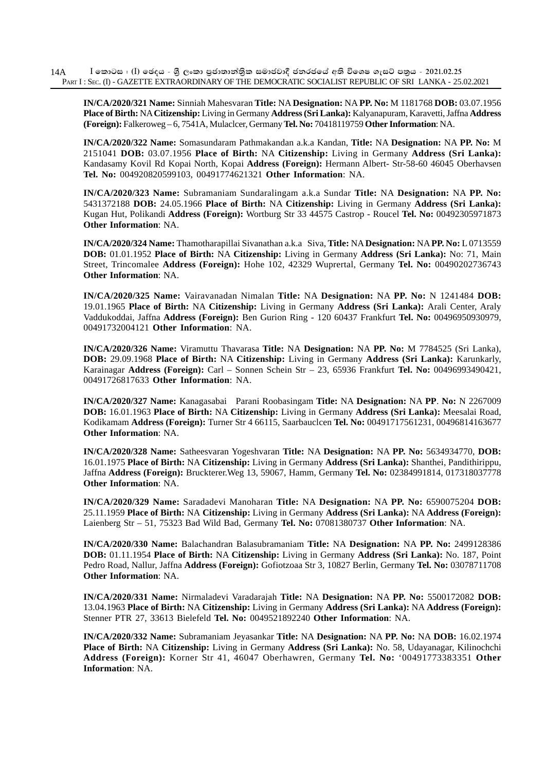**IN/CA/2020/321 Name:** Sinniah Mahesvaran **Title:** NA **Designation:** NA **PP. No:** M 1181768 **DOB:** 03.07.1956 **Place of Birth:** NA **Citizenship:** Living in Germany **Address (Sri Lanka):** Kalyanapuram, Karavetti, Jaffna **Address (Foreign):** Falkeroweg – 6, 7541A, Mulaclcer, Germany **Tel. No:** 70418119759 **Other Information**: NA.

**IN/CA/2020/322 Name:** Somasundaram Pathmakandan a.k.a Kandan, **Title:** NA **Designation:** NA **PP. No:** M 2151041 **DOB:** 03.07.1956 **Place of Birth:** NA **Citizenship:** Living in Germany **Address (Sri Lanka):** Kandasamy Kovil Rd Kopai North, Kopai **Address (Foreign):** Hermann Albert- Str-58-60 46045 Oberhavsen **Tel. No:** 004920820599103, 00491774621321 **Other Information**: NA.

**IN/CA/2020/323 Name:** Subramaniam Sundaralingam a.k.a Sundar **Title:** NA **Designation:** NA **PP. No:** 5431372188 **DOB:** 24.05.1966 **Place of Birth:** NA **Citizenship:** Living in Germany **Address (Sri Lanka):** Kugan Hut, Polikandi **Address (Foreign):** Wortburg Str 33 44575 Castrop - Roucel **Tel. No:** 00492305971873 **Other Information**: NA.

**IN/CA/2020/324 Name:** Thamotharapillai Sivanathan a.k.a Siva, **Title:** NA **Designation:** NA **PP. No:** L 0713559 **DOB:** 01.01.1952 **Place of Birth:** NA **Citizenship:** Living in Germany **Address (Sri Lanka):** No: 71, Main Street, Trincomalee **Address (Foreign):** Hohe 102, 42329 Wuprertal, Germany **Tel. No:** 00490202736743 **Other Information**: NA.

**IN/CA/2020/325 Name:** Vairavanadan Nimalan **Title:** NA **Designation:** NA **PP. No:** N 1241484 **DOB:** 19.01.1965 **Place of Birth:** NA **Citizenship:** Living in Germany **Address (Sri Lanka):** Arali Center, Araly Vaddukoddai, Jaffna **Address (Foreign):** Ben Gurion Ring - 120 60437 Frankfurt **Tel. No:** 00496950930979, 00491732004121 **Other Information**: NA.

**IN/CA/2020/326 Name:** Viramuttu Thavarasa **Title:** NA **Designation:** NA **PP. No:** M 7784525 (Sri Lanka), **DOB:** 29.09.1968 **Place of Birth:** NA **Citizenship:** Living in Germany **Address (Sri Lanka):** Karunkarly, Karainagar **Address (Foreign):** Carl – Sonnen Schein Str – 23, 65936 Frankfurt **Tel. No:** 00496993490421, 00491726817633 **Other Information**: NA.

**IN/CA/2020/327 Name:** Kanagasabai Parani Roobasingam **Title:** NA **Designation:** NA **PP**. **No:** N 2267009 **DOB:** 16.01.1963 **Place of Birth:** NA **Citizenship:** Living in Germany **Address (Sri Lanka):** Meesalai Road, Kodikamam **Address (Foreign):** Turner Str 4 66115, Saarbauclcen **Tel. No:** 00491717561231, 00496814163677 **Other Information**: NA.

**IN/CA/2020/328 Name:** Satheesvaran Yogeshvaran **Title:** NA **Designation:** NA **PP. No:** 5634934770, **DOB:** 16.01.1975 **Place of Birth:** NA **Citizenship:** Living in Germany **Address (Sri Lanka):** Shanthei, Pandithirippu, Jaffna **Address (Foreign):** Bruckterer.Weg 13, 59067, Hamm, Germany **Tel. No:** 02384991814, 017318037778 **Other Information**: NA.

**IN/CA/2020/329 Name:** Saradadevi Manoharan **Title:** NA **Designation:** NA **PP. No:** 6590075204 **DOB:** 25.11.1959 **Place of Birth:** NA **Citizenship:** Living in Germany **Address (Sri Lanka):** NA **Address (Foreign):** Laienberg Str – 51, 75323 Bad Wild Bad, Germany **Tel. No:** 07081380737 **Other Information**: NA.

**IN/CA/2020/330 Name:** Balachandran Balasubramaniam **Title:** NA **Designation:** NA **PP. No:** 2499128386 **DOB:** 01.11.1954 **Place of Birth:** NA **Citizenship:** Living in Germany **Address (Sri Lanka):** No. 187, Point Pedro Road, Nallur, Jaffna **Address (Foreign):** Gofiotzoaa Str 3, 10827 Berlin, Germany **Tel. No:** 03078711708 **Other Information**: NA.

**IN/CA/2020/331 Name:** Nirmaladevi Varadarajah **Title:** NA **Designation:** NA **PP. No:** 5500172082 **DOB:** 13.04.1963 **Place of Birth:** NA **Citizenship:** Living in Germany **Address (Sri Lanka):** NA **Address (Foreign):** Stenner PTR 27, 33613 Bielefeld **Tel. No:** 0049521892240 **Other Information**: NA.

**IN/CA/2020/332 Name:** Subramaniam Jeyasankar **Title:** NA **Designation:** NA **PP. No:** NA **DOB:** 16.02.1974 **Place of Birth:** NA **Citizenship:** Living in Germany **Address (Sri Lanka):** No. 58, Udayanagar, Kilinochchi **Address (Foreign):** Korner Str 41, 46047 Oberhawren, Germany **Tel. No:** '00491773383351 **Other Information**: NA.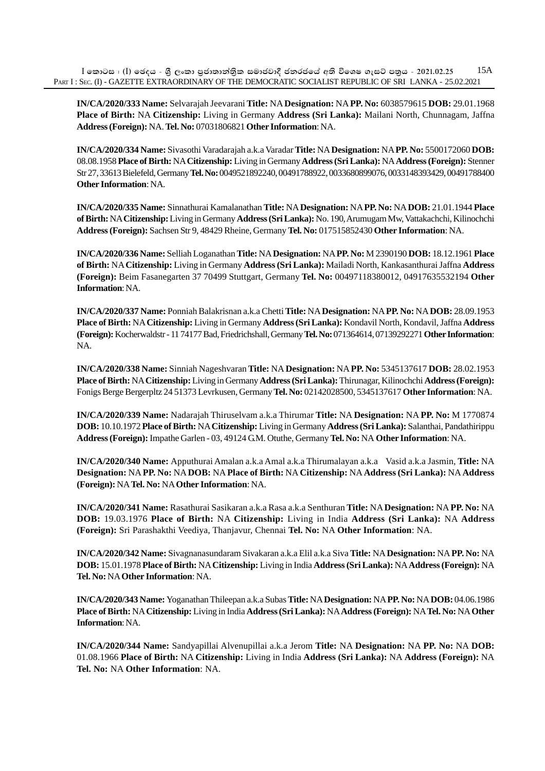$I$  කොටස : (I) ඡෙදය - ශීූ ලංකා පුජාතාන්තික සමාජවාදී ජනරජයේ අති විශෙෂ ගැසට් පතුය - 2021.02.25 PART I : SEC. (I) - GAZETTE EXTRAORDINARY OF THE DEMOCRATIC SOCIALIST REPUBLIC OF SRI LANKA - 25.02.2021 15A

**IN/CA/2020/333 Name:** Selvarajah Jeevarani **Title:** NA **Designation:** NA **PP. No:** 6038579615 **DOB:** 29.01.1968 **Place of Birth:** NA **Citizenship:** Living in Germany **Address (Sri Lanka):** Mailani North, Chunnagam, Jaffna **Address (Foreign):** NA. **Tel. No:** 07031806821 **Other Information**: NA.

**IN/CA/2020/334 Name:** Sivasothi Varadarajah a.k.a Varadar **Title:** NA **Designation:** NA **PP. No:** 5500172060 **DOB:** 08.08.1958 **Place of Birth:** NA **Citizenship:** Living in Germany **Address (Sri Lanka):** NA **Address (Foreign):** Stenner Str 27, 33613 Bielefeld, Germany **Tel. No:** 0049521892240, 00491788922, 0033680899076, 0033148393429, 00491788400 **Other Information**: NA.

**IN/CA/2020/335 Name:** Sinnathurai Kamalanathan **Title:** NA **Designation:** NA **PP. No:** NA **DOB:** 21.01.1944 **Place of Birth:** NA **Citizenship:** Living in Germany **Address (Sri Lanka):** No. 190, Arumugam Mw, Vattakachchi, Kilinochchi **Address (Foreign):** Sachsen Str 9, 48429 Rheine, Germany **Tel. No:** 017515852430 **Other Information**: NA.

**IN/CA/2020/336 Name:** Selliah Loganathan **Title:** NA **Designation:** NA **PP. No:** M 2390190 **DOB:** 18.12.1961 **Place of Birth:** NA **Citizenship:** Living in Germany **Address (Sri Lanka):** Mailadi North, Kankasanthurai Jaffna **Address (Foreign):** Beim Fasanegarten 37 70499 Stuttgart, Germany **Tel. No:** 00497118380012, 04917635532194 **Other Information**: NA.

**IN/CA/2020/337 Name:** Ponniah Balakrisnan a.k.a Chetti **Title:** NA **Designation:** NA **PP. No:** NA **DOB:** 28.09.1953 **Place of Birth:** NA **Citizenship:** Living in Germany **Address (Sri Lanka):** Kondavil North, Kondavil, Jaffna **Address (Foreign):** Kocherwaldstr - 11 74177 Bad, Friedrichshall, Germany **Tel. No:** 071364614, 07139292271 **Other Information**: NA.

**IN/CA/2020/338 Name:** Sinniah Nageshvaran **Title:** NA **Designation:** NA **PP. No:** 5345137617 **DOB:** 28.02.1953 **Place of Birth:** NA **Citizenship:** Living in Germany **Address (Sri Lanka):** Thirunagar, Kilinochchi **Address (Foreign):** Fonigs Berge Bergerpltz 24 51373 Levrkusen, Germany **Tel. No:** 02142028500, 5345137617 **Other Information**: NA.

**IN/CA/2020/339 Name:** Nadarajah Thiruselvam a.k.a Thirumar **Title:** NA **Designation:** NA **PP. No:** M 1770874 **DOB:** 10.10.1972 **Place of Birth:** NA **Citizenship:** Living in Germany **Address (Sri Lanka):** Salanthai, Pandathirippu **Address (Foreign):** Impathe Garlen - 03, 49124 G.M. Otuthe, Germany **Tel. No:** NA **Other Information**: NA.

**IN/CA/2020/340 Name:** Apputhurai Amalan a.k.a Amal a.k.a Thirumalayan a.k.a Vasid a.k.a Jasmin, **Title:** NA **Designation:** NA **PP. No:** NA **DOB:** NA **Place of Birth:** NA **Citizenship:** NA **Address (Sri Lanka):** NA **Address (Foreign):** NA **Tel. No:** NA **Other Information**: NA.

**IN/CA/2020/341 Name:** Rasathurai Sasikaran a.k.a Rasa a.k.a Senthuran **Title:** NA **Designation:** NA **PP. No:** NA **DOB:** 19.03.1976 **Place of Birth:** NA **Citizenship:** Living in India **Address (Sri Lanka):** NA **Address (Foreign):** Sri Parashakthi Veediya, Thanjavur, Chennai **Tel. No:** NA **Other Information**: NA.

**IN/CA/2020/342 Name:** Sivagnanasundaram Sivakaran a.k.a Elil a.k.a Siva **Title:** NA **Designation:** NA **PP. No:** NA **DOB:** 15.01.1978 **Place of Birth:** NA **Citizenship:** Living in India **Address (Sri Lanka):** NA **Address (Foreign):** NA **Tel. No:** NA **Other Information**: NA.

**IN/CA/2020/343 Name:** Yoganathan Thileepan a.k.a Subas **Title:** NA **Designation:** NA **PP. No:** NA **DOB:** 04.06.1986 **Place of Birth:** NA **Citizenship:** Living in India **Address (Sri Lanka):** NA **Address (Foreign):** NA **Tel. No:** NA **Other Information**: NA.

**IN/CA/2020/344 Name:** Sandyapillai Alvenupillai a.k.a Jerom **Title:** NA **Designation:** NA **PP. No:** NA **DOB:** 01.08.1966 **Place of Birth:** NA **Citizenship:** Living in India **Address (Sri Lanka):** NA **Address (Foreign):** NA **Tel. No:** NA **Other Information**: NA.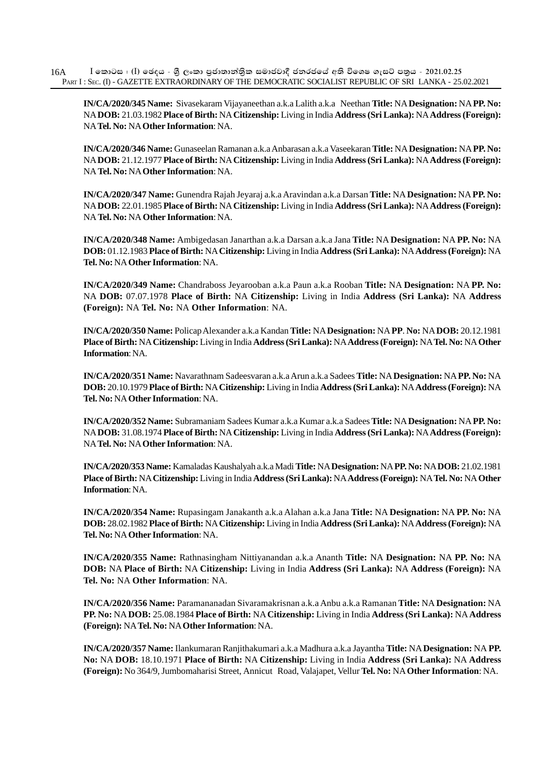**IN/CA/2020/345 Name:** Sivasekaram Vijayaneethan a.k.a Lalith a.k.a Neethan **Title:** NA **Designation:** NA **PP. No:** NA **DOB:** 21.03.1982 **Place of Birth:** NA **Citizenship:** Living in India **Address (Sri Lanka):** NA **Address (Foreign):** NA **Tel. No:** NA **Other Information**: NA.

**IN/CA/2020/346 Name:** Gunaseelan Ramanan a.k.a Anbarasan a.k.a Vaseekaran **Title:** NA **Designation:** NA **PP. No:** NA **DOB:** 21.12.1977 **Place of Birth:** NA **Citizenship:** Living in India **Address (Sri Lanka):** NA **Address (Foreign):** NA **Tel. No:** NA **Other Information**: NA.

**IN/CA/2020/347 Name:** Gunendra Rajah Jeyaraj a.k.a Aravindan a.k.a Darsan **Title:** NA **Designation:** NA **PP. No:** NA **DOB:** 22.01.1985 **Place of Birth:** NA **Citizenship:** Living in India **Address (Sri Lanka):** NA **Address (Foreign):** NA **Tel. No:** NA **Other Information**: NA.

**IN/CA/2020/348 Name:** Ambigedasan Janarthan a.k.a Darsan a.k.a Jana **Title:** NA **Designation:** NA **PP. No:** NA **DOB:** 01.12.1983 **Place of Birth:** NA **Citizenship:** Living in India **Address (Sri Lanka):** NA **Address (Foreign):** NA **Tel. No:** NA **Other Information**: NA.

**IN/CA/2020/349 Name:** Chandraboss Jeyarooban a.k.a Paun a.k.a Rooban **Title:** NA **Designation:** NA **PP. No:** NA **DOB:** 07.07.1978 **Place of Birth:** NA **Citizenship:** Living in India **Address (Sri Lanka):** NA **Address (Foreign):** NA **Tel. No:** NA **Other Information**: NA.

**IN/CA/2020/350 Name:** Policap Alexander a.k.a Kandan **Title:** NA **Designation:** NA **PP**. **No:** NA **DOB:** 20.12.1981 **Place of Birth:** NA **Citizenship:** Living in India **Address (Sri Lanka):** NA **Address (Foreign):** NA **Tel. No:** NA **Other Information**: NA.

**IN/CA/2020/351 Name:** Navarathnam Sadeesvaran a.k.a Arun a.k.a Sadees **Title:** NA **Designation:** NA **PP. No:** NA **DOB:** 20.10.1979 **Place of Birth:** NA **Citizenship:** Living in India **Address (Sri Lanka):** NA **Address (Foreign):** NA **Tel. No:** NA **Other Information**: NA.

**IN/CA/2020/352 Name:** Subramaniam Sadees Kumar a.k.a Kumar a.k.a Sadees **Title:** NA **Designation:** NA **PP. No:** NA **DOB:** 31.08.1974 **Place of Birth:** NA **Citizenship:** Living in India **Address (Sri Lanka):** NA **Address (Foreign):** NA **Tel. No:** NA **Other Information**: NA.

**IN/CA/2020/353 Name:** Kamaladas Kaushalyah a.k.a Madi **Title:** NA **Designation:** NA **PP. No:** NA **DOB:** 21.02.1981 **Place of Birth:** NA **Citizenship:** Living in India **Address (Sri Lanka):** NA **Address (Foreign):** NA **Tel. No:** NA **Other Information**: NA.

**IN/CA/2020/354 Name:** Rupasingam Janakanth a.k.a Alahan a.k.a Jana **Title:** NA **Designation:** NA **PP. No:** NA **DOB:** 28.02.1982 **Place of Birth:** NA **Citizenship:** Living in India **Address (Sri Lanka):** NA **Address (Foreign):** NA **Tel. No:** NA **Other Information**: NA.

**IN/CA/2020/355 Name:** Rathnasingham Nittiyanandan a.k.a Ananth **Title:** NA **Designation:** NA **PP. No:** NA **DOB:** NA **Place of Birth:** NA **Citizenship:** Living in India **Address (Sri Lanka):** NA **Address (Foreign):** NA **Tel. No:** NA **Other Information**: NA.

**IN/CA/2020/356 Name:** Paramananadan Sivaramakrisnan a.k.a Anbu a.k.a Ramanan **Title:** NA **Designation:** NA **PP. No:** NA **DOB:** 25.08.1984 **Place of Birth:** NA **Citizenship:** Living in India **Address (Sri Lanka):** NA **Address (Foreign):** NA **Tel. No:** NA **Other Information**: NA.

**IN/CA/2020/357 Name:** Ilankumaran Ranjithakumari a.k.a Madhura a.k.a Jayantha **Title:** NA **Designation:** NA **PP. No:** NA **DOB:** 18.10.1971 **Place of Birth:** NA **Citizenship:** Living in India **Address (Sri Lanka):** NA **Address (Foreign):** No 364/9, Jumbomaharisi Street, Annicut Road, Valajapet, Vellur **Tel. No:** NA **Other Information**: NA.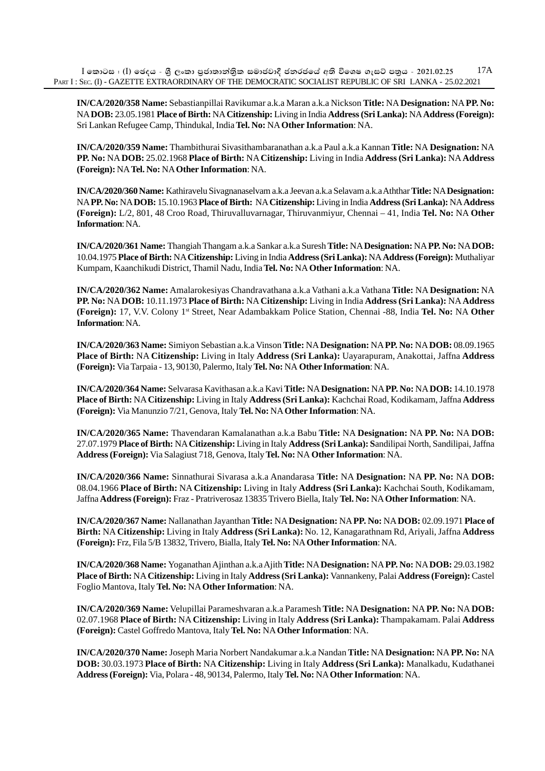**IN/CA/2020/358 Name:** Sebastianpillai Ravikumar a.k.a Maran a.k.a Nickson **Title:** NA **Designation:** NA **PP. No:** NA **DOB:** 23.05.1981 **Place of Birth:** NA **Citizenship:** Living in India **Address (Sri Lanka):** NA **Address (Foreign):** Sri Lankan Refugee Camp, Thindukal, India **Tel. No:** NA **Other Information**: NA.

**IN/CA/2020/359 Name:** Thambithurai Sivasithambaranathan a.k.a Paul a.k.a Kannan **Title:** NA **Designation:** NA **PP. No:** NA **DOB:** 25.02.1968 **Place of Birth:** NA **Citizenship:** Living in India **Address (Sri Lanka):** NA **Address (Foreign):** NA **Tel. No:** NA **Other Information**: NA.

**IN/CA/2020/360 Name:** Kathiravelu Sivagnanaselvam a.k.a Jeevan a.k.a Selavam a.k.a Aththar **Title:** NA **Designation:** NA **PP. No:** NA **DOB:** 15.10.1963 **Place of Birth:** NA **Citizenship:** Living in India **Address (Sri Lanka):** NA **Address (Foreign):** L/2, 801, 48 Croo Road, Thiruvalluvarnagar, Thiruvanmiyur, Chennai – 41, India **Tel. No:** NA **Other Information**: NA.

**IN/CA/2020/361 Name:** Thangiah Thangam a.k.a Sankar a.k.a Suresh **Title:** NA **Designation:** NA **PP. No:** NA **DOB:** 10.04.1975 **Place of Birth:** NA **Citizenship:** Living in India **Address (Sri Lanka):** NA **Address (Foreign):** Muthaliyar Kumpam, Kaanchikudi District, Thamil Nadu, India **Tel. No:** NA **Other Information**: NA.

**IN/CA/2020/362 Name:** Amalarokesiyas Chandravathana a.k.a Vathani a.k.a Vathana **Title:** NA **Designation:** NA **PP. No:** NA **DOB:** 10.11.1973 **Place of Birth:** NA **Citizenship:** Living in India **Address (Sri Lanka):** NA **Address (Foreign):** 17, V.V. Colony 1st Street, Near Adambakkam Police Station, Chennai -88, India **Tel. No:** NA **Other Information**: NA.

**IN/CA/2020/363 Name:** Simiyon Sebastian a.k.a Vinson **Title:** NA **Designation:** NA **PP. No:** NA **DOB:** 08.09.1965 **Place of Birth:** NA **Citizenship:** Living in Italy **Address (Sri Lanka):** Uayarapuram, Anakottai, Jaffna **Address (Foreign):** Via Tarpaia - 13, 90130, Palermo, Italy **Tel. No:** NA **Other Information**: NA.

**IN/CA/2020/364 Name:** Selvarasa Kavithasan a.k.a Kavi **Title:** NA **Designation:** NA **PP. No:** NA **DOB:** 14.10.1978 **Place of Birth:** NA **Citizenship:** Living in Italy **Address (Sri Lanka):** Kachchai Road, Kodikamam, Jaffna **Address (Foreign):** Via Manunzio 7/21, Genova, Italy **Tel. No:** NA **Other Information**: NA.

**IN/CA/2020/365 Name:** Thavendaran Kamalanathan a.k.a Babu **Title:** NA **Designation:** NA **PP. No:** NA **DOB:** 27.07.1979 **Place of Birth:** NA **Citizenship:** Living in Italy **Address (Sri Lanka): S**andilipai North, Sandilipai, Jaffna **Address (Foreign):** Via Salagiust 718, Genova, Italy **Tel. No:** NA **Other Information**: NA.

**IN/CA/2020/366 Name:** Sinnathurai Sivarasa a.k.a Anandarasa **Title:** NA **Designation:** NA **PP. No:** NA **DOB:** 08.04.1966 **Place of Birth:** NA **Citizenship:** Living in Italy **Address (Sri Lanka):** Kachchai South, Kodikamam, Jaffna **Address (Foreign):** Fraz - Pratriverosaz 13835 Trivero Biella, Italy **Tel. No:** NA **Other Information**: NA.

**IN/CA/2020/367 Name:** Nallanathan Jayanthan **Title:** NA **Designation:** NA **PP. No:** NA **DOB:** 02.09.1971 **Place of Birth:** NA **Citizenship:** Living in Italy **Address (Sri Lanka):** No. 12, Kanagarathnam Rd, Ariyali, Jaffna **Address (Foreign):** Frz, Fila 5/B 13832, Trivero, Bialla, Italy **Tel. No:** NA **Other Information**: NA.

**IN/CA/2020/368 Name:** Yoganathan Ajinthan a.k.a Ajith **Title:** NA **Designation:** NA **PP. No:** NA **DOB:** 29.03.1982 **Place of Birth:** NA **Citizenship:** Living in Italy **Address (Sri Lanka):** Vannankeny, Palai **Address (Foreign):** Castel Foglio Mantova, Italy **Tel. No:** NA **Other Information**: NA.

**IN/CA/2020/369 Name:** Velupillai Parameshvaran a.k.a Paramesh **Title:** NA **Designation:** NA **PP. No:** NA **DOB:** 02.07.1968 **Place of Birth:** NA **Citizenship:** Living in Italy **Address (Sri Lanka):** Thampakamam. Palai **Address (Foreign):** Castel Goffredo Mantova, Italy **Tel. No:** NA **Other Information**: NA.

**IN/CA/2020/370 Name:** Joseph Maria Norbert Nandakumar a.k.a Nandan **Title:** NA **Designation:** NA **PP. No:** NA **DOB:** 30.03.1973 **Place of Birth:** NA **Citizenship:** Living in Italy **Address (Sri Lanka):** Manalkadu, Kudathanei **Address (Foreign):** Via, Polara - 48, 90134, Palermo, Italy **Tel. No:** NA **Other Information**: NA.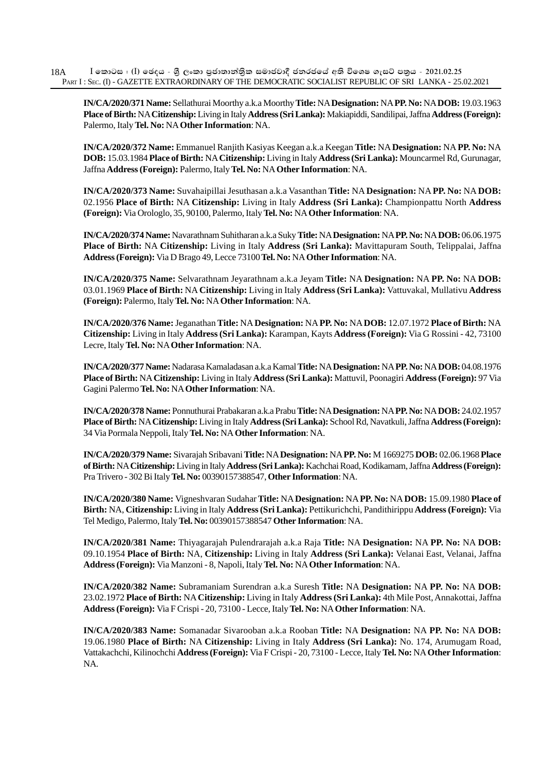**IN/CA/2020/371 Name:** Sellathurai Moorthy a.k.a Moorthy **Title:** NA **Designation:** NA **PP. No:** NA **DOB:** 19.03.1963 **Place of Birth:** NA **Citizenship:** Living in Italy **Address (Sri Lanka):** Makiapiddi, Sandilipai, Jaffna **Address (Foreign):** Palermo, Italy **Tel. No:** NA **Other Information**: NA.

**IN/CA/2020/372 Name:** Emmanuel Ranjith Kasiyas Keegan a.k.a Keegan **Title:** NA **Designation:** NA **PP. No:** NA **DOB:** 15.03.1984 **Place of Birth:** NA **Citizenship:** Living in Italy **Address (Sri Lanka):** Mouncarmel Rd, Gurunagar, Jaffna **Address (Foreign):** Palermo, Italy **Tel. No:** NA **Other Information**: NA.

**IN/CA/2020/373 Name:** Suvahaipillai Jesuthasan a.k.a Vasanthan **Title:** NA **Designation:** NA **PP. No:** NA **DOB:** 02.1956 **Place of Birth:** NA **Citizenship:** Living in Italy **Address (Sri Lanka):** Championpattu North **Address (Foreign):** Via Orologlo, 35, 90100, Palermo, Italy **Tel. No:** NA **Other Information**: NA.

**IN/CA/2020/374 Name:** Navarathnam Suhitharan a.k.a Suky **Title:** NA **Designation:** NA **PP. No:** NA **DOB:** 06.06.1975 **Place of Birth:** NA **Citizenship:** Living in Italy **Address (Sri Lanka):** Mavittapuram South, Telippalai, Jaffna **Address (Foreign):** Via D Brago 49, Lecce 73100 **Tel. No:** NA **Other Information**: NA.

**IN/CA/2020/375 Name:** Selvarathnam Jeyarathnam a.k.a Jeyam **Title:** NA **Designation:** NA **PP. No:** NA **DOB:** 03.01.1969 **Place of Birth:** NA **Citizenship:** Living in Italy **Address (Sri Lanka):** Vattuvakal, Mullativu **Address (Foreign):** Palermo, Italy **Tel. No:** NA **Other Information**: NA.

**IN/CA/2020/376 Name:** Jeganathan **Title:** NA **Designation:** NA **PP. No:** NA **DOB:** 12.07.1972 **Place of Birth:** NA **Citizenship:** Living in Italy **Address (Sri Lanka):** Karampan, Kayts **Address (Foreign):** Via G Rossini - 42, 73100 Lecre, Italy **Tel. No:** NA **Other Information**: NA.

**IN/CA/2020/377 Name:** Nadarasa Kamaladasan a.k.a Kamal **Title:** NA **Designation:** NA **PP. No:** NA **DOB:** 04.08.1976 **Place of Birth:** NA **Citizenship:** Living in Italy **Address (Sri Lanka):** Mattuvil, Poonagiri **Address (Foreign):** 97 Via Gagini Palermo **Tel. No:** NA **Other Information**: NA.

**IN/CA/2020/378 Name:** Ponnuthurai Prabakaran a.k.a Prabu **Title:** NA **Designation:** NA **PP. No:** NA **DOB:** 24.02.1957 **Place of Birth:** NA **Citizenship:** Living in Italy **Address (Sri Lanka):** School Rd, Navatkuli, Jaffna **Address (Foreign):** 34 Via Pormala Neppoli, Italy **Tel. No:** NA **Other Information**: NA.

**IN/CA/2020/379 Name:** Sivarajah Sribavani **Title:** NA **Designation:** NA **PP. No:** M 1669275 **DOB:** 02.06.1968 **Place of Birth:** NA **Citizenship:** Living in Italy **Address (Sri Lanka):** Kachchai Road, Kodikamam, Jaffna **Address (Foreign):** Pra Trivero - 302 Bi Italy **Tel. No:** 00390157388547, **Other Information**: NA.

**IN/CA/2020/380 Name:** Vigneshvaran Sudahar **Title:** NA **Designation:** NA **PP. No:** NA **DOB:** 15.09.1980 **Place of Birth:** NA, **Citizenship:** Living in Italy **Address (Sri Lanka):** Pettikurichchi, Pandithirippu **Address (Foreign):** Via Tel Medigo, Palermo, Italy **Tel. No:** 00390157388547 **Other Information**: NA.

**IN/CA/2020/381 Name:** Thiyagarajah Pulendrarajah a.k.a Raja **Title:** NA **Designation:** NA **PP. No:** NA **DOB:** 09.10.1954 **Place of Birth:** NA, **Citizenship:** Living in Italy **Address (Sri Lanka):** Velanai East, Velanai, Jaffna **Address (Foreign):** Via Manzoni - 8, Napoli, Italy **Tel. No:** NA **Other Information**: NA.

**IN/CA/2020/382 Name:** Subramaniam Surendran a.k.a Suresh **Title:** NA **Designation:** NA **PP. No:** NA **DOB:** 23.02.1972 **Place of Birth:** NA **Citizenship:** Living in Italy **Address (Sri Lanka):** 4th Mile Post, Annakottai, Jaffna **Address (Foreign):** Via F Crispi - 20, 73100 - Lecce, Italy **Tel. No:** NA **Other Information**: NA.

**IN/CA/2020/383 Name:** Somanadar Sivarooban a.k.a Rooban **Title:** NA **Designation:** NA **PP. No:** NA **DOB:** 19.06.1980 **Place of Birth:** NA **Citizenship:** Living in Italy **Address (Sri Lanka):** No. 174, Arumugam Road, Vattakachchi, Kilinochchi **Address (Foreign):** Via F Crispi - 20, 73100 - Lecce, Italy **Tel. No:** NA **Other Information**: NA.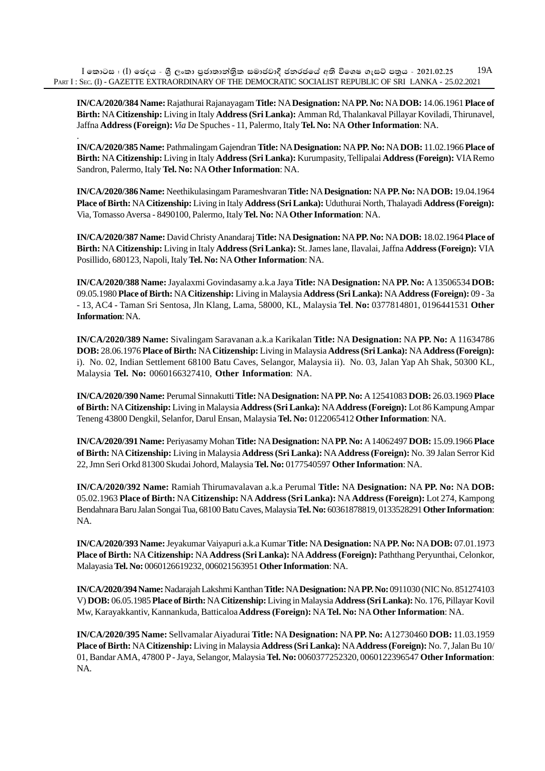$I$  කොටස : (I) ඡෙදය - ශීූ ලංකා පුජාතාන්තික සමාජවාදී ජනරජයේ අති විශෙෂ ගැසට් පතුය - 2021.02.25 PART I : SEC. (I) - GAZETTE EXTRAORDINARY OF THE DEMOCRATIC SOCIALIST REPUBLIC OF SRI LANKA - 25.02.2021 19A

.

**IN/CA/2020/384 Name:** Rajathurai Rajanayagam **Title:** NA **Designation:** NA **PP. No:** NA **DOB:** 14.06.1961 **Place of Birth:** NA **Citizenship:** Living in Italy **Address (Sri Lanka):** Amman Rd, Thalankaval Pillayar Koviladi, Thirunavel, Jaffna **Address (Foreign):** *Via* De Spuches - 11, Palermo, Italy **Tel. No:** NA **Other Information**: NA.

**IN/CA/2020/385 Name:** Pathmalingam Gajendran **Title:** NA **Designation:** NA **PP. No:** NA **DOB:** 11.02.1966 **Place of Birth:** NA **Citizenship:** Living in Italy **Address (Sri Lanka):** Kurumpasity, Tellipalai **Address (Foreign):** VIA Remo Sandron, Palermo, Italy **Tel. No:** NA **Other Information**: NA.

**IN/CA/2020/386 Name:** Neethikulasingam Parameshvaran **Title:** NA **Designation:** NA **PP. No:** NA **DOB:** 19.04.1964 **Place of Birth:** NA **Citizenship:** Living in Italy **Address (Sri Lanka):** Uduthurai North, Thalayadi **Address (Foreign):** Via, Tomasso Aversa - 8490100, Palermo, Italy **Tel. No:** NA **Other Information**: NA.

**IN/CA/2020/387 Name:** David Christy Anandaraj **Title:** NA **Designation:** NA **PP. No:** NA **DOB:** 18.02.1964 **Place of Birth:** NA **Citizenship:** Living in Italy **Address (Sri Lanka):** St. James lane, Ilavalai, Jaffna **Address (Foreign):** VIA Posillido, 680123, Napoli, Italy **Tel. No:** NA **Other Information**: NA.

**IN/CA/2020/388 Name:** Jayalaxmi Govindasamy a.k.a Jaya **Title:** NA **Designation:** NA **PP. No:** A 13506534 **DOB:** 09.05.1980 **Place of Birth:** NA **Citizenship:** Living in Malaysia **Address (Sri Lanka):** NA **Address (Foreign):** 09 - 3a - 13, AC4 - Taman Sri Sentosa, Jln Klang, Lama, 58000, KL, Malaysia **Tel**. **No:** 0377814801, 0196441531 **Other Information**: NA.

**IN/CA/2020/389 Name:** Sivalingam Saravanan a.k.a Karikalan **Title:** NA **Designation:** NA **PP. No:** A 11634786 **DOB:** 28.06.1976 **Place of Birth:** NA **Citizenship:** Living in Malaysia **Address (Sri Lanka):** NA **Address (Foreign):** i). No. 02, Indian Settlement 68100 Batu Caves, Selangor, Malaysia ii). No. 03, Jalan Yap Ah Shak, 50300 KL, Malaysia **Tel. No:** 0060166327410, **Other Information**: NA.

**IN/CA/2020/390 Name:** Perumal Sinnakutti **Title:** NA **Designation:** NA **PP. No:** A 12541083 **DOB:** 26.03.1969 **Place of Birth:** NA **Citizenship:** Living in Malaysia **Address (Sri Lanka):** NA **Address (Foreign):** Lot 86 Kampung Ampar Teneng 43800 Dengkil, Selanfor, Darul Ensan, Malaysia **Tel. No:** 0122065412 **Other Information**: NA.

**IN/CA/2020/391 Name:** Periyasamy Mohan **Title:** NA **Designation:** NA **PP. No:** A 14062497 **DOB:** 15.09.1966 **Place of Birth:** NA **Citizenship:** Living in Malaysia **Address (Sri Lanka):** NA **Address (Foreign):** No. 39 Jalan Serror Kid 22, Jmn Seri Orkd 81300 Skudai Johord, Malaysia **Tel. No:** 0177540597 **Other Information**: NA.

**IN/CA/2020/392 Name:** Ramiah Thirumavalavan a.k.a Perumal **Title:** NA **Designation:** NA **PP. No:** NA **DOB:** 05.02.1963 **Place of Birth:** NA **Citizenship:** NA **Address (Sri Lanka):** NA **Address (Foreign):** Lot 274, Kampong Bendahnara Baru Jalan Songai Tua, 68100 Batu Caves, Malaysia **Tel. No:** 60361878819, 0133528291 **Other Information**: NA.

**IN/CA/2020/393 Name:** Jeyakumar Vaiyapuri a.k.a Kumar **Title:** NA **Designation:** NA **PP. No:** NA **DOB:** 07.01.1973 **Place of Birth:** NA **Citizenship:** NA **Address (Sri Lanka):** NA **Address (Foreign):** Paththang Peryunthai, Celonkor, Malayasia **Tel. No:** 0060126619232, 006021563951 **Other Information**: NA.

**IN/CA/2020/394 Name:** Nadarajah Lakshmi Kanthan **Title:** NA **Designation:** NA **PP. No:** 0911030 (NIC No. 851274103 V) **DOB:** 06.05.1985 **Place of Birth:** NA **Citizenship:** Living in Malaysia **Address (Sri Lanka):** No. 176, Pillayar Kovil Mw, Karayakkantiv, Kannankuda, Batticaloa **Address (Foreign):** NA **Tel. No:** NA **Other Information**: NA.

**IN/CA/2020/395 Name:** Sellvamalar Aiyadurai **Title:** NA **Designation:** NA **PP. No:** A12730460 **DOB:** 11.03.1959 **Place of Birth:** NA **Citizenship:** Living in Malaysia **Address (Sri Lanka):** NA **Address (Foreign):** No. 7, Jalan Bu 10/ 01, Bandar AMA, 47800 P - Jaya, Selangor, Malaysia **Tel. No:** 0060377252320, 0060122396547 **Other Information**: NA.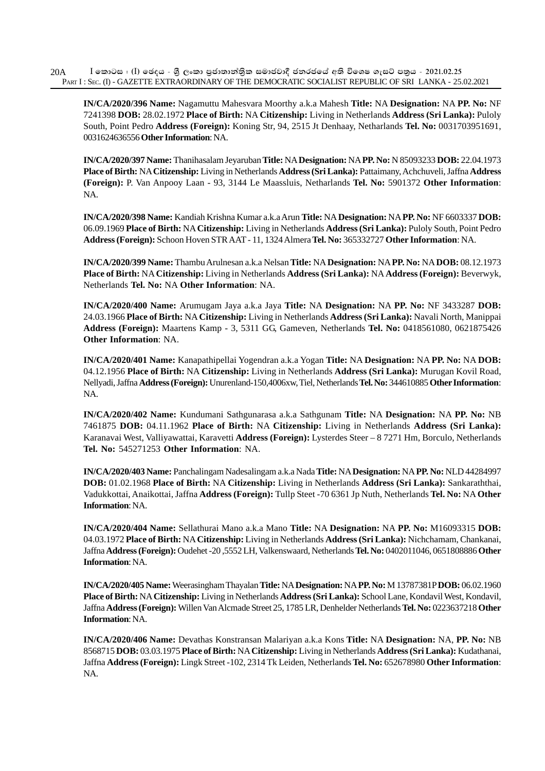**IN/CA/2020/396 Name:** Nagamuttu Mahesvara Moorthy a.k.a Mahesh **Title:** NA **Designation:** NA **PP. No:** NF 7241398 **DOB:** 28.02.1972 **Place of Birth:** NA **Citizenship:** Living in Netherlands **Address (Sri Lanka):** Puloly South, Point Pedro **Address (Foreign):** Koning Str, 94, 2515 Jt Denhaay, Netharlands **Tel. No:** 0031703951691, 0031624636556 **Other Information**: NA.

**IN/CA/2020/397 Name:** Thanihasalam Jeyaruban **Title:** NA **Designation:** NA **PP. No:** N 85093233 **DOB:** 22.04.1973 **Place of Birth:** NA **Citizenship:** Living in Netherlands **Address (Sri Lanka):** Pattaimany, Achchuveli, Jaffna **Address (Foreign):** P. Van Anpooy Laan - 93, 3144 Le Maassluis, Netharlands **Tel. No:** 5901372 **Other Information**: NA.

**IN/CA/2020/398 Name:** Kandiah Krishna Kumar a.k.a Arun **Title:** NA **Designation:** NA **PP. No:** NF 6603337 **DOB:** 06.09.1969 **Place of Birth:** NA **Citizenship:** Living in Netherlands **Address (Sri Lanka):** Puloly South, Point Pedro **Address (Foreign):** Schoon Hoven STR AAT - 11, 1324 Almera **Tel. No:** 365332727 **Other Information**: NA.

**IN/CA/2020/399 Name:** Thambu Arulnesan a.k.a Nelsan **Title:** NA **Designation:** NA **PP. No:** NA **DOB:** 08.12.1973 **Place of Birth:** NA **Citizenship:** Living in Netherlands **Address (Sri Lanka):** NA **Address (Foreign):** Beverwyk, Netherlands **Tel. No:** NA **Other Information**: NA.

**IN/CA/2020/400 Name:** Arumugam Jaya a.k.a Jaya **Title:** NA **Designation:** NA **PP. No:** NF 3433287 **DOB:** 24.03.1966 **Place of Birth:** NA **Citizenship:** Living in Netherlands **Address (Sri Lanka):** Navali North, Manippai **Address (Foreign):** Maartens Kamp - 3, 5311 GG, Gameven, Netherlands **Tel. No:** 0418561080, 0621875426 **Other Information**: NA.

**IN/CA/2020/401 Name:** Kanapathipellai Yogendran a.k.a Yogan **Title:** NA **Designation:** NA **PP. No:** NA **DOB:** 04.12.1956 **Place of Birth:** NA **Citizenship:** Living in Netherlands **Address (Sri Lanka):** Murugan Kovil Road, Nellyadi, Jaffna **Address (Foreign):** Unurenland-150,4006xw, Tiel, Netherlands **Tel. No:** 344610885 **Other Information**: NA.

**IN/CA/2020/402 Name:** Kundumani Sathgunarasa a.k.a Sathgunam **Title:** NA **Designation:** NA **PP. No:** NB 7461875 **DOB:** 04.11.1962 **Place of Birth:** NA **Citizenship:** Living in Netherlands **Address (Sri Lanka):** Karanavai West, Valliyawattai, Karavetti **Address (Foreign):** Lysterdes Steer – 8 7271 Hm, Borculo, Netherlands **Tel. No:** 545271253 **Other Information**: NA.

**IN/CA/2020/403 Name:** Panchalingam Nadesalingam a.k.a Nada **Title:** NA **Designation:** NA **PP. No:** NLD 44284997 **DOB:** 01.02.1968 **Place of Birth:** NA **Citizenship:** Living in Netherlands **Address (Sri Lanka):** Sankaraththai, Vadukkottai, Anaikottai, Jaffna **Address (Foreign):** Tullp Steet -70 6361 Jp Nuth, Netherlands **Tel. No:** NA **Other Information**: NA.

**IN/CA/2020/404 Name:** Sellathurai Mano a.k.a Mano **Title:** NA **Designation:** NA **PP. No:** M16093315 **DOB:** 04.03.1972 **Place of Birth:** NA **Citizenship:** Living in Netherlands **Address (Sri Lanka):** Nichchamam, Chankanai, Jaffna **Address (Foreign):** Oudehet -20 ,5552 LH, Valkenswaard, Netherlands **Tel. No:** 0402011046, 0651808886 **Other Information**: NA.

**IN/CA/2020/405 Name:** Weerasingham Thayalan **Title:** NA **Designation:** NA **PP. No:** M 13787381P **DOB:** 06.02.1960 **Place of Birth:** NA **Citizenship:** Living in Netherlands **Address (Sri Lanka):** School Lane, Kondavil West, Kondavil, Jaffna **Address (Foreign):** Willen Van Alcmade Street 25, 1785 LR, Denhelder Netherlands **Tel. No:** 0223637218 **Other Information**: NA.

**IN/CA/2020/406 Name:** Devathas Konstransan Malariyan a.k.a Kons **Title:** NA **Designation:** NA, **PP. No:** NB 8568715 **DOB:** 03.03.1975 **Place of Birth:** NA **Citizenship:** Living in Netherlands **Address (Sri Lanka):** Kudathanai, Jaffna **Address (Foreign):** Lingk Street -102, 2314 Tk Leiden, Netherlands **Tel. No:** 652678980 **Other Information**: NA.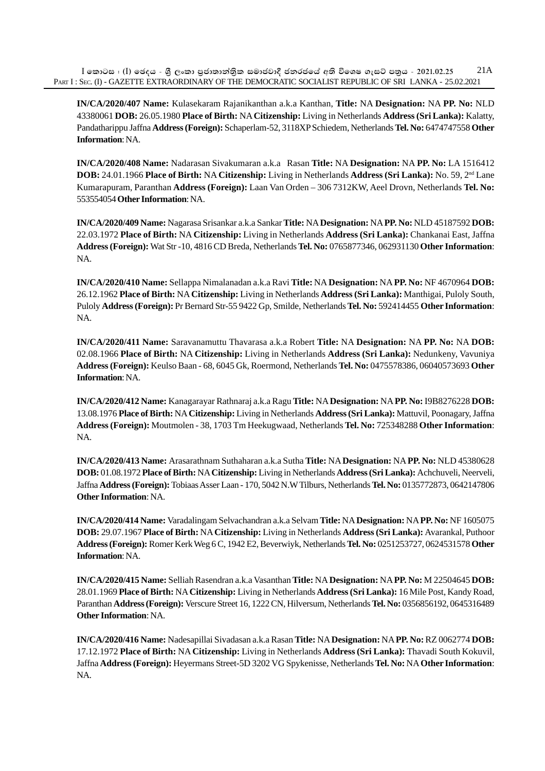**IN/CA/2020/407 Name:** Kulasekaram Rajanikanthan a.k.a Kanthan, **Title:** NA **Designation:** NA **PP. No:** NLD 43380061 **DOB:** 26.05.1980 **Place of Birth:** NA **Citizenship:** Living in Netherlands **Address (Sri Lanka):** Kalatty, Pandatharippu Jaffna **Address (Foreign):** Schaperlam-52, 3118XP Schiedem, Netherlands **Tel. No:** 6474747558 **Other Information**: NA.

**IN/CA/2020/408 Name:** Nadarasan Sivakumaran a.k.a Rasan **Title:** NA **Designation:** NA **PP. No:** LA 1516412 **DOB:** 24.01.1966 **Place of Birth:** NA **Citizenship:** Living in Netherlands **Address (Sri Lanka):** No. 59, 2nd Lane Kumarapuram, Paranthan **Address (Foreign):** Laan Van Orden – 306 7312KW, Aeel Drovn, Netherlands **Tel. No:** 553554054 **Other Information**: NA.

**IN/CA/2020/409 Name:** Nagarasa Srisankar a.k.a Sankar **Title:** NA **Designation:** NA **PP. No:** NLD 45187592 **DOB:** 22.03.1972 **Place of Birth:** NA **Citizenship:** Living in Netherlands **Address (Sri Lanka):** Chankanai East, Jaffna **Address (Foreign):** Wat Str -10, 4816 CD Breda, Netherlands **Tel. No:** 0765877346, 062931130 **Other Information**: NA.

**IN/CA/2020/410 Name:** Sellappa Nimalanadan a.k.a Ravi **Title:** NA **Designation:** NA **PP. No:** NF 4670964 **DOB:** 26.12.1962 **Place of Birth:** NA **Citizenship:** Living in Netherlands **Address (Sri Lanka):** Manthigai, Puloly South, Puloly **Address (Foreign):** Pr Bernard Str-55 9422 Gp, Smilde, Netherlands **Tel. No:** 592414455 **Other Information**: NA.

**IN/CA/2020/411 Name:** Saravanamuttu Thavarasa a.k.a Robert **Title:** NA **Designation:** NA **PP. No:** NA **DOB:** 02.08.1966 **Place of Birth:** NA **Citizenship:** Living in Netherlands **Address (Sri Lanka):** Nedunkeny, Vavuniya **Address (Foreign):** Keulso Baan - 68, 6045 Gk, Roermond, Netherlands **Tel. No:** 0475578386, 06040573693 **Other Information**: NA.

**IN/CA/2020/412 Name:** Kanagarayar Rathnaraj a.k.a Ragu **Title:** NA **Designation:** NA **PP. No:** I9B8276228 **DOB:** 13.08.1976 **Place of Birth:** NA **Citizenship:** Living in Netherlands **Address (Sri Lanka):** Mattuvil, Poonagary, Jaffna **Address (Foreign):** Moutmolen - 38, 1703 Tm Heekugwaad, Netherlands **Tel. No:** 725348288 **Other Information**: NA.

**IN/CA/2020/413 Name:** Arasarathnam Suthaharan a.k.a Sutha **Title:** NA **Designation:** NA **PP. No:** NLD 45380628 **DOB:** 01.08.1972 **Place of Birth:** NA **Citizenship:** Living in Netherlands **Address (Sri Lanka):** Achchuveli, Neerveli, Jaffna **Address (Foreign):** Tobiaas Asser Laan - 170, 5042 N.W Tilburs, Netherlands **Tel. No:** 0135772873, 0642147806 **Other Information**: NA.

**IN/CA/2020/414 Name:** Varadalingam Selvachandran a.k.a Selvam **Title:** NA **Designation:** NA **PP. No:** NF 1605075 **DOB:** 29.07.1967 **Place of Birth:** NA **Citizenship:** Living in Netherlands **Address (Sri Lanka):** Avarankal, Puthoor **Address (Foreign):** Romer Kerk Weg 6 C, 1942 E2, Beverwiyk, Netherlands **Tel. No:** 0251253727, 0624531578 **Other Information**: NA.

**IN/CA/2020/415 Name:** Selliah Rasendran a.k.a Vasanthan **Title:** NA **Designation:** NA **PP. No:** M 22504645 **DOB:** 28.01.1969 **Place of Birth:** NA **Citizenship:** Living in Netherlands **Address (Sri Lanka):** 16 Mile Post, Kandy Road, Paranthan **Address (Foreign):** Verscure Street 16, 1222 CN, Hilversum, Netherlands **Tel. No:** 0356856192, 0645316489 **Other Information**: NA.

**IN/CA/2020/416 Name:** Nadesapillai Sivadasan a.k.a Rasan **Title:** NA **Designation:** NA **PP. No:** RZ 0062774 **DOB:** 17.12.1972 **Place of Birth:** NA **Citizenship:** Living in Netherlands **Address (Sri Lanka):** Thavadi South Kokuvil, Jaffna **Address (Foreign):** Heyermans Street-5D 3202 VG Spykenisse, Netherlands **Tel. No:** NA **Other Information**: NA.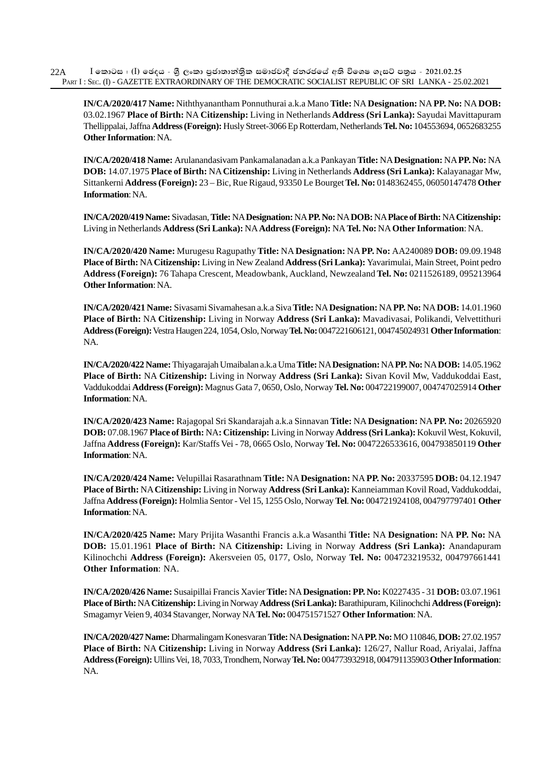**IN/CA/2020/417 Name:** Niththyanantham Ponnuthurai a.k.a Mano **Title:** NA **Designation:** NA **PP. No:** NA **DOB:** 03.02.1967 **Place of Birth:** NA **Citizenship:** Living in Netherlands **Address (Sri Lanka):** Sayudai Mavittapuram Thellippalai, Jaffna **Address (Foreign):** Husly Street-3066 Ep Rotterdam, Netherlands **Tel. No:** 104553694, 0652683255 **Other Information**: NA.

**IN/CA/2020/418 Name:** Arulanandasivam Pankamalanadan a.k.a Pankayan **Title:** NA **Designation:** NA **PP. No:** NA **DOB:** 14.07.1975 **Place of Birth:** NA **Citizenship:** Living in Netherlands **Address (Sri Lanka):** Kalayanagar Mw, Sittankerni **Address (Foreign):** 23 – Bic, Rue Rigaud, 93350 Le Bourget **Tel. No:** 0148362455, 06050147478 **Other Information**: NA.

**IN/CA/2020/419 Name:** Sivadasan, **Title:** NA **Designation:** NA **PP. No:** NA **DOB:** NA **Place of Birth:** NA **Citizenship:** Living in Netherlands **Address (Sri Lanka):** NA **Address (Foreign):** NA **Tel. No:** NA **Other Information**: NA.

**IN/CA/2020/420 Name:** Murugesu Ragupathy **Title:** NA **Designation:** NA **PP. No:** AA240089 **DOB:** 09.09.1948 **Place of Birth:** NA **Citizenship:** Living in New Zealand **Address (Sri Lanka):** Yavarimulai, Main Street, Point pedro **Address (Foreign):** 76 Tahapa Crescent, Meadowbank, Auckland, Newzealand **Tel. No:** 0211526189, 095213964 **Other Information**: NA.

**IN/CA/2020/421 Name:** Sivasami Sivamahesan a.k.a Siva **Title:** NA **Designation:** NA **PP. No:** NA **DOB:** 14.01.1960 **Place of Birth:** NA **Citizenship:** Living in Norway **Address (Sri Lanka):** Mavadivasai, Polikandi, Velvettithuri **Address (Foreign):** Vestra Haugen 224, 1054, Oslo, Norway **Tel. No:** 0047221606121, 004745024931 **Other Information**: NA.

**IN/CA/2020/422 Name:** Thiyagarajah Umaibalan a.k.a Uma **Title:** NA **Designation:** NA **PP. No:** NA **DOB:** 14.05.1962 **Place of Birth:** NA **Citizenship:** Living in Norway **Address (Sri Lanka):** Sivan Kovil Mw, Vaddukoddai East, Vaddukoddai **Address (Foreign):** Magnus Gata 7, 0650, Oslo, Norway **Tel. No:** 004722199007, 004747025914 **Other Information**: NA.

**IN/CA/2020/423 Name:** Rajagopal Sri Skandarajah a.k.a Sinnavan **Title:** NA **Designation:** NA **PP. No:** 20265920 **DOB:** 07.08.1967 **Place of Birth:** NA**: Citizenship:** Living in Norway **Address (Sri Lanka):** Kokuvil West, Kokuvil, Jaffna **Address (Foreign):** Kar/Staffs Vei - 78, 0665 Oslo, Norway **Tel. No:** 0047226533616, 004793850119 **Other Information**: NA.

**IN/CA/2020/424 Name:** Velupillai Rasarathnam **Title:** NA **Designation:** NA **PP. No:** 20337595 **DOB:** 04.12.1947 **Place of Birth:** NA **Citizenship:** Living in Norway **Address (Sri Lanka):** Kanneiamman Kovil Road, Vaddukoddai, Jaffna **Address (Foreign):** Holmlia Sentor - Vel 15, 1255 Oslo, Norway **Tel**. **No:** 004721924108, 004797797401 **Other Information**: NA.

**IN/CA/2020/425 Name:** Mary Prijita Wasanthi Francis a.k.a Wasanthi **Title:** NA **Designation:** NA **PP. No:** NA **DOB:** 15.01.1961 **Place of Birth:** NA **Citizenship:** Living in Norway **Address (Sri Lanka):** Anandapuram Kilinochchi **Address (Foreign):** Akersveien 05, 0177, Oslo, Norway **Tel. No:** 004723219532, 004797661441 **Other Information**: NA.

**IN/CA/2020/426 Name:** Susaipillai Francis Xavier **Title:** NA **Designation: PP. No:** K0227435 - 31 **DOB:** 03.07.1961 **Place of Birth:** NA **Citizenship:** Living in Norway **Address (Sri Lanka):** Barathipuram, Kilinochchi **Address (Foreign):** Smagamyr Veien 9, 4034 Stavanger, Norway NA **Tel. No:** 004751571527 **Other Information**: NA.

**IN/CA/2020/427 Name:** Dharmalingam Konesvaran **Title:** NA **Designation:** NA **PP. No:** MO 110846, **DOB:** 27.02.1957 **Place of Birth:** NA **Citizenship:** Living in Norway **Address (Sri Lanka):** 126/27, Nallur Road, Ariyalai, Jaffna **Address (Foreign):** Ullins Vei, 18, 7033, Trondhem, Norway **Tel. No:** 004773932918, 004791135903 **Other Information**: NA.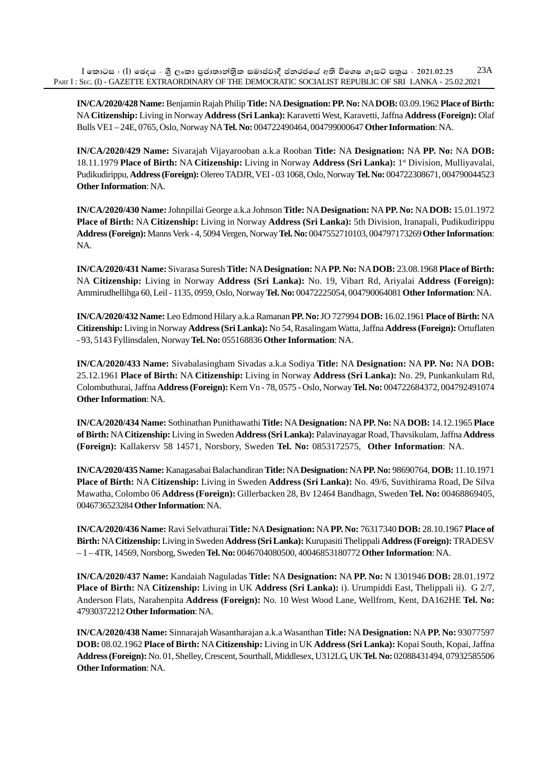**IN/CA/2020/428 Name:** Benjamin Rajah Philip **Title:** NA **Designation:PP. No:** NA **DOB:** 03.09.1962 **Place of Birth:** NA **Citizenship:** Living in Norway **Address (Sri Lanka):** Karavetti West, Karavetti, Jaffna **Address (Foreign):** Olaf Bulls VE1 – 24E, 0765, Oslo, Norway NA **Tel. No:** 004722490464, 004799000647 **Other Information**: NA.

**IN/CA/2020/429 Name:** Sivarajah Vijayarooban a.k.a Rooban **Title:** NA **Designation:** NA **PP. No:** NA **DOB:** 18.11.1979 **Place of Birth:** NA **Citizenship:** Living in Norway **Address (Sri Lanka):** 1st Division, Mulliyavalai, Pudikudirippu, **Address (Foreign):** Olereo TADJR, VEI - 03 1068, Oslo, Norway **Tel. No:** 004722308671, 004790044523 **Other Information**: NA.

**IN/CA/2020/430 Name:** Johnpillai George a.k.a Johnson **Title:** NA **Designation:** NA **PP. No:** NA **DOB:** 15.01.1972 **Place of Birth:** NA **Citizenship:** Living in Norway **Address (Sri Lanka):** 5th Division, Iranapali, Pudikudirippu **Address (Foreign):** Manns Verk - 4, 5094 Vergen, Norway **Tel. No:** 0047552710103, 004797173269 **Other Information**: NA.

**IN/CA/2020/431 Name:** Sivarasa Suresh **Title:** NA **Designation:** NA **PP. No:** NA **DOB:** 23.08.1968 **Place of Birth:** NA **Citizenship:** Living in Norway **Address (Sri Lanka):** No. 19, Vibart Rd, Ariyalai **Address (Foreign):** Ammirudhellihga 60, Leil - 1135, 0959, Oslo, Norway **Tel. No:** 00472225054, 004790064081 **Other Information**: NA.

**IN/CA/2020/432 Name:** Leo Edmond Hilary a.k.a Ramanan **PP. No:** JO 727994 **DOB:** 16.02.1961 **Place of Birth:** NA **Citizenship:** Living in Norway **Address (Sri Lanka):** No 54, Rasalingam Watta, Jaffna **Address (Foreign):** Ortuflaten - 93, 5143 Fyllinsdalen, Norway **Tel. No:** 055168836 **Other Information**: NA.

**IN/CA/2020/433 Name:** Sivabalasingham Sivadas a.k.a Sodiya **Title:** NA **Designation:** NA **PP. No:** NA **DOB:** 25.12.1961 **Place of Birth:** NA **Citizenship:** Living in Norway **Address (Sri Lanka):** No. 29, Punkankulam Rd, Colombuthurai, Jaffna **Address (Foreign):** Kern Vn - 78, 0575 - Oslo, Norway **Tel. No:** 004722684372, 004792491074 **Other Information**: NA.

**IN/CA/2020/434 Name:** Sothinathan Punithawathi **Title:** NA **Designation:** NA **PP. No:** NA **DOB:** 14.12.1965 **Place of Birth:** NA **Citizenship:** Living in Sweden **Address (Sri Lanka):** Palavinayagar Road, Thavsikulam, Jaffna **Address (Foreign):** Kallakersv 58 14571, Norsbory, Sweden **Tel. No:** 0853172575, **Other Information**: NA.

**IN/CA/2020/435 Name:** Kanagasabai Balachandiran **Title:** NA **Designation:** NA **PP. No:** 98690764, **DOB:** 11.10.1971 **Place of Birth:** NA **Citizenship:** Living in Sweden **Address (Sri Lanka):** No. 49/6, Suvithirama Road, De Silva Mawatha, Colombo 06 **Address (Foreign):** Gillerbacken 28, Bv 12464 Bandhagn, Sweden **Tel. No:** 00468869405, 0046736523284 **Other Information**: NA.

**IN/CA/2020/436 Name:** Ravi Selvathurai **Title:** NA **Designation:** NA **PP. No:** 76317340 **DOB:** 28.10.1967 **Place of Birth:** NA **Citizenship:** Living in Sweden **Address (Sri Lanka):** Kurupasiti Thelippali **Address (Foreign):** TRADESV – 1 – 4TR, 14569, Norsborg, Sweden **Tel. No:** 0046704080500, 40046853180772 **Other Information**: NA.

**IN/CA/2020/437 Name:** Kandaiah Naguladas **Title:** NA **Designation:** NA **PP. No:** N 1301946 **DOB:** 28.01.1972 **Place of Birth:** NA **Citizenship:** Living in UK **Address (Sri Lanka):** i). Urumpiddi East, Thelippali ii). G 2/7, Anderson Flats, Narahenpita **Address (Foreign):** No. 10 West Wood Lane, Wellfrom, Kent, DA162HE **Tel. No:** 47930372212 **Other Information**: NA.

**IN/CA/2020/438 Name:** Sinnarajah Wasantharajan a.k.a Wasanthan **Title:** NA **Designation:** NA **PP. No:** 93077597 **DOB:** 08.02.1962 **Place of Birth:** NA **Citizenship:** Living in UK **Address (Sri Lanka):** Kopai South, Kopai, Jaffna **Address (Foreign):** No. 01, Shelley, Crescent, Sourthall, Middlesex, U312LG, UK **Tel. No:** 02088431494, 07932585506 **Other Information**: NA.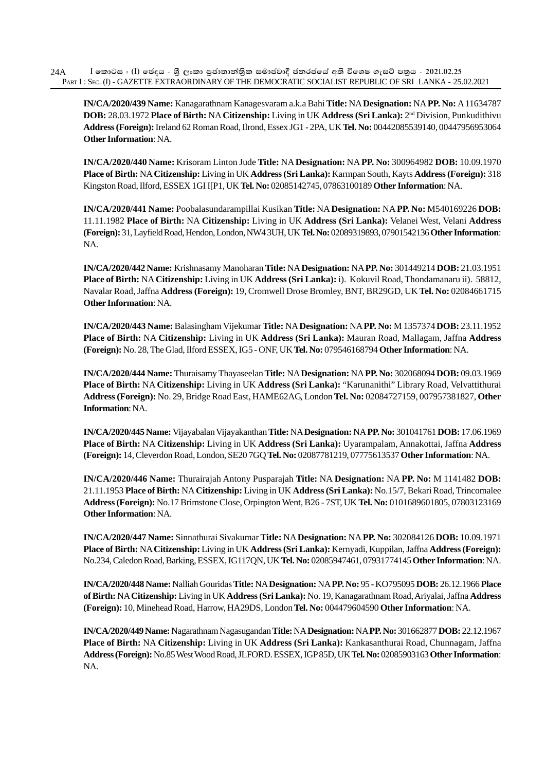**IN/CA/2020/439 Name:** Kanagarathnam Kanagesvaram a.k.a Bahi **Title:** NA **Designation:** NA **PP. No:** A 11634787 **DOB:** 28.03.1972 **Place of Birth:** NA **Citizenship:** Living in UK **Address (Sri Lanka):** 2nd Division, Punkudithivu **Address (Foreign):** Ireland 62 Roman Road, Ilrond, Essex JG1 - 2PA, UK **Tel. No:** 00442085539140, 00447956953064 **Other Information**: NA.

**IN/CA/2020/440 Name:** Krisoram Linton Jude **Title:** NA **Designation:** NA **PP. No:** 300964982 **DOB:** 10.09.1970 **Place of Birth:** NA **Citizenship:** Living in UK **Address (Sri Lanka):** Karmpan South, Kayts **Address (Foreign):** 318 Kingston Road, Ilford, ESSEX 1GI I[P1, UK **Tel. No:** 02085142745, 07863100189 **Other Information**: NA.

**IN/CA/2020/441 Name:** Poobalasundarampillai Kusikan **Title:** NA **Designation:** NA **PP. No:** M540169226 **DOB:** 11.11.1982 **Place of Birth:** NA **Citizenship:** Living in UK **Address (Sri Lanka):** Velanei West, Velani **Address (Foreign):** 31, Layfield Road, Hendon, London, NW4 3UH, UK **Tel. No:** 02089319893, 07901542136 **Other Information**: NA.

**IN/CA/2020/442 Name:** Krishnasamy Manoharan **Title:** NA **Designation:** NA **PP. No:** 301449214 **DOB:** 21.03.1951 **Place of Birth:** NA **Citizenship:** Living in UK **Address (Sri Lanka):** i). Kokuvil Road, Thondamanaru ii). 58812, Navalar Road, Jaffna **Address (Foreign):** 19, Cromwell Drose Bromley, BNT, BR29GD, UK **Tel. No:** 02084661715 **Other Information**: NA.

**IN/CA/2020/443 Name:** Balasingham Vijekumar **Title:** NA **Designation:** NA **PP. No:** M 1357374 **DOB:** 23.11.1952 **Place of Birth:** NA **Citizenship:** Living in UK **Address (Sri Lanka):** Mauran Road, Mallagam, Jaffna **Address (Foreign):** No. 28, The Glad, Ilford ESSEX, IG5 - ONF, UK **Tel. No:** 079546168794 **Other Information**: NA.

**IN/CA/2020/444 Name:** Thuraisamy Thayaseelan **Title:** NA **Designation:** NA **PP. No:** 302068094 **DOB:** 09.03.1969 **Place of Birth:** NA **Citizenship:** Living in UK **Address (Sri Lanka):** "Karunanithi" Library Road, Velvattithurai **Address (Foreign):** No. 29, Bridge Road East, HAME62AG, London **Tel. No:** 02084727159, 007957381827, **Other Information**: NA.

**IN/CA/2020/445 Name:** Vijayabalan Vijayakanthan **Title:** NA **Designation:** NA **PP. No:** 301041761 **DOB:** 17.06.1969 **Place of Birth:** NA **Citizenship:** Living in UK **Address (Sri Lanka):** Uyarampalam, Annakottai, Jaffna **Address (Foreign):** 14, Cleverdon Road, London, SE20 7GQ **Tel. No:** 02087781219, 07775613537 **Other Information**: NA.

**IN/CA/2020/446 Name:** Thurairajah Antony Pusparajah **Title:** NA **Designation:** NA **PP. No:** M 1141482 **DOB:** 21.11.1953 **Place of Birth:** NA **Citizenship:** Living in UK **Address (Sri Lanka):** No.15/7, Bekari Road, Trincomalee **Address (Foreign):** No.17 Brimstone Close, Orpington Went, B26 - 7ST, UK **Tel. No:** 0101689601805, 07803123169 **Other Information**: NA.

**IN/CA/2020/447 Name:** Sinnathurai Sivakumar **Title:** NA **Designation:** NA **PP. No:** 302084126 **DOB:** 10.09.1971 **Place of Birth:** NA **Citizenship:** Living in UK **Address (Sri Lanka):** Kernyadi, Kuppilan, Jaffna **Address (Foreign):** No.234, Caledon Road, Barking, ESSEX, IG117QN, UK **Tel. No:** 02085947461, 07931774145 **Other Information**: NA.

**IN/CA/2020/448 Name:** Nalliah Gouridas **Title:** NA **Designation:** NA **PP. No:** 95 - KO795095 **DOB:** 26.12.1966 **Place of Birth:** NA **Citizenship:** Living in UK **Address (Sri Lanka):** No. 19, Kanagarathnam Road, Ariyalai, Jaffna **Address (Foreign):** 10, Minehead Road, Harrow, HA29DS, London **Tel. No:** 004479604590 **Other Information**: NA.

**IN/CA/2020/449 Name:** Nagarathnam Nagasugandan **Title:** NA **Designation:** NA **PP. No:** 301662877 **DOB:** 22.12.1967 **Place of Birth:** NA **Citizenship:** Living in UK **Address (Sri Lanka):** Kankasanthurai Road, Chunnagam, Jaffna **Address (Foreign):** No.85 West Wood Road, JLFORD. ESSEX, IGP 85D, UK **Tel. No:** 02085903163 **Other Information**: NA.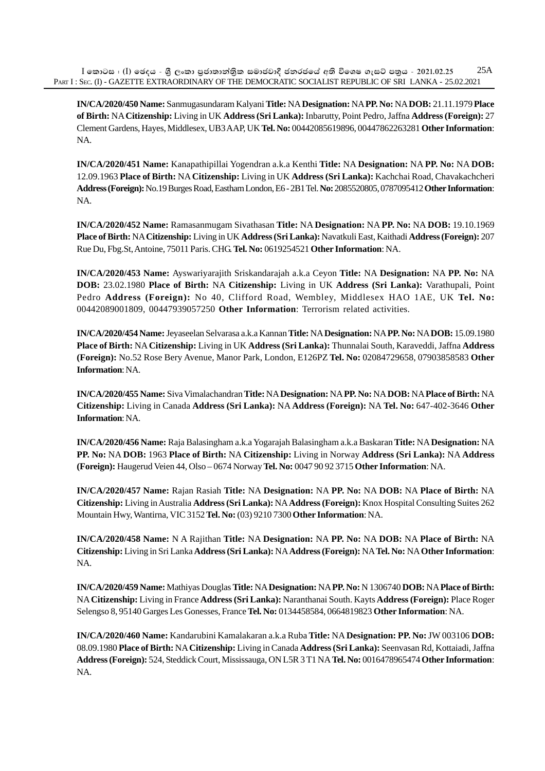$I$  කොටස : (I) ඡෙදය - ශීූ ලංකා පුජාතාන්තික සමාජවාදී ජනරජයේ අති විශෙෂ ගැසට් පතුය - 2021.02.25 PART I : SEC. (I) - GAZETTE EXTRAORDINARY OF THE DEMOCRATIC SOCIALIST REPUBLIC OF SRI LANKA - 25.02.2021 25A

**IN/CA/2020/450 Name:** Sanmugasundaram Kalyani **Title:** NA **Designation:** NA **PP. No:** NA **DOB:** 21.11.1979 **Place of Birth:** NA **Citizenship:** Living in UK **Address (Sri Lanka):** Inbarutty, Point Pedro, Jaffna **Address (Foreign):** 27 Clement Gardens, Hayes, Middlesex, UB3 AAP, UK **Tel. No:** 00442085619896, 00447862263281 **Other Information**: NA.

**IN/CA/2020/451 Name:** Kanapathipillai Yogendran a.k.a Kenthi **Title:** NA **Designation:** NA **PP. No:** NA **DOB:** 12.09.1963 **Place of Birth:** NA **Citizenship:** Living in UK **Address (Sri Lanka):** Kachchai Road, Chavakachcheri **Address (Foreign):** No.19 Burges Road, Eastham London, E6 - 2B1 Tel. **No:** 2085520805, 0787095412 **Other Information**: NA.

**IN/CA/2020/452 Name:** Ramasanmugam Sivathasan **Title:** NA **Designation:** NA **PP. No:** NA **DOB:** 19.10.1969 **Place of Birth:** NA **Citizenship:** Living in UK **Address (Sri Lanka):** Navatkuli East, Kaithadi **Address (Foreign):** 207 Rue Du, Fbg.St, Antoine, 75011 Paris. CHG. **Tel. No:** 0619254521 **Other Information**: NA.

**IN/CA/2020/453 Name:** Ayswariyarajith Sriskandarajah a.k.a Ceyon **Title:** NA **Designation:** NA **PP. No:** NA **DOB:** 23.02.1980 **Place of Birth:** NA **Citizenship:** Living in UK **Address (Sri Lanka):** Varathupali, Point Pedro **Address (Foreign):** No 40, Clifford Road, Wembley, Middlesex HAO 1AE, UK **Tel. No:** 00442089001809, 00447939057250 **Other Information**: Terrorism related activities.

**IN/CA/2020/454 Name:** Jeyaseelan Selvarasa a.k.a Kannan **Title:** NA **Designation:** NA **PP. No:** NA **DOB:** 15.09.1980 **Place of Birth:** NA **Citizenship:** Living in UK **Address (Sri Lanka):** Thunnalai South, Karaveddi, Jaffna **Address (Foreign):** No.52 Rose Bery Avenue, Manor Park, London, E126PZ **Tel. No:** 02084729658, 07903858583 **Other Information**: NA.

**IN/CA/2020/455 Name:** Siva Vimalachandran **Title:** NA **Designation:** NA **PP. No:** NA **DOB:** NA **Place of Birth:** NA **Citizenship:** Living in Canada **Address (Sri Lanka):** NA **Address (Foreign):** NA **Tel. No:** 647-402-3646 **Other Information**: NA.

**IN/CA/2020/456 Name:** Raja Balasingham a.k.a Yogarajah Balasingham a.k.a Baskaran **Title:** NA **Designation:** NA **PP. No:** NA **DOB:** 1963 **Place of Birth:** NA **Citizenship:** Living in Norway **Address (Sri Lanka):** NA **Address (Foreign):** Haugerud Veien 44, Olso – 0674 Norway **Tel. No:** 0047 90 92 3715 **Other Information**: NA.

**IN/CA/2020/457 Name:** Rajan Rasiah **Title:** NA **Designation:** NA **PP. No:** NA **DOB:** NA **Place of Birth:** NA **Citizenship:** Living in Australia **Address (Sri Lanka):** NA **Address (Foreign):** Knox Hospital Consulting Suites 262 Mountain Hwy, Wantirna, VIC 3152 **Tel. No:** (03) 9210 7300 **Other Information**: NA.

**IN/CA/2020/458 Name:** N A Rajithan **Title:** NA **Designation:** NA **PP. No:** NA **DOB:** NA **Place of Birth:** NA **Citizenship:** Living in Sri Lanka **Address (Sri Lanka):** NA **Address (Foreign):** NA **Tel. No:** NA **Other Information**: NA.

**IN/CA/2020/459 Name:** Mathiyas Douglas **Title:** NA **Designation:** NA **PP. No:** N 1306740 **DOB:** NA **Place of Birth:** NA **Citizenship:** Living in France **Address (Sri Lanka):** Naranthanai South. Kayts **Address (Foreign):** Place Roger Selengso 8, 95140 Garges Les Gonesses, France **Tel. No:** 0134458584, 0664819823 **Other Information**: NA.

**IN/CA/2020/460 Name:** Kandarubini Kamalakaran a.k.a Ruba **Title:** NA **Designation: PP. No:** JW 003106 **DOB:** 08.09.1980 **Place of Birth:** NA **Citizenship:** Living in Canada **Address (Sri Lanka):** Seenvasan Rd, Kottaiadi, Jaffna **Address (Foreign):** 524, Steddick Court, Mississauga, ON L5R 3 T1 NA **Tel. No:** 0016478965474 **Other Information**: NA.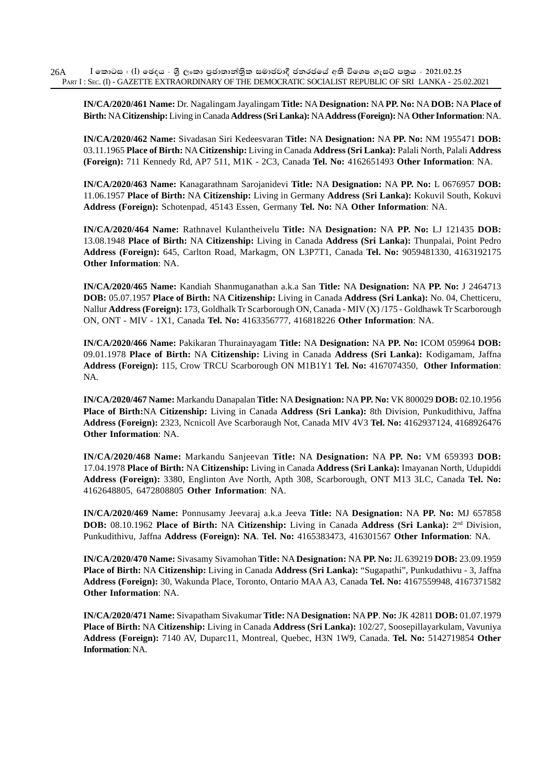**IN/CA/2020/461 Name:** Dr. Nagalingam Jayalingam **Title:** NA **Designation:** NA **PP. No:** NA **DOB:** NA **Place of Birth:** NA **Citizenship:** Living in Canada **Address (Sri Lanka):** NA **Address (Foreign):** NA **Other Information**: NA.

**IN/CA/2020/462 Name:** Sivadasan Siri Kedeesvaran **Title:** NA **Designation:** NA **PP. No:** NM 1955471 **DOB:** 03.11.1965 **Place of Birth:** NA **Citizenship:** Living in Canada **Address (Sri Lanka):** Palali North, Palali **Address (Foreign):** 711 Kennedy Rd, AP7 511, M1K - 2C3, Canada **Tel. No:** 4162651493 **Other Information**: NA.

**IN/CA/2020/463 Name:** Kanagarathnam Sarojanidevi **Title:** NA **Designation:** NA **PP. No:** L 0676957 **DOB:** 11.06.1957 **Place of Birth:** NA **Citizenship:** Living in Germany **Address (Sri Lanka):** Kokuvil South, Kokuvi **Address (Foreign):** Schotenpad, 45143 Essen, Germany **Tel. No:** NA **Other Information**: NA.

**IN/CA/2020/464 Name:** Rathnavel Kulantheivelu **Title:** NA **Designation:** NA **PP. No:** LJ 121435 **DOB:** 13.08.1948 **Place of Birth:** NA **Citizenship:** Living in Canada **Address (Sri Lanka):** Thunpalai, Point Pedro **Address (Foreign):** 645, Carlton Road, Markagm, ON L3P7T1, Canada **Tel. No:** 9059481330, 4163192175 **Other Information**: NA.

**IN/CA/2020/465 Name:** Kandiah Shanmuganathan a.k.a San **Title:** NA **Designation:** NA **PP. No:** J 2464713 **DOB:** 05.07.1957 **Place of Birth:** NA **Citizenship:** Living in Canada **Address (Sri Lanka):** No. 04, Chetticeru, Nallur **Address (Foreign):** 173, Goldhalk Tr Scarborough ON, Canada - MIV (X) /175 - Goldhawk Tr Scarborough ON, ONT - MIV - 1X1, Canada **Tel. No:** 4163356777, 416818226 **Other Information**: NA.

**IN/CA/2020/466 Name:** Pakikaran Thurainayagam **Title:** NA **Designation:** NA **PP. No:** ICOM 059964 **DOB:** 09.01.1978 **Place of Birth:** NA **Citizenship:** Living in Canada **Address (Sri Lanka):** Kodigamam, Jaffna **Address (Foreign):** 115, Crow TRCU Scarborough ON M1B1Y1 **Tel. No:** 4167074350, **Other Information**: NA.

**IN/CA/2020/467 Name:** Markandu Danapalan **Title:** NA **Designation:** NA **PP. No:** VK 800029 **DOB:** 02.10.1956 **Place of Birth:**NA **Citizenship:** Living in Canada **Address (Sri Lanka):** 8th Division, Punkudithivu, Jaffna **Address (Foreign):** 2323, Ncnicoll Ave Scarboraugh Not, Canada MIV 4V3 **Tel. No:** 4162937124, 4168926476 **Other Information**: NA.

**IN/CA/2020/468 Name:** Markandu Sanjeevan **Title:** NA **Designation:** NA **PP. No:** VM 659393 **DOB:** 17.04.1978 **Place of Birth:** NA **Citizenship:** Living in Canada **Address (Sri Lanka):** Imayanan North, Udupiddi **Address (Foreign):** 3380, Englinton Ave North, Apth 308, Scarborough, ONT M13 3LC, Canada **Tel. No:** 4162648805, 6472808805 **Other Information**: NA.

**IN/CA/2020/469 Name:** Ponnusamy Jeevaraj a.k.a Jeeva **Title:** NA **Designation:** NA **PP. No:** MJ 657858 **DOB:** 08.10.1962 **Place of Birth:** NA **Citizenship:** Living in Canada **Address (Sri Lanka):** 2nd Division, Punkudithivu, Jaffna **Address (Foreign): NA**. **Tel. No:** 4165383473, 416301567 **Other Information**: NA.

**IN/CA/2020/470 Name:** Sivasamy Sivamohan **Title:** NA **Designation:** NA **PP. No:** JL 639219 **DOB:** 23.09.1959 **Place of Birth:** NA **Citizenship:** Living in Canada **Address (Sri Lanka):** "Sugapathi", Punkudathivu - 3, Jaffna **Address (Foreign):** 30, Wakunda Place, Toronto, Ontario MAA A3, Canada **Tel. No:** 4167559948, 4167371582 **Other Information**: NA.

**IN/CA/2020/471 Name:** Sivapatham Sivakumar **Title:** NA **Designation:** NA **PP**. **No:** JK 42811 **DOB:** 01.07.1979 **Place of Birth:** NA **Citizenship:** Living in Canada **Address (Sri Lanka):** 102/27, Soosepillayarkulam, Vavuniya **Address (Foreign):** 7140 AV, Duparc11, Montreal, Quebec, H3N 1W9, Canada. **Tel. No:** 5142719854 **Other Information**: NA.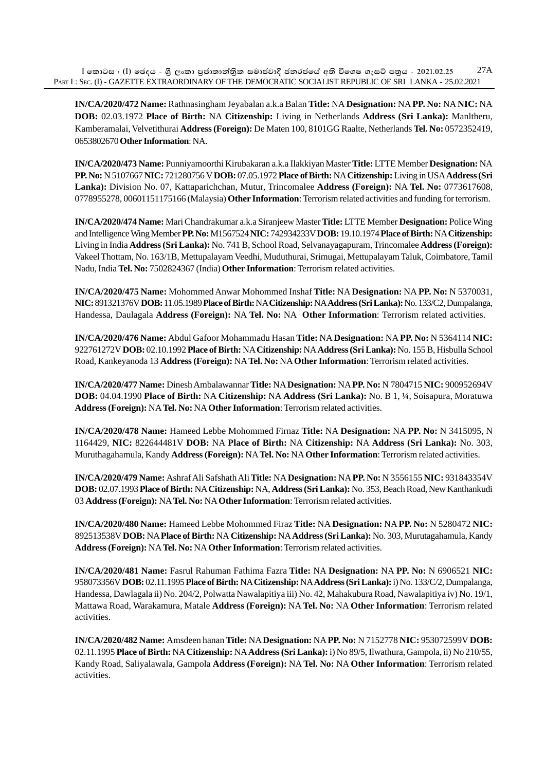**IN/CA/2020/472 Name:** Rathnasingham Jeyabalan a.k.a Balan **Title:** NA **Designation:** NA **PP. No:** NA **NIC:** NA **DOB:** 02.03.1972 **Place of Birth:** NA **Citizenship:** Living in Netherlands **Address (Sri Lanka):** Manltheru, Kamberamalai, Velvetithurai **Address (Foreign):** De Maten 100, 8101GG Raalte, Netherlands **Tel. No:** 0572352419, 0653802670 **Other Information**: NA.

**IN/CA/2020/473 Name:** Punniyamoorthi Kirubakaran a.k.a Ilakkiyan Master **Title:** LTTE Member **Designation:** NA **PP. No:** N 5107667 **NIC:** 721280756 V **DOB:** 07.05.1972 **Place of Birth:** NA **Citizenship:** Living in USA **Address (Sri Lanka):** Division No. 07, Kattaparichchan, Mutur, Trincomalee **Address (Foreign):** NA **Tel. No:** 0773617608, 0778955278, 00601151175166 (Malaysia) **Other Information**: Terrorism related activities and funding for terrorism.

**IN/CA/2020/474 Name:** Mari Chandrakumar a.k.a Siranjeew Master **Title:** LTTE Member **Designation:** Police Wing and Intelligence Wing Member **PP. No:** M1567524 **NIC:** 742934233V **DOB:** 19.10.1974 **Place of Birth:** NA **Citizenship:** Living in India **Address (Sri Lanka):** No. 741 B, School Road, Selvanayagapuram, Trincomalee **Address (Foreign):** Vakeel Thottam, No. 163/1B, Mettupalayam Veedhi, Muduthurai, Srimugai, Mettupalayam Taluk, Coimbatore, Tamil Nadu, India **Tel. No:** 7502824367 (India) **Other Information**: Terrorism related activities.

**IN/CA/2020/475 Name:** Mohommed Anwar Mohommed Inshaf **Title:** NA **Designation:** NA **PP. No:** N 5370031, **NIC:** 891321376V **DOB:** 11.05.1989 **Place of Birth:** NA **Citizenship:** NA **Address (Sri Lanka):** No. 133/C2, Dumpalanga, Handessa, Daulagala **Address (Foreign):** NA **Tel. No:** NA **Other Information**: Terrorism related activities.

**IN/CA/2020/476 Name:** Abdul Gafoor Mohammadu Hasan **Title:** NA **Designation:** NA **PP. No:** N 5364114 **NIC:** 922761272V **DOB:** 02.10.1992 **Place of Birth:** NA **Citizenship:** NA **Address (Sri Lanka):** No. 155 B, Hisbulla School Road, Kankeyanoda 13 **Address (Foreign):** NA **Tel. No:** NA **Other Information**: Terrorism related activities.

**IN/CA/2020/477 Name:** Dinesh Ambalawannar **Title:** NA **Designation:** NA **PP. No:** N 7804715 **NIC:** 900952694V **DOB:** 04.04.1990 **Place of Birth:** NA **Citizenship:** NA **Address (Sri Lanka):** No. B 1, ¼, Soisapura, Moratuwa **Address (Foreign):** NA **Tel. No:** NA **Other Information**: Terrorism related activities.

**IN/CA/2020/478 Name:** Hameed Lebbe Mohommed Firnaz **Title:** NA **Designation:** NA **PP. No:** N 3415095, N 1164429, **NIC:** 822644481V **DOB:** NA **Place of Birth:** NA **Citizenship:** NA **Address (Sri Lanka):** No. 303, Muruthagahamula, Kandy **Address (Foreign):** NA **Tel. No:** NA **Other Information**: Terrorism related activities.

**IN/CA/2020/479 Name:** Ashraf Ali Safshath Ali **Title:** NA **Designation:** NA **PP. No:** N 3556155 **NIC:** 931843354V **DOB:** 02.07.1993 **Place of Birth:** NA **Citizenship:** NA, **Address (Sri Lanka):** No. 353, Beach Road, New Kanthankudi 03 **Address (Foreign):** NA **Tel. No:** NA **Other Information**: Terrorism related activities.

**IN/CA/2020/480 Name:** Hameed Lebbe Mohommed Firaz **Title:** NA **Designation:** NA **PP. No:** N 5280472 **NIC:** 892513538V **DOB:** NA **Place of Birth:** NA **Citizenship:** NA **Address (Sri Lanka):** No. 303, Murutagahamula, Kandy **Address (Foreign):** NA **Tel. No:** NA **Other Information**: Terrorism related activities.

**IN/CA/2020/481 Name:** Fasrul Rahuman Fathima Fazra **Title:** NA **Designation:** NA **PP. No:** N 6906521 **NIC:** 958073356V **DOB:** 02.11.1995 **Place of Birth:** NA **Citizenship:** NA **Address (Sri Lanka):** i) No. 133/C/2, Dumpalanga, Handessa, Dawlagala ii) No. 204/2, Polwatta Nawalapitiya iii) No. 42, Mahakubura Road, Nawalapitiya iv) No. 19/1, Mattawa Road, Warakamura, Matale **Address (Foreign):** NA **Tel. No:** NA **Other Information**: Terrorism related activities.

**IN/CA/2020/482 Name:** Amsdeen hanan **Title:** NA **Designation:** NA **PP. No:** N 7152778 **NIC:** 953072599V **DOB:** 02.11.1995 **Place of Birth:** NA **Citizenship:** NA **Address (Sri Lanka):** i) No 89/5, Ilwathura, Gampola, ii) No 210/55, Kandy Road, Saliyalawala, Gampola **Address (Foreign):** NA **Tel. No:** NA **Other Information**: Terrorism related activities.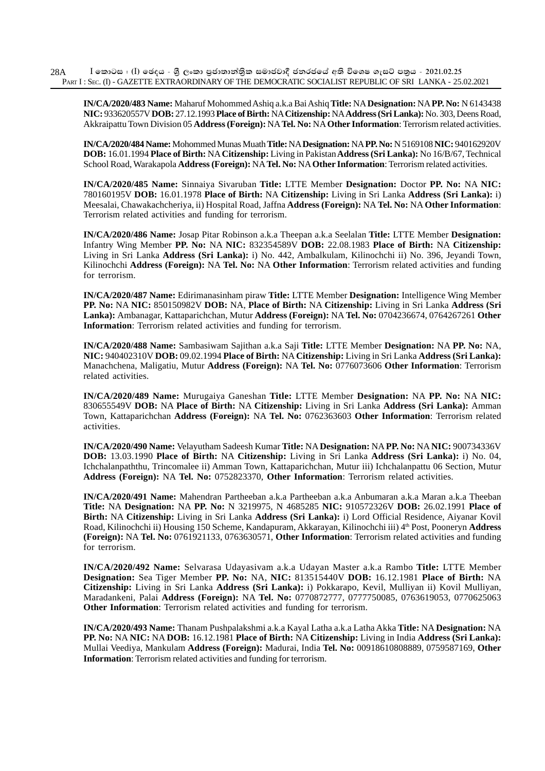**IN/CA/2020/483 Name:** Maharuf Mohommed Ashiq a.k.a Bai Ashiq **Title:** NA **Designation:** NA **PP. No:** N 6143438 **NIC:** 933620557V **DOB:** 27.12.1993 **Place of Birth:** NA **Citizenship:** NA **Address (Sri Lanka):** No. 303, Deens Road, Akkraipattu Town Division 05 **Address (Foreign):** NA **Tel. No:** NA **Other Information**: Terrorism related activities.

**IN/CA/2020/484 Name:** Mohommed Munas Muath **Title:** NA **Designation:** NA **PP. No:** N 5169108 **NIC:** 940162920V **DOB:** 16.01.1994 **Place of Birth:** NA **Citizenship:** Living in Pakistan **Address (Sri Lanka):** No 16/B/67, Technical School Road, Warakapola **Address (Foreign):** NA **Tel. No:** NA **Other Information**: Terrorism related activities.

**IN/CA/2020/485 Name:** Sinnaiya Sivaruban **Title:** LTTE Member **Designation:** Doctor **PP. No:** NA **NIC:** 780160195V **DOB:** 16.01.1978 **Place of Birth:** NA **Citizenship:** Living in Sri Lanka **Address (Sri Lanka):** i) Meesalai, Chawakachcheriya, ii) Hospital Road, Jaffna **Address (Foreign):** NA **Tel. No:** NA **Other Information**: Terrorism related activities and funding for terrorism.

**IN/CA/2020/486 Name:** Josap Pitar Robinson a.k.a Theepan a.k.a Seelalan **Title:** LTTE Member **Designation:** Infantry Wing Member **PP. No:** NA **NIC:** 832354589V **DOB:** 22.08.1983 **Place of Birth:** NA **Citizenship:** Living in Sri Lanka **Address (Sri Lanka):** i) No. 442, Ambalkulam, Kilinochchi ii) No. 396, Jeyandi Town, Kilinochchi **Address (Foreign):** NA **Tel. No:** NA **Other Information**: Terrorism related activities and funding for terrorism.

**IN/CA/2020/487 Name:** Edirimanasinham piraw **Title:** LTTE Member **Designation:** Intelligence Wing Member **PP. No:** NA **NIC:** 850150982V **DOB:** NA, **Place of Birth:** NA **Citizenship:** Living in Sri Lanka **Address (Sri Lanka):** Ambanagar, Kattaparichchan, Mutur **Address (Foreign):** NA **Tel. No:** 0704236674, 0764267261 **Other Information**: Terrorism related activities and funding for terrorism.

**IN/CA/2020/488 Name:** Sambasiwam Sajithan a.k.a Saji **Title:** LTTE Member **Designation:** NA **PP. No:** NA, **NIC:** 940402310V **DOB:** 09.02.1994 **Place of Birth:** NA **Citizenship:** Living in Sri Lanka **Address (Sri Lanka):** Manachchena, Maligatiu, Mutur **Address (Foreign):** NA **Tel. No:** 0776073606 **Other Information**: Terrorism related activities.

**IN/CA/2020/489 Name:** Murugaiya Ganeshan **Title:** LTTE Member **Designation:** NA **PP. No:** NA **NIC:** 830655549V **DOB:** NA **Place of Birth:** NA **Citizenship:** Living in Sri Lanka **Address (Sri Lanka):** Amman Town, Kattaparichchan **Address (Foreign):** NA **Tel. No:** 0762363603 **Other Information**: Terrorism related activities.

**IN/CA/2020/490 Name:** Velayutham Sadeesh Kumar **Title:** NA **Designation:** NA **PP. No:** NA **NIC:** 900734336V **DOB:** 13.03.1990 **Place of Birth:** NA **Citizenship:** Living in Sri Lanka **Address (Sri Lanka):** i) No. 04, Ichchalanpaththu, Trincomalee ii) Amman Town, Kattaparichchan, Mutur iii) Ichchalanpattu 06 Section, Mutur **Address (Foreign):** NA **Tel. No:** 0752823370, **Other Information**: Terrorism related activities.

**IN/CA/2020/491 Name:** Mahendran Partheeban a.k.a Partheeban a.k.a Anbumaran a.k.a Maran a.k.a Theeban **Title:** NA **Designation:** NA **PP. No:** N 3219975, N 4685285 **NIC:** 910572326V **DOB:** 26.02.1991 **Place of Birth:** NA **Citizenship:** Living in Sri Lanka **Address (Sri Lanka):** i) Lord Official Residence, Aiyanar Kovil Road, Kilinochchi ii) Housing 150 Scheme, Kandapuram, Akkarayan, Kilinochchi iii) 4th Post, Pooneryn **Address (Foreign):** NA **Tel. No:** 0761921133, 0763630571, **Other Information**: Terrorism related activities and funding for terrorism.

**IN/CA/2020/492 Name:** Selvarasa Udayasivam a.k.a Udayan Master a.k.a Rambo **Title:** LTTE Member **Designation:** Sea Tiger Member **PP. No:** NA, **NIC:** 813515440V **DOB:** 16.12.1981 **Place of Birth:** NA **Citizenship:** Living in Sri Lanka **Address (Sri Lanka):** i) Pokkarapo, Kevil, Mulliyan ii) Kovil Mulliyan, Maradankeni, Palai **Address (Foreign):** NA **Tel. No:** 0770872777, 0777750085, 0763619053, 0770625063 **Other Information**: Terrorism related activities and funding for terrorism.

**IN/CA/2020/493 Name:** Thanam Pushpalakshmi a.k.a Kayal Latha a.k.a Latha Akka **Title:** NA **Designation:** NA **PP. No:** NA **NIC:** NA **DOB:** 16.12.1981 **Place of Birth:** NA **Citizenship:** Living in India **Address (Sri Lanka):** Mullai Veediya, Mankulam **Address (Foreign):** Madurai, India **Tel. No:** 00918610808889, 0759587169, **Other Information**: Terrorism related activities and funding for terrorism.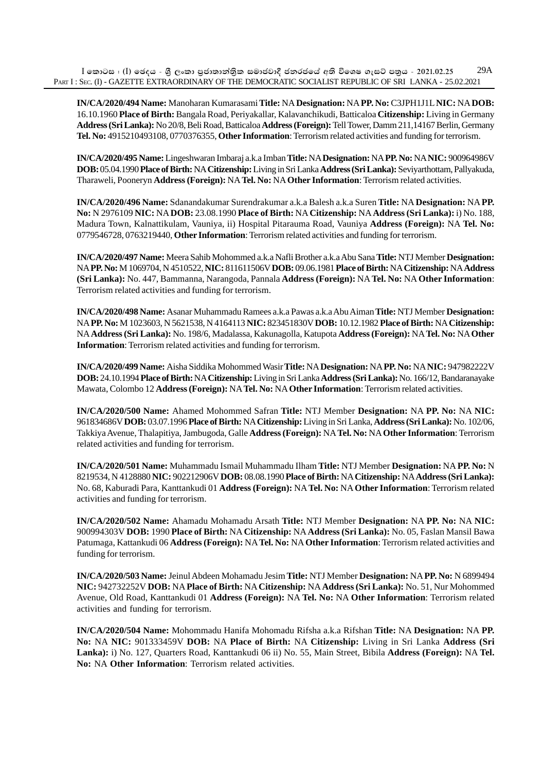**IN/CA/2020/494 Name:** Manoharan Kumarasami **Title:** NA **Designation:** NA **PP. No:** C3JPH1J1L **NIC:** NA **DOB:** 16.10.1960 **Place of Birth:** Bangala Road, Periyakallar, Kalavanchikudi, Batticaloa **Citizenship:** Living in Germany **Address (Sri Lanka):** No 20/8, Beli Road, Batticaloa **Address (Foreign):** Tell Tower, Damm 211,14167 Berlin, Germany **Tel. No:** 4915210493108, 0770376355, **Other Information**: Terrorism related activities and funding for terrorism.

**IN/CA/2020/495 Name:** Lingeshwaran Imbaraj a.k.a Imban **Title:** NA **Designation:** NA **PP. No:** NA **NIC:** 900964986V **DOB:** 05.04.1990 **Place of Birth:** NA **Citizenship:** Living in Sri Lanka **Address (Sri Lanka):** Seviyarthottam, Pallyakuda, Tharaweli, Pooneryn **Address (Foreign):** NA **Tel. No:** NA **Other Information**: Terrorism related activities.

**IN/CA/2020/496 Name:** Sdanandakumar Surendrakumar a.k.a Balesh a.k.a Suren **Title:** NA **Designation:** NA **PP. No:** N 2976109 **NIC:** NA **DOB:** 23.08.1990 **Place of Birth:** NA **Citizenship:** NA **Address (Sri Lanka):** i) No. 188, Madura Town, Kalnattikulam, Vauniya, ii) Hospital Pitarauma Road, Vauniya **Address (Foreign):** NA **Tel. No:** 0779546728, 0763219440, **Other Information**: Terrorism related activities and funding for terrorism.

**IN/CA/2020/497 Name:** Meera Sahib Mohommed a.k.a Nafli Brother a.k.a Abu Sana **Title:** NTJ Member **Designation:** NA **PP. No:** M 1069704, N 4510522, **NIC:** 811611506V **DOB:** 09.06.1981 **Place of Birth:** NA **Citizenship:** NA **Address (Sri Lanka):** No. 447, Bammanna, Narangoda, Pannala **Address (Foreign):** NA **Tel. No:** NA **Other Information**: Terrorism related activities and funding for terrorism.

**IN/CA/2020/498 Name:** Asanar Muhammadu Ramees a.k.a Pawas a.k.a Abu Aiman **Title:** NTJ Member **Designation:** NA **PP. No:** M 1023603, N 5621538, N 4164113 **NIC:** 823451830V **DOB:** 10.12.1982 **Place of Birth:** NA **Citizenship:** NA **Address (Sri Lanka):** No. 198/6, Madalassa, Kakunagolla, Katupota **Address (Foreign):** NA **Tel. No:** NA **Other Information**: Terrorism related activities and funding for terrorism.

**IN/CA/2020/499 Name:** Aisha Siddika Mohommed Wasir **Title:** NA **Designation:** NA **PP. No:** NA **NIC:** 947982222V **DOB:** 24.10.1994 **Place of Birth:** NA **Citizenship:** Living in Sri Lanka **Address (Sri Lanka):** No. 166/12, Bandaranayake Mawata, Colombo 12 **Address (Foreign):** NA **Tel. No:** NA **Other Information**: Terrorism related activities.

**IN/CA/2020/500 Name:** Ahamed Mohommed Safran **Title:** NTJ Member **Designation:** NA **PP. No:** NA **NIC:** 961834686V **DOB:** 03.07.1996 **Place of Birth:** NA **Citizenship:** Living in Sri Lanka, **Address (Sri Lanka):** No. 102/06, Takkiya Avenue, Thalapitiya, Jambugoda, Galle **Address (Foreign):** NA **Tel. No:** NA **Other Information**: Terrorism related activities and funding for terrorism.

**IN/CA/2020/501 Name:** Muhammadu Ismail Muhammadu Ilham **Title:** NTJ Member **Designation:** NA **PP. No:** N 8219534, N 4128880 **NIC:** 902212906V **DOB:** 08.08.1990 **Place of Birth:** NA **Citizenship:** NA **Address (Sri Lanka):** No. 68, Kaburadi Para, Kanttankudi 01 **Address (Foreign):** NA **Tel. No:** NA **Other Information**: Terrorism related activities and funding for terrorism.

**IN/CA/2020/502 Name:** Ahamadu Mohamadu Arsath **Title:** NTJ Member **Designation:** NA **PP. No:** NA **NIC:** 900994303V **DOB:** 1990 **Place of Birth:** NA **Citizenship:** NA **Address (Sri Lanka):** No. 05, Faslan Mansil Bawa Patumaga, Kattankudi 06 **Address (Foreign):** NA **Tel. No:** NA **Other Information**: Terrorism related activities and funding for terrorism.

**IN/CA/2020/503 Name:** Jeinul Abdeen Mohamadu Jesim **Title:** NTJ Member **Designation:** NA **PP. No:** N 6899494 **NIC:** 942732252V **DOB:** NA **Place of Birth:** NA **Citizenship:** NA **Address (Sri Lanka):** No. 51, Nur Mohommed Avenue, Old Road, Kanttankudi 01 **Address (Foreign):** NA **Tel. No:** NA **Other Information**: Terrorism related activities and funding for terrorism.

**IN/CA/2020/504 Name:** Mohommadu Hanifa Mohomadu Rifsha a.k.a Rifshan **Title:** NA **Designation:** NA **PP. No:** NA **NIC:** 901333459V **DOB:** NA **Place of Birth:** NA **Citizenship:** Living in Sri Lanka **Address (Sri Lanka):** i) No. 127, Quarters Road, Kanttankudi 06 ii) No. 55, Main Street, Bibila **Address (Foreign):** NA **Tel. No:** NA **Other Information**: Terrorism related activities.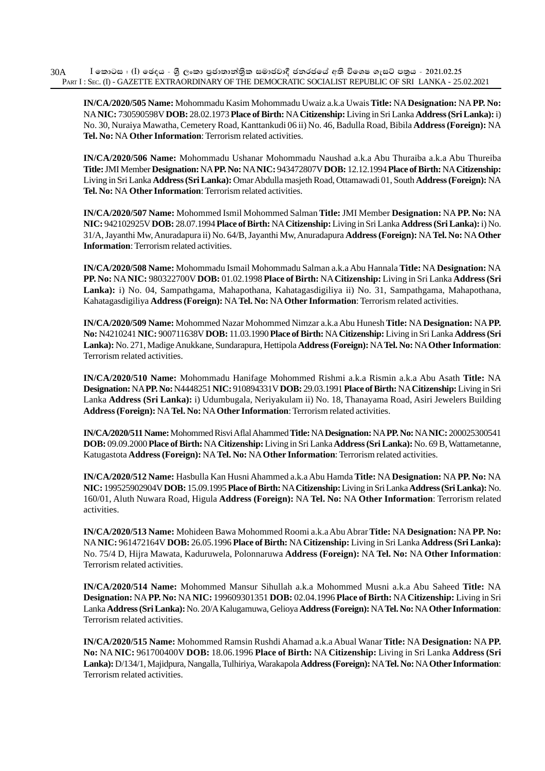**IN/CA/2020/505 Name:** Mohommadu Kasim Mohommadu Uwaiz a.k.a Uwais **Title:** NA **Designation:** NA **PP. No:** NA **NIC:** 730590598V **DOB:** 28.02.1973 **Place of Birth:** NA **Citizenship:** Living in Sri Lanka **Address (Sri Lanka):** i) No. 30, Nuraiya Mawatha, Cemetery Road, Kanttankudi 06 ii) No. 46, Badulla Road, Bibila **Address (Foreign):** NA **Tel. No:** NA **Other Information**: Terrorism related activities.

**IN/CA/2020/506 Name:** Mohommadu Ushanar Mohommadu Naushad a.k.a Abu Thuraiba a.k.a Abu Thureiba **Title:** JMI Member **Designation:** NA **PP. No:** NA **NIC:** 943472807V **DOB:** 12.12.1994 **Place of Birth:** NA **Citizenship:** Living in Sri Lanka **Address (Sri Lanka):** Omar Abdulla masjeth Road, Ottamawadi 01, South **Address (Foreign):** NA **Tel. No:** NA **Other Information**: Terrorism related activities.

**IN/CA/2020/507 Name:** Mohommed Ismil Mohommed Salman **Title:** JMI Member **Designation:** NA **PP. No:** NA **NIC:** 942102925V **DOB:** 28.07.1994 **Place of Birth:** NA **Citizenship:** Living in Sri Lanka **Address (Sri Lanka):** i) No. 31/A, Jayanthi Mw, Anuradapura ii) No. 64/B, Jayanthi Mw, Anuradapura **Address (Foreign):** NA **Tel. No:** NA **Other Information**: Terrorism related activities.

**IN/CA/2020/508 Name:** Mohommadu Ismail Mohommadu Salman a.k.a Abu Hannala **Title:** NA **Designation:** NA **PP. No:** NA **NIC:** 980322700V **DOB:** 01.02.1998 **Place of Birth:** NA **Citizenship:** Living in Sri Lanka **Address (Sri Lanka):** i) No. 04, Sampathgama, Mahapothana, Kahatagasdigiliya ii) No. 31, Sampathgama, Mahapothana, Kahatagasdigiliya **Address (Foreign):** NA **Tel. No:** NA **Other Information**: Terrorism related activities.

**IN/CA/2020/509 Name:** Mohommed Nazar Mohommed Nimzar a.k.a Abu Hunesh **Title:** NA **Designation:** NA **PP. No:** N4210241 **NIC:** 900711638V **DOB:** 11.03.1990 **Place of Birth:** NA **Citizenship:** Living in Sri Lanka **Address (Sri Lanka):** No. 271, Madige Anukkane, Sundarapura, Hettipola **Address (Foreign):** NA **Tel. No:** NA **Other Information**: Terrorism related activities.

**IN/CA/2020/510 Name:** Mohommadu Hanifage Mohommed Rishmi a.k.a Rismin a.k.a Abu Asath **Title:** NA **Designation:** NA **PP. No:** N4448251 **NIC:** 910894331V **DOB:** 29.03.1991 **Place of Birth:** NA **Citizenship:** Living in Sri Lanka **Address (Sri Lanka):** i) Udumbugala, Neriyakulam ii) No. 18, Thanayama Road, Asiri Jewelers Building **Address (Foreign):** NA **Tel. No:** NA **Other Information**: Terrorism related activities.

**IN/CA/2020/511 Name:** Mohommed Risvi Aflal Ahammed **Title:** NA **Designation:** NA **PP. No:** NA **NIC:** 200025300541 **DOB:** 09.09.2000 **Place of Birth:** NA **Citizenship:** Living in Sri Lanka **Address (Sri Lanka):** No. 69 B, Wattametanne, Katugastota **Address (Foreign):** NA **Tel. No:** NA **Other Information**: Terrorism related activities.

**IN/CA/2020/512 Name:** Hasbulla Kan Husni Ahammed a.k.a Abu Hamda **Title:** NA **Designation:** NA **PP. No:** NA **NIC:** 199525902904V **DOB:** 15.09.1995 **Place of Birth:** NA **Citizenship:** Living in Sri Lanka **Address (Sri Lanka):** No. 160/01, Aluth Nuwara Road, Higula **Address (Foreign):** NA **Tel. No:** NA **Other Information**: Terrorism related activities.

**IN/CA/2020/513 Name:** Mohideen Bawa Mohommed Roomi a.k.a Abu Abrar **Title:** NA **Designation:** NA **PP. No:** NA **NIC:** 961472164V **DOB:** 26.05.1996 **Place of Birth:** NA **Citizenship:** Living in Sri Lanka **Address (Sri Lanka):** No. 75/4 D, Hijra Mawata, Kaduruwela, Polonnaruwa **Address (Foreign):** NA **Tel. No:** NA **Other Information**: Terrorism related activities.

**IN/CA/2020/514 Name:** Mohommed Mansur Sihullah a.k.a Mohommed Musni a.k.a Abu Saheed **Title:** NA **Designation:** NA **PP. No:** NA **NIC:** 199609301351 **DOB:** 02.04.1996 **Place of Birth:** NA **Citizenship:** Living in Sri Lanka **Address (Sri Lanka):** No. 20/A Kalugamuwa, Gelioya **Address (Foreign):** NA **Tel. No:** NA **Other Information**: Terrorism related activities.

**IN/CA/2020/515 Name:** Mohommed Ramsin Rushdi Ahamad a.k.a Abual Wanar **Title:** NA **Designation:** NA **PP. No:** NA **NIC:** 961700400V **DOB:** 18.06.1996 **Place of Birth:** NA **Citizenship:** Living in Sri Lanka **Address (Sri Lanka):** D/134/1, Majidpura, Nangalla, Tulhiriya, Warakapola **Address (Foreign):** NA **Tel. No:** NA **Other Information**: Terrorism related activities.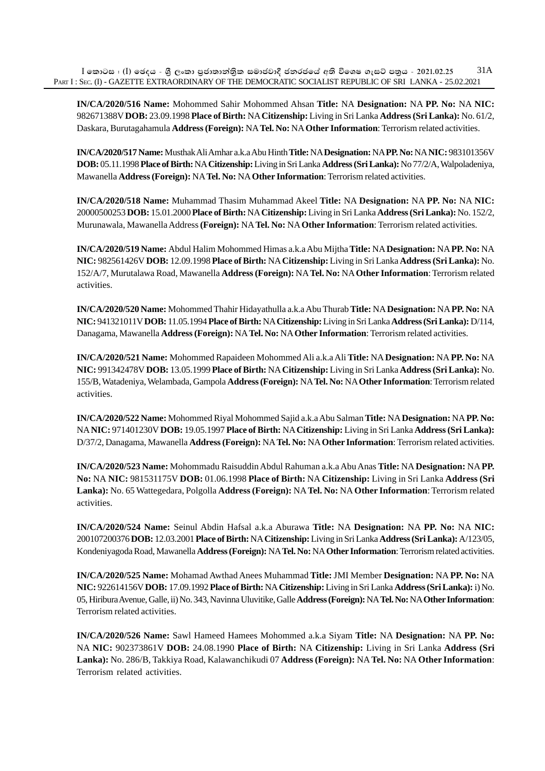**IN/CA/2020/516 Name:** Mohommed Sahir Mohommed Ahsan **Title:** NA **Designation:** NA **PP. No:** NA **NIC:** 982671388V **DOB:** 23.09.1998 **Place of Birth:** NA **Citizenship:** Living in Sri Lanka **Address (Sri Lanka):** No. 61/2, Daskara, Burutagahamula **Address (Foreign):** NA **Tel. No:** NA **Other Information**: Terrorism related activities.

**IN/CA/2020/517 Name:** Musthak Ali Amhar a.k.a Abu Hinth **Title:** NA **Designation:** NA **PP. No:** NA **NIC:** 983101356V **DOB:** 05.11.1998 **Place of Birth:** NA **Citizenship:** Living in Sri Lanka **Address (Sri Lanka):** No 77/2/A, Walpoladeniya, Mawanella **Address (Foreign):** NA **Tel. No:** NA **Other Information**: Terrorism related activities.

**IN/CA/2020/518 Name:** Muhammad Thasim Muhammad Akeel **Title:** NA **Designation:** NA **PP. No:** NA **NIC:** 20000500253 **DOB:** 15.01.2000 **Place of Birth:** NA **Citizenship:** Living in Sri Lanka **Address (Sri Lanka):** No. 152/2, Murunawala, Mawanella Address **(Foreign):** NA **Tel. No:** NA **Other Information**: Terrorism related activities.

**IN/CA/2020/519 Name:** Abdul Halim Mohommed Himas a.k.a Abu Mijtha **Title:** NA **Designation:** NA **PP. No:** NA **NIC:** 982561426V **DOB:** 12.09.1998 **Place of Birth:** NA **Citizenship:** Living in Sri Lanka **Address (Sri Lanka):** No. 152/A/7, Murutalawa Road, Mawanella **Address (Foreign):** NA **Tel. No:** NA **Other Information**: Terrorism related activities.

**IN/CA/2020/520 Name:** Mohommed Thahir Hidayathulla a.k.a Abu Thurab **Title:** NA **Designation:** NA **PP. No:** NA **NIC:** 941321011V **DOB:** 11.05.1994 **Place of Birth:** NA **Citizenship:** Living in Sri Lanka **Address (Sri Lanka):** D/114, Danagama, Mawanella **Address (Foreign):** NA **Tel. No:** NA **Other Information**: Terrorism related activities.

**IN/CA/2020/521 Name:** Mohommed Rapaideen Mohommed Ali a.k.a Ali **Title:** NA **Designation:** NA **PP. No:** NA **NIC:** 991342478V **DOB:** 13.05.1999 **Place of Birth:** NA **Citizenship:** Living in Sri Lanka **Address (Sri Lanka):** No. 155/B, Watadeniya, Welambada, Gampola **Address (Foreign):** NA **Tel. No:** NA **Other Information**: Terrorism related activities.

**IN/CA/2020/522 Name:** Mohommed Riyal Mohommed Sajid a.k.a Abu Salman **Title:** NA **Designation:** NA **PP. No:** NA **NIC:** 971401230V **DOB:** 19.05.1997 **Place of Birth:** NA **Citizenship:** Living in Sri Lanka **Address (Sri Lanka):** D/37/2, Danagama, Mawanella **Address (Foreign):** NA **Tel. No:** NA **Other Information**: Terrorism related activities.

**IN/CA/2020/523 Name:** Mohommadu Raisuddin Abdul Rahuman a.k.a Abu Anas **Title:** NA **Designation:** NA **PP. No:** NA **NIC:** 981531175V **DOB:** 01.06.1998 **Place of Birth:** NA **Citizenship:** Living in Sri Lanka **Address (Sri Lanka):** No. 65 Wattegedara, Polgolla **Address (Foreign):** NA **Tel. No:** NA **Other Information**: Terrorism related activities.

**IN/CA/2020/524 Name:** Seinul Abdin Hafsal a.k.a Aburawa **Title:** NA **Designation:** NA **PP. No:** NA **NIC:** 200107200376 **DOB:** 12.03.2001 **Place of Birth:** NA **Citizenship:** Living in Sri Lanka **Address (Sri Lanka):** A/123/05, Kondeniyagoda Road, Mawanella **Address (Foreign):** NA **Tel. No:** NA **Other Information**: Terrorism related activities.

**IN/CA/2020/525 Name:** Mohamad Awthad Anees Muhammad **Title:** JMI Member **Designation:** NA **PP. No:** NA **NIC:** 922614156V **DOB:** 17.09.1992 **Place of Birth:** NA **Citizenship:** Living in Sri Lanka **Address (Sri Lanka):** i)No. 05, Hiribura Avenue, Galle, ii) No. 343, Navinna Uluvitike, Galle **Address (Foreign):** NA **Tel. No:** NA **Other Information**: Terrorism related activities.

**IN/CA/2020/526 Name:** Sawl Hameed Hamees Mohommed a.k.a Siyam **Title:** NA **Designation:** NA **PP. No:** NA **NIC:** 902373861V **DOB:** 24.08.1990 **Place of Birth:** NA **Citizenship:** Living in Sri Lanka **Address (Sri Lanka):** No. 286/B, Takkiya Road, Kalawanchikudi 07 **Address (Foreign):** NA **Tel. No:** NA **Other Information**: Terrorism related activities.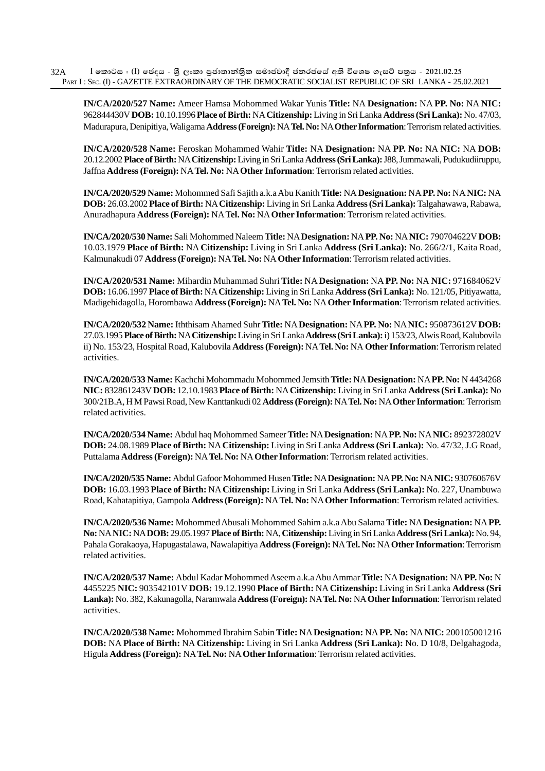**IN/CA/2020/527 Name:** Ameer Hamsa Mohommed Wakar Yunis **Title:** NA **Designation:** NA **PP. No:** NA **NIC:** 962844430V **DOB:** 10.10.1996 **Place of Birth:** NA **Citizenship:** Living in Sri Lanka **Address (Sri Lanka):** No. 47/03, Madurapura, Denipitiya, Waligama **Address (Foreign):** NA **Tel. No:** NA **Other Information**: Terrorism related activities.

**IN/CA/2020/528 Name:** Feroskan Mohammed Wahir **Title:** NA **Designation:** NA **PP. No:** NA **NIC:** NA **DOB:** 20.12.2002 **Place of Birth:** NA **Citizenship:** Living in Sri Lanka **Address (Sri Lanka):** J88, Jummawali, Pudukudiiruppu, Jaffna **Address (Foreign):** NA **Tel. No:** NA **Other Information**: Terrorism related activities.

**IN/CA/2020/529 Name:** Mohommed Safi Sajith a.k.a Abu Kanith **Title:** NA **Designation:** NA **PP. No:** NA **NIC:** NA **DOB:** 26.03.2002 **Place of Birth:** NA **Citizenship:** Living in Sri Lanka **Address (Sri Lanka):** Talgahawawa, Rabawa, Anuradhapura **Address (Foreign):** NA **Tel. No:** NA **Other Information**: Terrorism related activities.

**IN/CA/2020/530 Name:** Sali Mohommed Naleem **Title:** NA **Designation:** NA **PP. No:** NA **NIC:** 790704622V **DOB:** 10.03.1979 **Place of Birth:** NA **Citizenship:** Living in Sri Lanka **Address (Sri Lanka):** No. 266/2/1, Kaita Road, Kalmunakudi 07 **Address (Foreign):** NA **Tel. No:** NA **Other Information**: Terrorism related activities.

**IN/CA/2020/531 Name:** Mihardin Muhammad Suhri **Title:** NA **Designation:** NA **PP. No:** NA **NIC:** 971684062V **DOB:** 16.06.1997 **Place of Birth:** NA **Citizenship:** Living in Sri Lanka **Address (Sri Lanka):** No. 121/05, Pitiyawatta, Madigehidagolla, Horombawa **Address (Foreign):** NA **Tel. No:** NA **Other Information**: Terrorism related activities.

**IN/CA/2020/532 Name:** Iththisam Ahamed Suhr **Title:** NA **Designation:** NA **PP. No:** NA **NIC:** 950873612V **DOB:** 27.03.1995 **Place of Birth:** NA **Citizenship:** Living in Sri Lanka **Address (Sri Lanka):** i) 153/23, Alwis Road, Kalubovila ii) No. 153/23, Hospital Road, Kalubovila **Address (Foreign):** NA **Tel. No:** NA **Other Information**: Terrorism related activities.

**IN/CA/2020/533 Name:** Kachchi Mohommadu Mohommed Jemsith **Title:** NA **Designation:** NA **PP. No:** N 4434268 **NIC:** 832861243V **DOB:** 12.10.1983 **Place of Birth:** NA **Citizenship:** Living in Sri Lanka **Address (Sri Lanka):** No 300/21B.A, H M Pawsi Road, New Kanttankudi 02 **Address (Foreign):** NA **Tel. No:** NA **Other Information**: Terrorism related activities.

**IN/CA/2020/534 Name:** Abdul haq Mohommed Sameer **Title:** NA **Designation:** NA **PP. No:** NA **NIC:** 892372802V **DOB:** 24.08.1989 **Place of Birth:** NA **Citizenship:** Living in Sri Lanka **Address (Sri Lanka):** No. 47/32, J.G Road, Puttalama **Address (Foreign):** NA **Tel. No:** NA **Other Information**: Terrorism related activities.

**IN/CA/2020/535 Name:** Abdul Gafoor Mohommed Husen **Title:** NA **Designation:** NA **PP. No:** NA **NIC:** 930760676V **DOB:** 16.03.1993 **Place of Birth:** NA **Citizenship:** Living in Sri Lanka **Address (Sri Lanka):** No. 227, Unambuwa Road, Kahatapitiya, Gampola **Address (Foreign):** NA **Tel. No:** NA **Other Information**: Terrorism related activities.

**IN/CA/2020/536 Name:** Mohommed Abusali Mohommed Sahim a.k.a Abu Salama **Title:** NA **Designation:** NA **PP. No:** NA **NIC:** NA **DOB:** 29.05.1997 **Place of Birth:** NA, **Citizenship:** Living in Sri Lanka **Address (Sri Lanka):** No. 94, Pahala Gorakaoya, Hapugastalawa, Nawalapitiya **Address (Foreign):** NA **Tel. No:** NA **Other Information**: Terrorism related activities.

**IN/CA/2020/537 Name:** Abdul Kadar Mohommed Aseem a.k.a Abu Ammar **Title:** NA **Designation:** NA **PP. No:** N 4455225 **NIC:** 903542101V **DOB:** 19.12.1990 **Place of Birth:** NA **Citizenship:** Living in Sri Lanka **Address (Sri Lanka):** No. 382, Kakunagolla, Naramwala **Address (Foreign):** NA **Tel. No:** NA **Other Information**: Terrorism related activities.

**IN/CA/2020/538 Name:** Mohommed Ibrahim Sabin **Title:** NA **Designation:** NA **PP. No:** NA **NIC:** 200105001216 **DOB:** NA **Place of Birth:** NA **Citizenship:** Living in Sri Lanka **Address (Sri Lanka):** No. D 10/8, Delgahagoda, Higula **Address (Foreign):** NA **Tel. No:** NA **Other Information**: Terrorism related activities.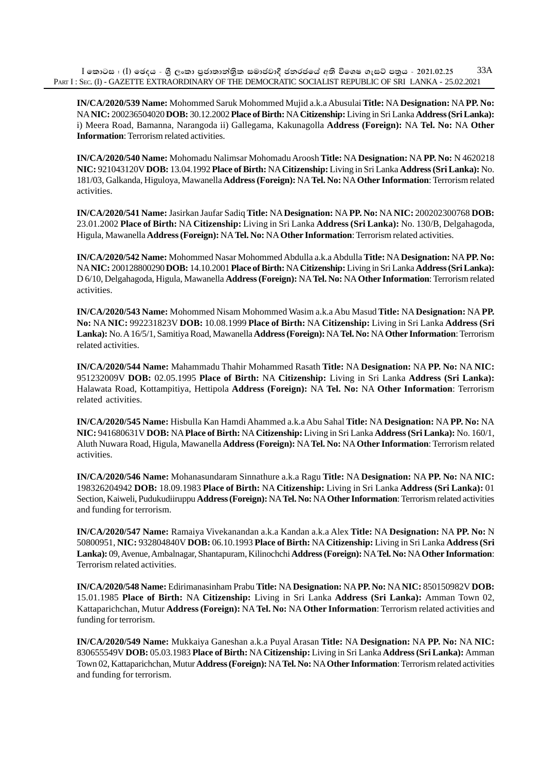$I$  කොටස : (I) ඡෙදය - ශීූ ලංකා පුජාතාන්තික සමාජවාදී ජනරජයේ අති විශෙෂ ගැසට් පතුය - 2021.02.25 PART I : SEC. (I) - GAZETTE EXTRAORDINARY OF THE DEMOCRATIC SOCIALIST REPUBLIC OF SRI LANKA - 25.02.2021 33A

**IN/CA/2020/539 Name:** Mohommed Saruk Mohommed Mujid a.k.a Abusulai **Title:** NA **Designation:** NA **PP. No:** NA **NIC:** 200236504020 **DOB:** 30.12.2002 **Place of Birth:** NA **Citizenship:** Living in Sri Lanka **Address (Sri Lanka):** i) Meera Road, Bamanna, Narangoda ii) Gallegama, Kakunagolla **Address (Foreign):** NA **Tel. No:** NA **Other Information**: Terrorism related activities.

**IN/CA/2020/540 Name:** Mohomadu Nalimsar Mohomadu Aroosh **Title:** NA **Designation:** NA **PP. No:** N 4620218 **NIC:** 921043120V **DOB:** 13.04.1992 **Place of Birth:** NA **Citizenship:** Living in Sri Lanka **Address (Sri Lanka):** No. 181/03, Galkanda, Higuloya, Mawanella **Address (Foreign):** NA **Tel. No:** NA **Other Information**: Terrorism related activities.

**IN/CA/2020/541 Name:** Jasirkan Jaufar Sadiq **Title:** NA **Designation:** NA **PP. No:** NA **NIC:** 200202300768 **DOB:** 23.01.2002 **Place of Birth:** NA **Citizenship:** Living in Sri Lanka **Address (Sri Lanka):** No. 130/B, Delgahagoda, Higula, Mawanella **Address (Foreign):** NA **Tel. No:** NA **Other Information**: Terrorism related activities.

**IN/CA/2020/542 Name:** Mohommed Nasar Mohommed Abdulla a.k.a Abdulla **Title:** NA **Designation:** NA **PP. No:** NA **NIC:** 200128800290 **DOB:** 14.10.2001 **Place of Birth:** NA **Citizenship:** Living in Sri Lanka **Address (Sri Lanka):** D 6/10, Delgahagoda, Higula, Mawanella **Address (Foreign):** NA **Tel. No:** NA **Other Information**: Terrorism related activities.

**IN/CA/2020/543 Name:** Mohommed Nisam Mohommed Wasim a.k.a Abu Masud **Title:** NA **Designation:** NA **PP. No:** NA **NIC:** 992231823V **DOB:** 10.08.1999 **Place of Birth:** NA **Citizenship:** Living in Sri Lanka **Address (Sri Lanka):** No. A 16/5/1, Samitiya Road, Mawanella **Address (Foreign):** NA **Tel. No:** NA **Other Information**: Terrorism related activities.

**IN/CA/2020/544 Name:** Mahammadu Thahir Mohammed Rasath **Title:** NA **Designation:** NA **PP. No:** NA **NIC:** 951232009V **DOB:** 02.05.1995 **Place of Birth:** NA **Citizenship:** Living in Sri Lanka **Address (Sri Lanka):** Halawata Road, Kottampitiya, Hettipola **Address (Foreign):** NA **Tel. No:** NA **Other Information**: Terrorism related activities.

**IN/CA/2020/545 Name:** Hisbulla Kan Hamdi Ahammed a.k.a Abu Sahal **Title:** NA **Designation:** NA **PP. No:** NA **NIC:** 941680631V **DOB:** NA **Place of Birth:** NA **Citizenship:** Living in Sri Lanka **Address (Sri Lanka):** No. 160/1, Aluth Nuwara Road, Higula, Mawanella **Address (Foreign):** NA **Tel. No:** NA **Other Information**: Terrorism related activities.

**IN/CA/2020/546 Name:** Mohanasundaram Sinnathure a.k.a Ragu **Title:** NA **Designation:** NA **PP. No:** NA **NIC:** 198326204942 **DOB:** 18.09.1983 **Place of Birth:** NA **Citizenship:** Living in Sri Lanka **Address (Sri Lanka):** 01 Section, Kaiweli, Pudukudiiruppu **Address (Foreign):** NA **Tel. No:** NA **Other Information**: Terrorism related activities and funding for terrorism.

**IN/CA/2020/547 Name:** Ramaiya Vivekanandan a.k.a Kandan a.k.a Alex **Title:** NA **Designation:** NA **PP. No:** N 50800951, **NIC:** 932804840V **DOB:** 06.10.1993 **Place of Birth:** NA **Citizenship:** Living in Sri Lanka **Address (Sri Lanka):** 09, Avenue, Ambalnagar, Shantapuram, Kilinochchi **Address (Foreign):** NA **Tel. No:** NA **Other Information**: Terrorism related activities.

**IN/CA/2020/548 Name:** Edirimanasinham Prabu **Title:** NA **Designation:** NA **PP. No:** NA **NIC:** 850150982V **DOB:** 15.01.1985 **Place of Birth:** NA **Citizenship:** Living in Sri Lanka **Address (Sri Lanka):** Amman Town 02, Kattaparichchan, Mutur **Address (Foreign):** NA **Tel. No:** NA **Other Information**: Terrorism related activities and funding for terrorism.

**IN/CA/2020/549 Name:** Mukkaiya Ganeshan a.k.a Puyal Arasan **Title:** NA **Designation:** NA **PP. No:** NA **NIC:** 830655549V **DOB:** 05.03.1983 **Place of Birth:** NA **Citizenship:** Living in Sri Lanka **Address (Sri Lanka):** Amman Town 02, Kattaparichchan, Mutur **Address (Foreign):** NA **Tel. No:** NA **Other Information**: Terrorism related activities and funding for terrorism.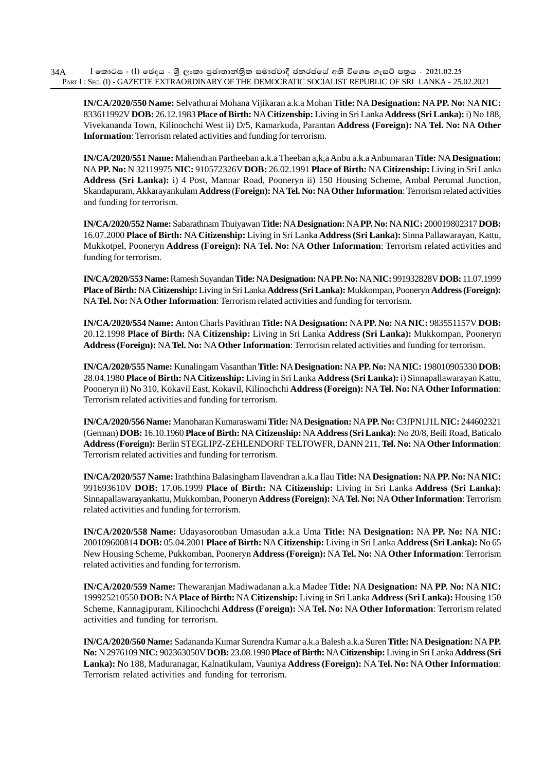**IN/CA/2020/550 Name:** Selvathurai Mohana Vijikaran a.k.a Mohan **Title:** NA **Designation:** NA **PP. No:** NA **NIC:** 833611992V **DOB:** 26.12.1983 **Place of Birth:** NA **Citizenship:** Living in Sri Lanka **Address (Sri Lanka):** i) No 188, Vivekananda Town, Kilinochchi West ii) D/5, Kamarkuda, Parantan **Address (Foreign):** NA **Tel. No:** NA **Other Information**: Terrorism related activities and funding for terrorism.

**IN/CA/2020/551 Name:** Mahendran Partheeban a.k.a Theeban a,k,a Anbu a.k.a Anbumaran **Title:** NA **Designation:** NA **PP. No:** N 32119975 **NIC:** 910572326V **DOB:** 26.02.1991 **Place of Birth:** NA **Citizenship:** Living in Sri Lanka **Address (Sri Lanka):** i) 4 Post, Mannar Road, Pooneryn ii) 150 Housing Scheme, Ambal Perumal Junction, Skandapuram, Akkarayankulam **Address** (**Foreign):** NA **Tel. No:** NA **Other Information**: Terrorism related activities and funding for terrorism.

**IN/CA/2020/552 Name:** Sabarathnam Thuiyawan **Title:** NA **Designation:** NA **PP. No:** NA **NIC:** 200019802317 **DOB:** 16.07.2000 **Place of Birth:** NA **Citizenship:** Living in Sri Lanka **Address (Sri Lanka):** Sinna Pallawarayan, Kattu, Mukkotpel, Pooneryn **Address (Foreign):** NA **Tel. No:** NA **Other Information**: Terrorism related activities and funding for terrorism.

**IN/CA/2020/553 Name:** Ramesh Suyandan **Title:** NA **Designation:** NA **PP. No:** NA **NIC:** 991932828V **DOB:** 11.07.1999 **Place of Birth:** NA **Citizenship:** Living in Sri Lanka **Address (Sri Lanka):** Mukkompan, Pooneryn **Address (Foreign):** NA **Tel. No:** NA **Other Information**: Terrorism related activities and funding for terrorism.

**IN/CA/2020/554 Name:** Anton Charls Pavithran **Title:** NA **Designation:** NA **PP. No:** NA **NIC:** 983551157V **DOB:** 20.12.1998 **Place of Birth:** NA **Citizenship:** Living in Sri Lanka **Address (Sri Lanka):** Mukkompan, Pooneryn **Address (Foreign):** NA **Tel. No:** NA **Other Information**: Terrorism related activities and funding for terrorism.

**IN/CA/2020/555 Name:** Kunalingam Vasanthan **Title:** NA **Designation:** NA **PP. No:** NA **NIC:** 198010905330 **DOB:** 28.04.1980 **Place of Birth:** NA **Citizenship:** Living in Sri Lanka **Address (Sri Lanka):** i) Sinnapallawarayan Kattu, Pooneryn ii) No 310, Kokavil East, Kokavil, Kilinochchi **Address (Foreign):** NA **Tel. No:** NA **Other Information**: Terrorism related activities and funding for terrorism.

**IN/CA/2020/556 Name:** Manoharan Kumaraswami **Title:** NA **Designation:** NA **PP. No:** C3JPN1J1L **NIC:** 244602321 (German) **DOB:** 16.10.1960 **Place of Birth:** NA **Citizenship:** NA **Address (Sri Lanka):** No 20/8, Beili Road, Baticalo **Address (Foreign):** Berlin STEGLIPZ-ZEHLENDORF TELTOWFR, DANN 211, **Tel. No:** NA **Other Information**: Terrorism related activities and funding for terrorism.

**IN/CA/2020/557 Name:** Iraththina Balasingham Ilavendran a.k.a Ilau **Title:** NA **Designation:** NA **PP. No:** NA **NIC:** 991693610V **DOB:** 17.06.1999 **Place of Birth:** NA **Citizenship:** Living in Sri Lanka **Address (Sri Lanka):** Sinnapallawarayankattu, Mukkomban, Pooneryn **Address (Foreign):** NA **Tel. No:** NA **Other Information**: Terrorism related activities and funding for terrorism.

**IN/CA/2020/558 Name:** Udayasorooban Umasudan a.k.a Uma **Title:** NA **Designation:** NA **PP. No:** NA **NIC:** 200109600814 **DOB:** 05.04.2001 **Place of Birth:** NA **Citizenship:** Living in Sri Lanka **Address (Sri Lanka):** No 65 New Housing Scheme, Pukkomban, Pooneryn **Address (Foreign):** NA **Tel. No:** NA **Other Information**: Terrorism related activities and funding for terrorism.

**IN/CA/2020/559 Name:** Thewaranjan Madiwadanan a.k.a Madee **Title:** NA **Designation:** NA **PP. No:** NA **NIC:** 199925210550 **DOB:** NA **Place of Birth:** NA **Citizenship:** Living in Sri Lanka **Address (Sri Lanka):** Housing 150 Scheme, Kannagipuram, Kilinochchi **Address (Foreign):** NA **Tel. No:** NA **Other Information**: Terrorism related activities and funding for terrorism.

**IN/CA/2020/560 Name:** Sadananda Kumar Surendra Kumar a.k.a Balesh a.k.a Suren **Title:** NA **Designation:** NA **PP. No:** N 2976109 **NIC:** 902363050V **DOB:** 23.08.1990 **Place of Birth:** NA **Citizenship:** Living in Sri Lanka **Address (Sri Lanka):** No 188, Maduranagar, Kalnatikulam, Vauniya **Address (Foreign):** NA **Tel. No:** NA **Other Information**: Terrorism related activities and funding for terrorism.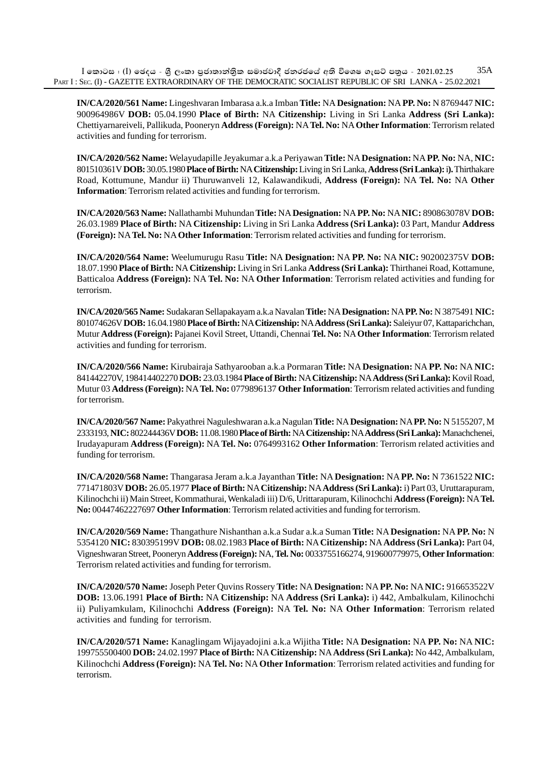**IN/CA/2020/561 Name:** Lingeshvaran Imbarasa a.k.a Imban **Title:** NA **Designation:** NA **PP. No:** N 8769447 **NIC:** 900964986V **DOB:** 05.04.1990 **Place of Birth:** NA **Citizenship:** Living in Sri Lanka **Address (Sri Lanka):** Chettiyarnareiveli, Pallikuda, Pooneryn **Address (Foreign):** NA **Tel. No:** NA **Other Information**: Terrorism related activities and funding for terrorism.

**IN/CA/2020/562 Name:** Welayudapille Jeyakumar a.k.a Periyawan **Title:** NA **Designation:** NA **PP. No:** NA, **NIC:** 801510361V **DOB:** 30.05.1980 **Place of Birth:** NA **Citizenship:** Living in Sri Lanka, **Address (Sri Lanka):** i**).** Thirthakare Road, Kottumune, Mandur ii) Thuruwanveli 12, Kalawandikudi, **Address (Foreign):** NA **Tel. No:** NA **Other Information**: Terrorism related activities and funding for terrorism.

**IN/CA/2020/563 Name:** Nallathambi Muhundan **Title:** NA **Designation:** NA **PP. No:** NA **NIC:** 890863078V **DOB:** 26.03.1989 **Place of Birth:** NA **Citizenship:** Living in Sri Lanka **Address (Sri Lanka):** 03 Part, Mandur **Address (Foreign):** NA **Tel. No:** NA **Other Information**: Terrorism related activities and funding for terrorism.

**IN/CA/2020/564 Name:** Weelumurugu Rasu **Title:** NA **Designation:** NA **PP. No:** NA **NIC:** 902002375V **DOB:** 18.07.1990 **Place of Birth:** NA **Citizenship:** Living in Sri Lanka **Address (Sri Lanka):** Thirthanei Road, Kottamune, Batticaloa **Address (Foreign):** NA **Tel. No:** NA **Other Information**: Terrorism related activities and funding for terrorism.

**IN/CA/2020/565 Name:** Sudakaran Sellapakayam a.k.a Navalan **Title:** NA **Designation:** NA **PP. No:** N 3875491 **NIC:** 801074626V **DOB:** 16.04.1980 **Place of Birth:** NA **Citizenship:** NA **Address (Sri Lanka):** Saleiyur 07, Kattaparichchan, Mutur **Address (Foreign):** Pajanei Kovil Street, Uttandi, Chennai **Tel. No:** NA **Other Information**: Terrorism related activities and funding for terrorism.

**IN/CA/2020/566 Name:** Kirubairaja Sathyarooban a.k.a Pormaran **Title:** NA **Designation:** NA **PP. No:** NA **NIC:** 841442270V, 198414402270 **DOB:** 23.03.1984 **Place of Birth:** NA **Citizenship:** NA **Address (Sri Lanka):** Kovil Road, Mutur 03 **Address (Foreign):** NA **Tel. No:** 0779896137 **Other Information**: Terrorism related activities and funding for terrorism.

**IN/CA/2020/567 Name:** Pakyathrei Naguleshwaran a.k.a Nagulan **Title:** NA **Designation:** NA **PP. No:** N 5155207, M 2333193, **NIC:** 802244436V **DOB:** 11.08.1980 **Place of Birth:** NA **Citizenship:** NA **Address (Sri Lanka):** Manachchenei, Irudayapuram **Address (Foreign):** NA **Tel. No:** 0764993162 **Other Information**: Terrorism related activities and funding for terrorism.

**IN/CA/2020/568 Name:** Thangarasa Jeram a.k.a Jayanthan **Title:** NA **Designation:** NA **PP. No:** N 7361522 **NIC:** 771471803V **DOB:** 26.05.1977 **Place of Birth:** NA **Citizenship:** NA **Address (Sri Lanka):** i) Part 03, Uruttarapuram, Kilinochchi ii) Main Street, Kommathurai, Wenkaladi iii) D/6, Urittarapuram, Kilinochchi **Address (Foreign):** NA **Tel. No:** 00447462227697 **Other Information**: Terrorism related activities and funding for terrorism.

**IN/CA/2020/569 Name:** Thangathure Nishanthan a.k.a Sudar a.k.a Suman **Title:** NA **Designation:** NA **PP. No:** N 5354120 **NIC:** 830395199V **DOB:** 08.02.1983 **Place of Birth:** NA **Citizenship:** NA **Address (Sri Lanka):** Part 04, Vigneshwaran Street, Pooneryn **Address (Foreign):** NA, **Tel. No:** 0033755166274, 919600779975, **Other Information**: Terrorism related activities and funding for terrorism.

**IN/CA/2020/570 Name:** Joseph Peter Quvins Rossery **Title:** NA **Designation:** NA **PP. No:** NA **NIC:** 916653522V **DOB:** 13.06.1991 **Place of Birth:** NA **Citizenship:** NA **Address (Sri Lanka):** i) 442, Ambalkulam, Kilinochchi ii) Puliyamkulam, Kilinochchi **Address (Foreign):** NA **Tel. No:** NA **Other Information**: Terrorism related activities and funding for terrorism.

**IN/CA/2020/571 Name:** Kanaglingam Wijayadojini a.k.a Wijitha **Title:** NA **Designation:** NA **PP. No:** NA **NIC:** 199755500400 **DOB:** 24.02.1997 **Place of Birth:** NA **Citizenship:** NA **Address (Sri Lanka):** No 442, Ambalkulam, Kilinochchi **Address (Foreign):** NA **Tel. No:** NA **Other Information**: Terrorism related activities and funding for terrorism.